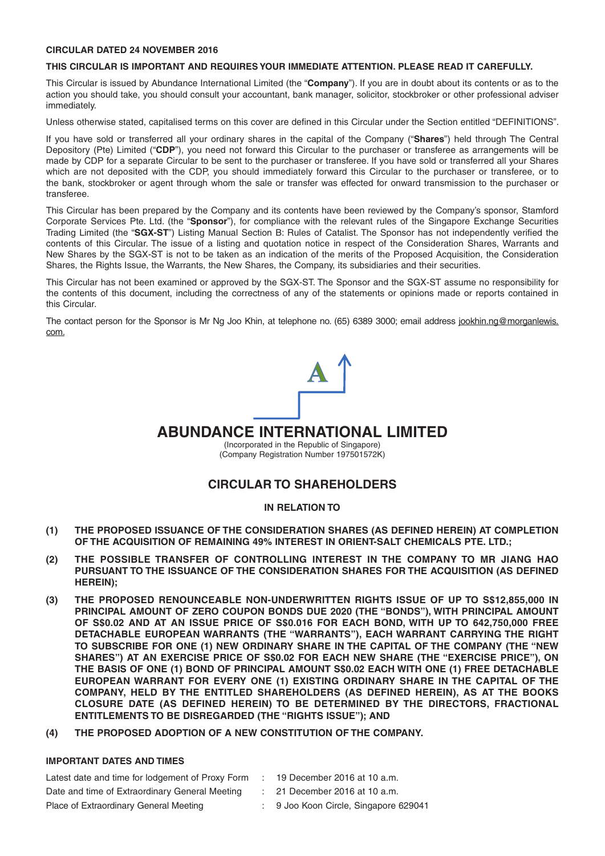#### **CIRCULAR DATED 24 NOVEMBER 2016**

#### **THIS CIRCULAR IS IMPORTANT AND REQUIRES YOUR IMMEDIATE ATTENTION. PLEASE READ IT CAREFULLY.**

This Circular is issued by Abundance International Limited (the "**Company**"). If you are in doubt about its contents or as to the action you should take, you should consult your accountant, bank manager, solicitor, stockbroker or other professional adviser immediately.

Unless otherwise stated, capitalised terms on this cover are defined in this Circular under the Section entitled "DEFINITIONS".

If you have sold or transferred all your ordinary shares in the capital of the Company ("**Shares**") held through The Central Depository (Pte) Limited ("CDP"), you need not forward this Circular to the purchaser or transferee as arrangements will be made by CDP for a separate Circular to be sent to the purchaser or transferee. If you have sold or transferred all your Shares which are not deposited with the CDP, you should immediately forward this Circular to the purchaser or transferee, or to the bank, stockbroker or agent through whom the sale or transfer was effected for onward transmission to the purchaser or transferee.

This Circular has been prepared by the Company and its contents have been reviewed by the Company's sponsor, Stamford Corporate Services Pte. Ltd. (the "**Sponsor**"), for compliance with the relevant rules of the Singapore Exchange Securities Trading Limited (the "SGX-ST") Listing Manual Section B: Rules of Catalist. The Sponsor has not independently verified the contents of this Circular. The issue of a listing and quotation notice in respect of the Consideration Shares, Warrants and New Shares by the SGX-ST is not to be taken as an indication of the merits of the Proposed Acquisition, the Consideration Shares, the Rights Issue, the Warrants, the New Shares, the Company, its subsidiaries and their securities.

This Circular has not been examined or approved by the SGX-ST. The Sponsor and the SGX-ST assume no responsibility for the contents of this document, including the correctness of any of the statements or opinions made or reports contained in this Circular.

The contact person for the Sponsor is Mr Ng Joo Khin, at telephone no. (65) 6389 3000; email address jookhin.nq@morganlewis. com.

# **ABUNDANCE INTERNATIONAL LIMITED**

(Incorporated in the Republic of Singapore) (Company Registration Number 197501572K)

## **CIRCULAR TO SHAREHOLDERS**

### **IN RELATION TO**

- **(1) THE PROPOSED ISSUANCE OF THE CONSIDERATION SHARES (AS DEFINED HEREIN) AT COMPLETION OF THE ACQUISITION OF REMAINING 49% INTEREST IN ORIENT-SALT CHEMICALS PTE. LTD.;**
- **(2) THE POSSIBLE TRANSFER OF CONTROLLING INTEREST IN THE COMPANY TO MR JIANG HAO PURSUANT TO THE ISSUANCE OF THE CONSIDERATION SHARES FOR THE ACQUISITION (AS DEFINED HEREIN);**
- **(3) THE PROPOSED RENOUNCEABLE NON-UNDERWRITTEN RIGHTS ISSUE OF UP TO S\$12,855,000 IN PRINCIPAL AMOUNT OF ZERO COUPON BONDS DUE 2020 (THE "BONDS"), WITH PRINCIPAL AMOUNT OF S\$0.02 AND AT AN ISSUE PRICE OF S\$0.016 FOR EACH BOND, WITH UP TO 642,750,000 FREE DETACHABLE EUROPEAN WARRANTS (THE "WARRANTS"), EACH WARRANT CARRYING THE RIGHT TO SUBSCRIBE FOR ONE (1) NEW ORDINARY SHARE IN THE CAPITAL OF THE COMPANY (THE "NEW SHARES") AT AN EXERCISE PRICE OF S\$0.02 FOR EACH NEW SHARE (THE "EXERCISE PRICE"), ON THE BASIS OF ONE (1) BOND OF PRINCIPAL AMOUNT S\$0.02 EACH WITH ONE (1) FREE DETACHABLE EUROPEAN WARRANT FOR EVERY ONE (1) EXISTING ORDINARY SHARE IN THE CAPITAL OF THE COMPANY, HELD BY THE ENTITLED SHAREHOLDERS (AS DEFINED HEREIN), AS AT THE BOOKS CLOSURE DATE (AS DEFINED HEREIN) TO BE DETERMINED BY THE DIRECTORS, FRACTIONAL ENTITLEMENTS TO BE DISREGARDED (THE "RIGHTS ISSUE"); AND**
- **(4) THE PROPOSED ADOPTION OF A NEW CONSTITUTION OF THE COMPANY.**

#### **IMPORTANT DATES AND TIMES**

Latest date and time for lodgement of Proxy Form : 19 December 2016 at 10 a.m. Date and time of Extraordinary General Meeting : 21 December 2016 at 10 a.m. Place of Extraordinary General Meeting : 9 Joo Koon Circle, Singapore 629041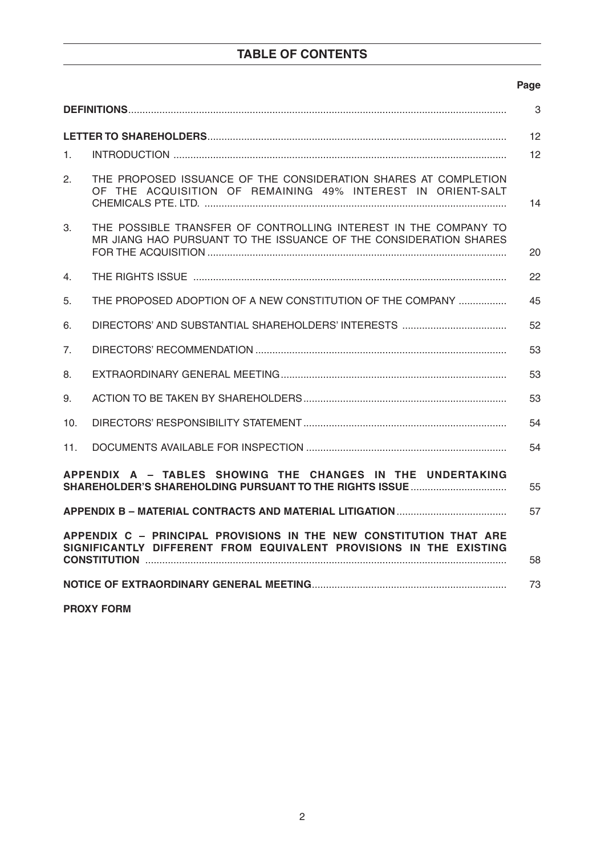# **TABLE OF CONTENTS**

### **Page State State State State State State State State State State State State State State State State State St**

| 3                                                                                                                                              |                                                                                                                                      |    |  |  |
|------------------------------------------------------------------------------------------------------------------------------------------------|--------------------------------------------------------------------------------------------------------------------------------------|----|--|--|
|                                                                                                                                                |                                                                                                                                      | 12 |  |  |
| $1_{-}$                                                                                                                                        |                                                                                                                                      | 12 |  |  |
| 2.                                                                                                                                             | THE PROPOSED ISSUANCE OF THE CONSIDERATION SHARES AT COMPLETION<br>OF THE ACQUISITION OF REMAINING 49% INTEREST IN ORIENT-SALT       | 14 |  |  |
| 3.                                                                                                                                             | THE POSSIBLE TRANSFER OF CONTROLLING INTEREST IN THE COMPANY TO<br>MR JIANG HAO PURSUANT TO THE ISSUANCE OF THE CONSIDERATION SHARES | 20 |  |  |
| 4.                                                                                                                                             |                                                                                                                                      | 22 |  |  |
| 5.                                                                                                                                             | THE PROPOSED ADOPTION OF A NEW CONSTITUTION OF THE COMPANY                                                                           | 45 |  |  |
| 6.                                                                                                                                             |                                                                                                                                      | 52 |  |  |
| 7 <sub>1</sub>                                                                                                                                 |                                                                                                                                      | 53 |  |  |
| 8.                                                                                                                                             |                                                                                                                                      | 53 |  |  |
| 9.                                                                                                                                             |                                                                                                                                      | 53 |  |  |
| 10.                                                                                                                                            |                                                                                                                                      | 54 |  |  |
| 11.                                                                                                                                            |                                                                                                                                      | 54 |  |  |
| APPENDIX A - TABLES SHOWING THE CHANGES IN THE UNDERTAKING<br>55                                                                               |                                                                                                                                      |    |  |  |
| 57                                                                                                                                             |                                                                                                                                      |    |  |  |
| APPENDIX C - PRINCIPAL PROVISIONS IN THE NEW CONSTITUTION THAT ARE<br>SIGNIFICANTLY DIFFERENT FROM EQUIVALENT PROVISIONS IN THE EXISTING<br>58 |                                                                                                                                      |    |  |  |
| 73                                                                                                                                             |                                                                                                                                      |    |  |  |

**PROXY FORM**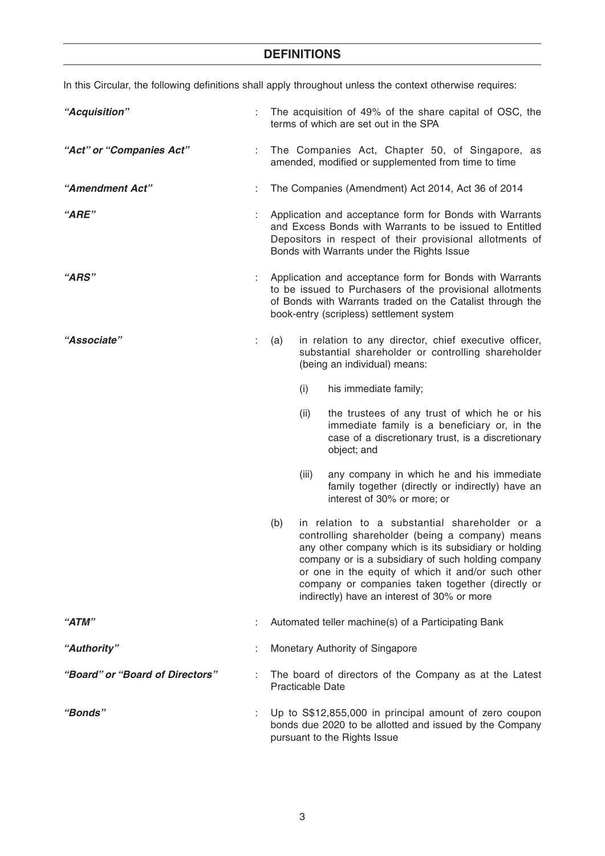In this Circular, the following definitions shall apply throughout unless the context otherwise requires:

| "Acquisition"                   |    | The acquisition of 49% of the share capital of OSC, the<br>terms of which are set out in the SPA                                                                                                                                                                                                                                                                               |  |
|---------------------------------|----|--------------------------------------------------------------------------------------------------------------------------------------------------------------------------------------------------------------------------------------------------------------------------------------------------------------------------------------------------------------------------------|--|
| "Act" or "Companies Act"        |    | The Companies Act, Chapter 50, of Singapore, as<br>amended, modified or supplemented from time to time                                                                                                                                                                                                                                                                         |  |
| "Amendment Act"                 |    | The Companies (Amendment) Act 2014, Act 36 of 2014                                                                                                                                                                                                                                                                                                                             |  |
| "ARE"                           |    | Application and acceptance form for Bonds with Warrants<br>and Excess Bonds with Warrants to be issued to Entitled<br>Depositors in respect of their provisional allotments of<br>Bonds with Warrants under the Rights Issue                                                                                                                                                   |  |
| "ARS"                           |    | Application and acceptance form for Bonds with Warrants<br>to be issued to Purchasers of the provisional allotments<br>of Bonds with Warrants traded on the Catalist through the<br>book-entry (scripless) settlement system                                                                                                                                                   |  |
| "Associate"                     | t. | in relation to any director, chief executive officer,<br>(a)<br>substantial shareholder or controlling shareholder<br>(being an individual) means:                                                                                                                                                                                                                             |  |
|                                 |    | (i)<br>his immediate family;                                                                                                                                                                                                                                                                                                                                                   |  |
|                                 |    | (ii)<br>the trustees of any trust of which he or his<br>immediate family is a beneficiary or, in the<br>case of a discretionary trust, is a discretionary<br>object; and                                                                                                                                                                                                       |  |
|                                 |    | (iii)<br>any company in which he and his immediate<br>family together (directly or indirectly) have an<br>interest of 30% or more; or                                                                                                                                                                                                                                          |  |
|                                 |    | (b)<br>in relation to a substantial shareholder or a<br>controlling shareholder (being a company) means<br>any other company which is its subsidiary or holding<br>company or is a subsidiary of such holding company<br>or one in the equity of which it and/or such other<br>company or companies taken together (directly or<br>indirectly) have an interest of 30% or more |  |
| "ATM"                           |    | Automated teller machine(s) of a Participating Bank                                                                                                                                                                                                                                                                                                                            |  |
| "Authority"                     |    | Monetary Authority of Singapore                                                                                                                                                                                                                                                                                                                                                |  |
| "Board" or "Board of Directors" |    | The board of directors of the Company as at the Latest<br><b>Practicable Date</b>                                                                                                                                                                                                                                                                                              |  |
| <b>"Bonds"</b>                  |    | Up to S\$12,855,000 in principal amount of zero coupon<br>bonds due 2020 to be allotted and issued by the Company<br>pursuant to the Rights Issue                                                                                                                                                                                                                              |  |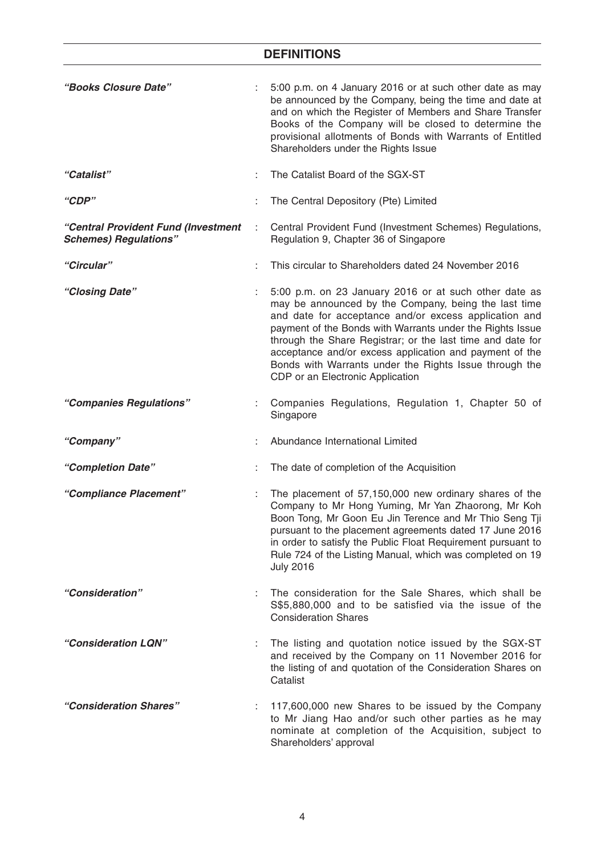| "Books Closure Date"                                                |   | 5:00 p.m. on 4 January 2016 or at such other date as may<br>be announced by the Company, being the time and date at<br>and on which the Register of Members and Share Transfer<br>Books of the Company will be closed to determine the<br>provisional allotments of Bonds with Warrants of Entitled<br>Shareholders under the Rights Issue                                                                                                                 |
|---------------------------------------------------------------------|---|------------------------------------------------------------------------------------------------------------------------------------------------------------------------------------------------------------------------------------------------------------------------------------------------------------------------------------------------------------------------------------------------------------------------------------------------------------|
| "Catalist"                                                          |   | The Catalist Board of the SGX-ST                                                                                                                                                                                                                                                                                                                                                                                                                           |
| "CDP"                                                               | ÷ | The Central Depository (Pte) Limited                                                                                                                                                                                                                                                                                                                                                                                                                       |
| "Central Provident Fund (Investment<br><b>Schemes) Regulations"</b> | ÷ | Central Provident Fund (Investment Schemes) Regulations,<br>Regulation 9, Chapter 36 of Singapore                                                                                                                                                                                                                                                                                                                                                          |
| "Circular"                                                          |   | This circular to Shareholders dated 24 November 2016                                                                                                                                                                                                                                                                                                                                                                                                       |
| "Closing Date"                                                      |   | 5:00 p.m. on 23 January 2016 or at such other date as<br>may be announced by the Company, being the last time<br>and date for acceptance and/or excess application and<br>payment of the Bonds with Warrants under the Rights Issue<br>through the Share Registrar; or the last time and date for<br>acceptance and/or excess application and payment of the<br>Bonds with Warrants under the Rights Issue through the<br>CDP or an Electronic Application |
| "Companies Regulations"                                             |   | Companies Regulations, Regulation 1, Chapter 50 of<br>Singapore                                                                                                                                                                                                                                                                                                                                                                                            |
| "Company"                                                           |   | Abundance International Limited                                                                                                                                                                                                                                                                                                                                                                                                                            |
| "Completion Date"                                                   |   | The date of completion of the Acquisition                                                                                                                                                                                                                                                                                                                                                                                                                  |
| "Compliance Placement"                                              |   | The placement of 57,150,000 new ordinary shares of the<br>Company to Mr Hong Yuming, Mr Yan Zhaorong, Mr Koh<br>Boon Tong, Mr Goon Eu Jin Terence and Mr Thio Seng Tji<br>pursuant to the placement agreements dated 17 June 2016<br>in order to satisfy the Public Float Requirement pursuant to<br>Rule 724 of the Listing Manual, which was completed on 19<br><b>July 2016</b>                                                                         |
| "Consideration"                                                     |   | The consideration for the Sale Shares, which shall be<br>S\$5,880,000 and to be satisfied via the issue of the<br><b>Consideration Shares</b>                                                                                                                                                                                                                                                                                                              |
| "Consideration LQN"                                                 |   | The listing and quotation notice issued by the SGX-ST<br>and received by the Company on 11 November 2016 for<br>the listing of and quotation of the Consideration Shares on<br>Catalist                                                                                                                                                                                                                                                                    |
| "Consideration Shares"                                              |   | 117,600,000 new Shares to be issued by the Company<br>to Mr Jiang Hao and/or such other parties as he may<br>nominate at completion of the Acquisition, subject to<br>Shareholders' approval                                                                                                                                                                                                                                                               |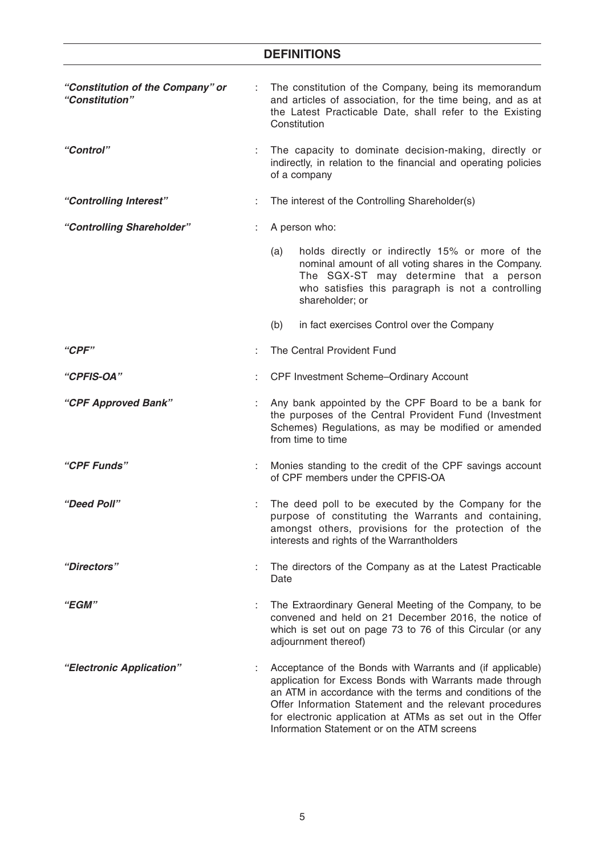| "Constitution of the Company" or<br>"Constitution" | The constitution of the Company, being its memorandum<br>and articles of association, for the time being, and as at<br>the Latest Practicable Date, shall refer to the Existing<br>Constitution                                                                                                                                                           |  |
|----------------------------------------------------|-----------------------------------------------------------------------------------------------------------------------------------------------------------------------------------------------------------------------------------------------------------------------------------------------------------------------------------------------------------|--|
| "Control"                                          | The capacity to dominate decision-making, directly or<br>indirectly, in relation to the financial and operating policies<br>of a company                                                                                                                                                                                                                  |  |
| "Controlling Interest"                             | The interest of the Controlling Shareholder(s)                                                                                                                                                                                                                                                                                                            |  |
| "Controlling Shareholder"                          | A person who:                                                                                                                                                                                                                                                                                                                                             |  |
|                                                    | holds directly or indirectly 15% or more of the<br>(a)<br>nominal amount of all voting shares in the Company.<br>The SGX-ST may determine that a person<br>who satisfies this paragraph is not a controlling<br>shareholder; or                                                                                                                           |  |
|                                                    | (b)<br>in fact exercises Control over the Company                                                                                                                                                                                                                                                                                                         |  |
| "CPF"                                              | The Central Provident Fund                                                                                                                                                                                                                                                                                                                                |  |
| "CPFIS-OA"                                         | CPF Investment Scheme-Ordinary Account                                                                                                                                                                                                                                                                                                                    |  |
| "CPF Approved Bank"                                | Any bank appointed by the CPF Board to be a bank for<br>the purposes of the Central Provident Fund (Investment<br>Schemes) Regulations, as may be modified or amended<br>from time to time                                                                                                                                                                |  |
| "CPF Funds"                                        | Monies standing to the credit of the CPF savings account<br>of CPF members under the CPFIS-OA                                                                                                                                                                                                                                                             |  |
| "Deed Poll"                                        | The deed poll to be executed by the Company for the<br>purpose of constituting the Warrants and containing,<br>amongst others, provisions for the protection of the<br>interests and rights of the Warrantholders                                                                                                                                         |  |
| "Directors"                                        | The directors of the Company as at the Latest Practicable<br>Date                                                                                                                                                                                                                                                                                         |  |
| "EGM"                                              | The Extraordinary General Meeting of the Company, to be<br>convened and held on 21 December 2016, the notice of<br>which is set out on page 73 to 76 of this Circular (or any<br>adjournment thereof)                                                                                                                                                     |  |
| "Electronic Application"                           | Acceptance of the Bonds with Warrants and (if applicable)<br>application for Excess Bonds with Warrants made through<br>an ATM in accordance with the terms and conditions of the<br>Offer Information Statement and the relevant procedures<br>for electronic application at ATMs as set out in the Offer<br>Information Statement or on the ATM screens |  |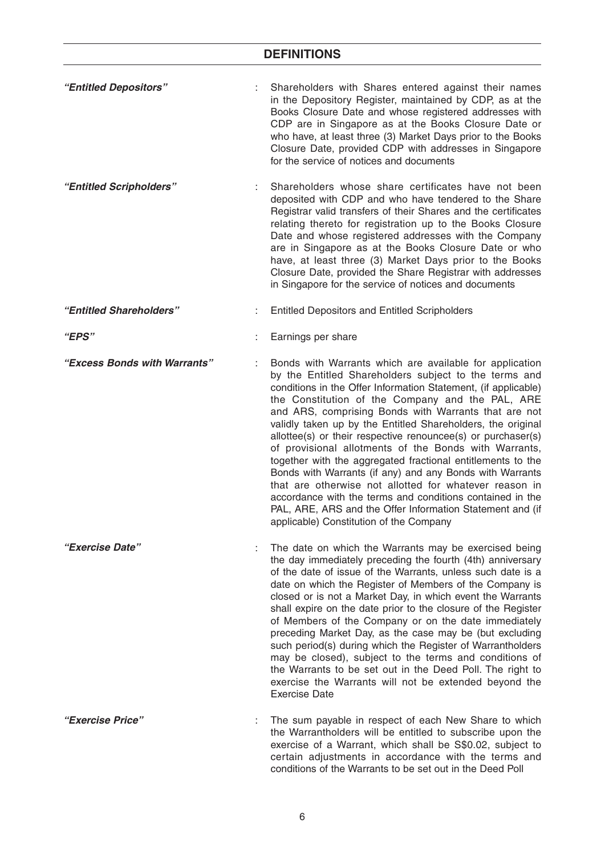| "Entitled Depositors"        | Shareholders with Shares entered against their names<br>in the Depository Register, maintained by CDP, as at the<br>Books Closure Date and whose registered addresses with<br>CDP are in Singapore as at the Books Closure Date or<br>who have, at least three (3) Market Days prior to the Books<br>Closure Date, provided CDP with addresses in Singapore<br>for the service of notices and documents                                                                                                                                                                                                                                                                                                                                                                                                                                          |
|------------------------------|--------------------------------------------------------------------------------------------------------------------------------------------------------------------------------------------------------------------------------------------------------------------------------------------------------------------------------------------------------------------------------------------------------------------------------------------------------------------------------------------------------------------------------------------------------------------------------------------------------------------------------------------------------------------------------------------------------------------------------------------------------------------------------------------------------------------------------------------------|
| "Entitled Scripholders"      | Shareholders whose share certificates have not been<br>deposited with CDP and who have tendered to the Share<br>Registrar valid transfers of their Shares and the certificates<br>relating thereto for registration up to the Books Closure<br>Date and whose registered addresses with the Company<br>are in Singapore as at the Books Closure Date or who<br>have, at least three (3) Market Days prior to the Books<br>Closure Date, provided the Share Registrar with addresses<br>in Singapore for the service of notices and documents                                                                                                                                                                                                                                                                                                     |
| "Entitled Shareholders"      | <b>Entitled Depositors and Entitled Scripholders</b>                                                                                                                                                                                                                                                                                                                                                                                                                                                                                                                                                                                                                                                                                                                                                                                             |
| <i>"EPS"</i>                 | Earnings per share                                                                                                                                                                                                                                                                                                                                                                                                                                                                                                                                                                                                                                                                                                                                                                                                                               |
| "Excess Bonds with Warrants" | Bonds with Warrants which are available for application<br>by the Entitled Shareholders subject to the terms and<br>conditions in the Offer Information Statement, (if applicable)<br>the Constitution of the Company and the PAL, ARE<br>and ARS, comprising Bonds with Warrants that are not<br>validly taken up by the Entitled Shareholders, the original<br>allottee(s) or their respective renouncee(s) or purchaser(s)<br>of provisional allotments of the Bonds with Warrants,<br>together with the aggregated fractional entitlements to the<br>Bonds with Warrants (if any) and any Bonds with Warrants<br>that are otherwise not allotted for whatever reason in<br>accordance with the terms and conditions contained in the<br>PAL, ARE, ARS and the Offer Information Statement and (if<br>applicable) Constitution of the Company |
| "Exercise Date"              | The date on which the Warrants may be exercised being<br>the day immediately preceding the fourth (4th) anniversary<br>of the date of issue of the Warrants, unless such date is a<br>date on which the Register of Members of the Company is<br>closed or is not a Market Day, in which event the Warrants<br>shall expire on the date prior to the closure of the Register<br>of Members of the Company or on the date immediately<br>preceding Market Day, as the case may be (but excluding<br>such period(s) during which the Register of Warrantholders<br>may be closed), subject to the terms and conditions of<br>the Warrants to be set out in the Deed Poll. The right to<br>exercise the Warrants will not be extended beyond the<br><b>Exercise Date</b>                                                                            |
| "Exercise Price"             | The sum payable in respect of each New Share to which<br>the Warrantholders will be entitled to subscribe upon the<br>exercise of a Warrant, which shall be S\$0.02, subject to<br>certain adjustments in accordance with the terms and<br>conditions of the Warrants to be set out in the Deed Poll                                                                                                                                                                                                                                                                                                                                                                                                                                                                                                                                             |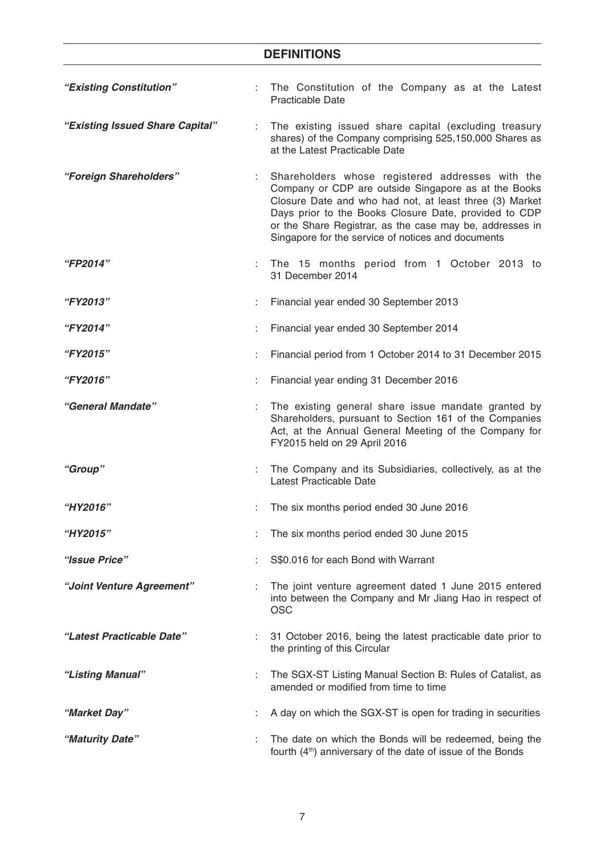| "Existing Constitution"         |    | The Constitution of the Company as at the Latest<br><b>Practicable Date</b>                                                                                                                                                                                                                                                                    |
|---------------------------------|----|------------------------------------------------------------------------------------------------------------------------------------------------------------------------------------------------------------------------------------------------------------------------------------------------------------------------------------------------|
| "Existing Issued Share Capital" | ÷. | The existing issued share capital (excluding treasury<br>shares) of the Company comprising 525,150,000 Shares as<br>at the Latest Practicable Date                                                                                                                                                                                             |
| "Foreign Shareholders"          |    | Shareholders whose registered addresses with the<br>Company or CDP are outside Singapore as at the Books<br>Closure Date and who had not, at least three (3) Market<br>Days prior to the Books Closure Date, provided to CDP<br>or the Share Registrar, as the case may be, addresses in<br>Singapore for the service of notices and documents |
| <b>"FP2014"</b>                 |    | The 15 months period from 1 October 2013 to<br>31 December 2014                                                                                                                                                                                                                                                                                |
| <b>"FY2013"</b>                 |    | Financial year ended 30 September 2013                                                                                                                                                                                                                                                                                                         |
| "FY2014"                        |    | Financial year ended 30 September 2014                                                                                                                                                                                                                                                                                                         |
| "FY2015"                        |    | Financial period from 1 October 2014 to 31 December 2015                                                                                                                                                                                                                                                                                       |
| "FY2016"                        |    | Financial year ending 31 December 2016                                                                                                                                                                                                                                                                                                         |
| "General Mandate"               |    | The existing general share issue mandate granted by<br>Shareholders, pursuant to Section 161 of the Companies<br>Act, at the Annual General Meeting of the Company for<br>FY2015 held on 29 April 2016                                                                                                                                         |
| "Group"                         | ÷. | The Company and its Subsidiaries, collectively, as at the<br>Latest Practicable Date                                                                                                                                                                                                                                                           |
| "HY2016"                        |    | The six months period ended 30 June 2016                                                                                                                                                                                                                                                                                                       |
| "HY2015"                        |    | The six months period ended 30 June 2015                                                                                                                                                                                                                                                                                                       |
| "Issue Price"                   |    | S\$0.016 for each Bond with Warrant                                                                                                                                                                                                                                                                                                            |
| "Joint Venture Agreement"       |    | The joint venture agreement dated 1 June 2015 entered<br>into between the Company and Mr Jiang Hao in respect of<br><b>OSC</b>                                                                                                                                                                                                                 |
| "Latest Practicable Date"       |    | 31 October 2016, being the latest practicable date prior to<br>the printing of this Circular                                                                                                                                                                                                                                                   |
| "Listing Manual"                |    | The SGX-ST Listing Manual Section B: Rules of Catalist, as<br>amended or modified from time to time                                                                                                                                                                                                                                            |
| "Market Day"                    |    | A day on which the SGX-ST is open for trading in securities                                                                                                                                                                                                                                                                                    |
| "Maturity Date"                 |    | The date on which the Bonds will be redeemed, being the<br>fourth (4 <sup>th</sup> ) anniversary of the date of issue of the Bonds                                                                                                                                                                                                             |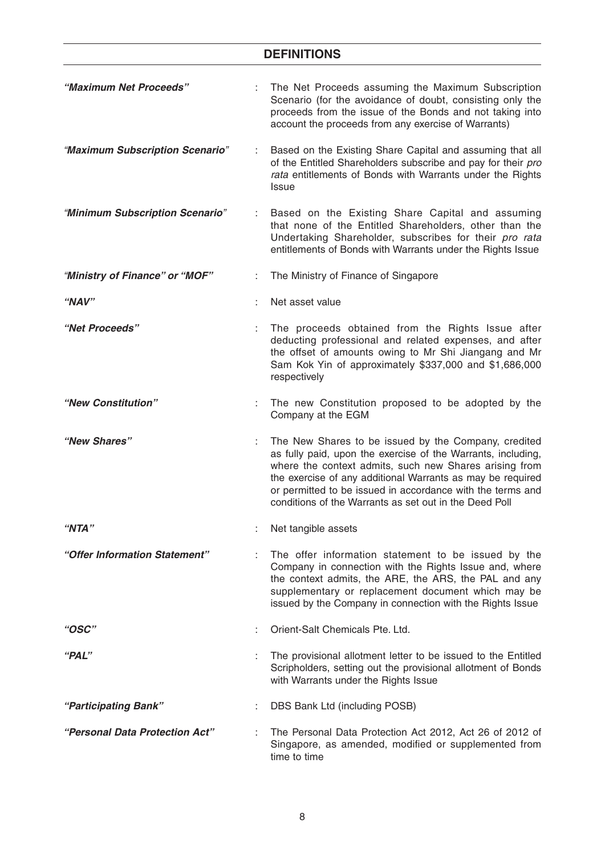| "Maximum Net Proceeds"          | The Net Proceeds assuming the Maximum Subscription<br>Scenario (for the avoidance of doubt, consisting only the<br>proceeds from the issue of the Bonds and not taking into<br>account the proceeds from any exercise of Warrants)                                                                                                                                   |
|---------------------------------|----------------------------------------------------------------------------------------------------------------------------------------------------------------------------------------------------------------------------------------------------------------------------------------------------------------------------------------------------------------------|
| "Maximum Subscription Scenario" | Based on the Existing Share Capital and assuming that all<br>of the Entitled Shareholders subscribe and pay for their pro<br>rata entitlements of Bonds with Warrants under the Rights<br><b>Issue</b>                                                                                                                                                               |
| "Minimum Subscription Scenario" | Based on the Existing Share Capital and assuming<br>that none of the Entitled Shareholders, other than the<br>Undertaking Shareholder, subscribes for their pro rata<br>entitlements of Bonds with Warrants under the Rights Issue                                                                                                                                   |
| "Ministry of Finance" or "MOF"  | The Ministry of Finance of Singapore                                                                                                                                                                                                                                                                                                                                 |
| "NAV"                           | Net asset value                                                                                                                                                                                                                                                                                                                                                      |
| "Net Proceeds"                  | The proceeds obtained from the Rights Issue after<br>deducting professional and related expenses, and after<br>the offset of amounts owing to Mr Shi Jiangang and Mr<br>Sam Kok Yin of approximately \$337,000 and \$1,686,000<br>respectively                                                                                                                       |
| "New Constitution"              | The new Constitution proposed to be adopted by the<br>Company at the EGM                                                                                                                                                                                                                                                                                             |
| "New Shares"                    | The New Shares to be issued by the Company, credited<br>as fully paid, upon the exercise of the Warrants, including,<br>where the context admits, such new Shares arising from<br>the exercise of any additional Warrants as may be required<br>or permitted to be issued in accordance with the terms and<br>conditions of the Warrants as set out in the Deed Poll |
| "NTA"                           | Net tangible assets                                                                                                                                                                                                                                                                                                                                                  |
| "Offer Information Statement"   | The offer information statement to be issued by the<br>Company in connection with the Rights Issue and, where<br>the context admits, the ARE, the ARS, the PAL and any<br>supplementary or replacement document which may be<br>issued by the Company in connection with the Rights Issue                                                                            |
| "OSC"                           | Orient-Salt Chemicals Pte. Ltd.                                                                                                                                                                                                                                                                                                                                      |
| "PAL"                           | The provisional allotment letter to be issued to the Entitled<br>Scripholders, setting out the provisional allotment of Bonds<br>with Warrants under the Rights Issue                                                                                                                                                                                                |
| "Participating Bank"            | DBS Bank Ltd (including POSB)                                                                                                                                                                                                                                                                                                                                        |
| "Personal Data Protection Act"  | The Personal Data Protection Act 2012, Act 26 of 2012 of<br>Singapore, as amended, modified or supplemented from<br>time to time                                                                                                                                                                                                                                     |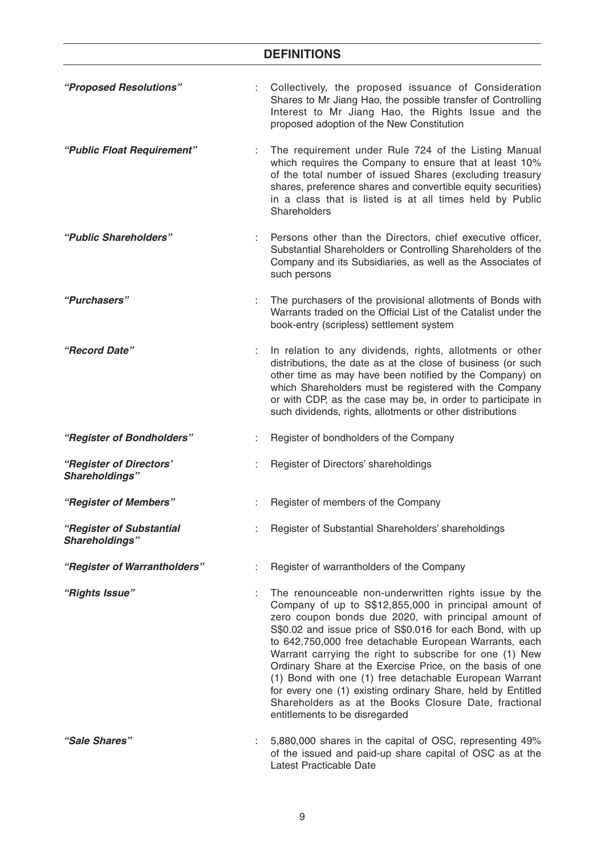| "Proposed Resolutions"                     |   | Collectively, the proposed issuance of Consideration<br>Shares to Mr Jiang Hao, the possible transfer of Controlling<br>Interest to Mr Jiang Hao, the Rights Issue and the<br>proposed adoption of the New Constitution                                                                                                                                                                                                                                                                                                                                                                                                                    |
|--------------------------------------------|---|--------------------------------------------------------------------------------------------------------------------------------------------------------------------------------------------------------------------------------------------------------------------------------------------------------------------------------------------------------------------------------------------------------------------------------------------------------------------------------------------------------------------------------------------------------------------------------------------------------------------------------------------|
| "Public Float Requirement"                 |   | The requirement under Rule 724 of the Listing Manual<br>which requires the Company to ensure that at least 10%<br>of the total number of issued Shares (excluding treasury<br>shares, preference shares and convertible equity securities)<br>in a class that is listed is at all times held by Public<br>Shareholders                                                                                                                                                                                                                                                                                                                     |
| "Public Shareholders"                      |   | Persons other than the Directors, chief executive officer,<br>Substantial Shareholders or Controlling Shareholders of the<br>Company and its Subsidiaries, as well as the Associates of<br>such persons                                                                                                                                                                                                                                                                                                                                                                                                                                    |
| "Purchasers"                               |   | The purchasers of the provisional allotments of Bonds with<br>Warrants traded on the Official List of the Catalist under the<br>book-entry (scripless) settlement system                                                                                                                                                                                                                                                                                                                                                                                                                                                                   |
| "Record Date"                              |   | In relation to any dividends, rights, allotments or other<br>distributions, the date as at the close of business (or such<br>other time as may have been notified by the Company) on<br>which Shareholders must be registered with the Company<br>or with CDP, as the case may be, in order to participate in<br>such dividends, rights, allotments or other distributions                                                                                                                                                                                                                                                                 |
| "Register of Bondholders"                  |   | Register of bondholders of the Company                                                                                                                                                                                                                                                                                                                                                                                                                                                                                                                                                                                                     |
| "Register of Directors'<br>Shareholdings"  |   | Register of Directors' shareholdings                                                                                                                                                                                                                                                                                                                                                                                                                                                                                                                                                                                                       |
| "Register of Members"                      |   | Register of members of the Company                                                                                                                                                                                                                                                                                                                                                                                                                                                                                                                                                                                                         |
| "Register of Substantial<br>Shareholdings" |   | Register of Substantial Shareholders' shareholdings                                                                                                                                                                                                                                                                                                                                                                                                                                                                                                                                                                                        |
| "Register of Warrantholders"               | ÷ | Register of warrantholders of the Company                                                                                                                                                                                                                                                                                                                                                                                                                                                                                                                                                                                                  |
| "Rights Issue"                             |   | The renounceable non-underwritten rights issue by the<br>Company of up to S\$12,855,000 in principal amount of<br>zero coupon bonds due 2020, with principal amount of<br>S\$0.02 and issue price of S\$0.016 for each Bond, with up<br>to 642,750,000 free detachable European Warrants, each<br>Warrant carrying the right to subscribe for one (1) New<br>Ordinary Share at the Exercise Price, on the basis of one<br>(1) Bond with one (1) free detachable European Warrant<br>for every one (1) existing ordinary Share, held by Entitled<br>Shareholders as at the Books Closure Date, fractional<br>entitlements to be disregarded |
| "Sale Shares"                              |   | 5,880,000 shares in the capital of OSC, representing 49%<br>of the issued and paid-up share capital of OSC as at the<br>Latest Practicable Date                                                                                                                                                                                                                                                                                                                                                                                                                                                                                            |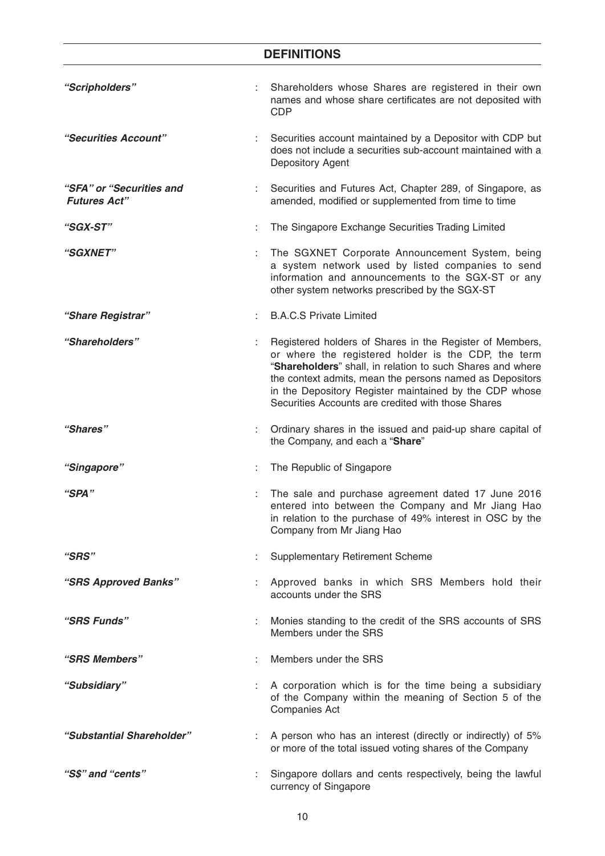# **DEFINITIONS** *"Scripholders"* : Shareholders whose Shares are registered in their own names and whose share certificates are not deposited with CDP *"Securities Account"* : Securities account maintained by a Depositor with CDP but does not include a securities sub-account maintained with a Depository Agent *"SFA" or "Securities and Futures Act"* : Securities and Futures Act, Chapter 289, of Singapore, as amended, modified or supplemented from time to time *"SGX-ST"* : The Singapore Exchange Securities Trading Limited *"SGXNET"* : The SGXNET Corporate Announcement System, being a system network used by listed companies to send information and announcements to the SGX-ST or any other system networks prescribed by the SGX-ST "Share Registrar" **1988** C.B.A.C.S Private Limited *"Shareholders"* : Registered holders of Shares in the Register of Members, or where the registered holder is the CDP, the term "**Shareholders**" shall, in relation to such Shares and where the context admits, mean the persons named as Depositors in the Depository Register maintained by the CDP whose Securities Accounts are credited with those Shares *"Shares"* : Ordinary shares in the issued and paid-up share capital of the Company, and each a "**Share**" *"Singapore"* : The Republic of Singapore *"SPA"* : The sale and purchase agreement dated 17 June 2016 entered into between the Company and Mr Jiang Hao in relation to the purchase of 49% interest in OSC by the Company from Mr Jiang Hao *"SRS"* : Supplementary Retirement Scheme *"SRS Approved Banks"* : Approved banks in which SRS Members hold their accounts under the SRS *"SRS Funds"* : Monies standing to the credit of the SRS accounts of SRS Members under the SRS *"SRS Members"* : Members under the SRS *"Subsidiary"* : A corporation which is for the time being a subsidiary of the Company within the meaning of Section 5 of the Companies Act *"Substantial Shareholder"* : A person who has an interest (directly or indirectly) of 5% or more of the total issued voting shares of the Company *"S\$" and "cents"* : Singapore dollars and cents respectively, being the lawful currency of Singapore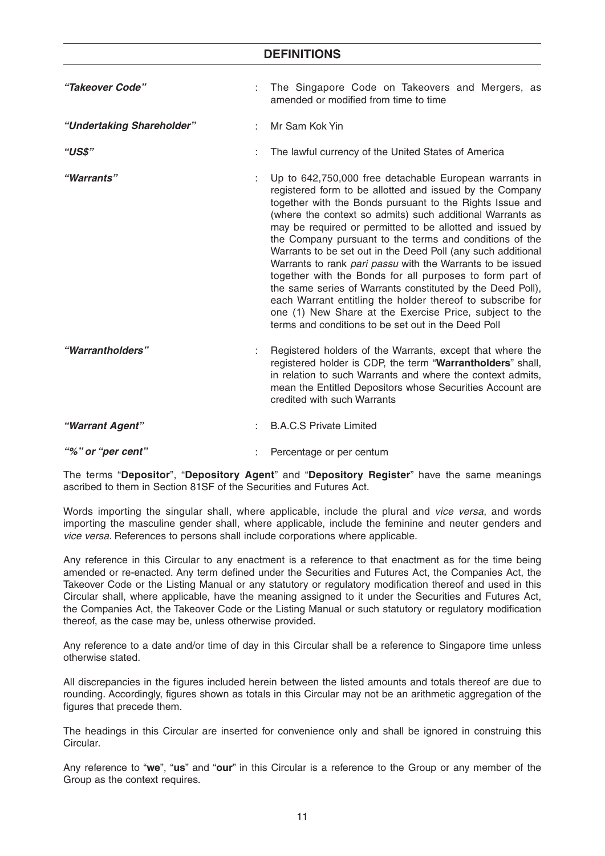| "Takeover Code"           | t. | The Singapore Code on Takeovers and Mergers, as<br>amended or modified from time to time                                                                                                                                                                                                                                                                                                                                                                                                                                                                                                                                                                                                                                                                                                                    |  |
|---------------------------|----|-------------------------------------------------------------------------------------------------------------------------------------------------------------------------------------------------------------------------------------------------------------------------------------------------------------------------------------------------------------------------------------------------------------------------------------------------------------------------------------------------------------------------------------------------------------------------------------------------------------------------------------------------------------------------------------------------------------------------------------------------------------------------------------------------------------|--|
| "Undertaking Shareholder" |    | Mr Sam Kok Yin                                                                                                                                                                                                                                                                                                                                                                                                                                                                                                                                                                                                                                                                                                                                                                                              |  |
| "US\$"                    |    | The lawful currency of the United States of America                                                                                                                                                                                                                                                                                                                                                                                                                                                                                                                                                                                                                                                                                                                                                         |  |
| "Warrants"                |    | Up to 642,750,000 free detachable European warrants in<br>registered form to be allotted and issued by the Company<br>together with the Bonds pursuant to the Rights Issue and<br>(where the context so admits) such additional Warrants as<br>may be required or permitted to be allotted and issued by<br>the Company pursuant to the terms and conditions of the<br>Warrants to be set out in the Deed Poll (any such additional<br>Warrants to rank pari passu with the Warrants to be issued<br>together with the Bonds for all purposes to form part of<br>the same series of Warrants constituted by the Deed Poll),<br>each Warrant entitling the holder thereof to subscribe for<br>one (1) New Share at the Exercise Price, subject to the<br>terms and conditions to be set out in the Deed Poll |  |
| "Warrantholders"          |    | Registered holders of the Warrants, except that where the<br>registered holder is CDP, the term "Warrantholders" shall,<br>in relation to such Warrants and where the context admits,<br>mean the Entitled Depositors whose Securities Account are<br>credited with such Warrants                                                                                                                                                                                                                                                                                                                                                                                                                                                                                                                           |  |
| "Warrant Agent"           |    | <b>B.A.C.S Private Limited</b>                                                                                                                                                                                                                                                                                                                                                                                                                                                                                                                                                                                                                                                                                                                                                                              |  |
| "%" or "per cent"         |    | Percentage or per centum                                                                                                                                                                                                                                                                                                                                                                                                                                                                                                                                                                                                                                                                                                                                                                                    |  |

The terms "**Depositor**", "**Depository Agent**" and "**Depository Register**" have the same meanings ascribed to them in Section 81SF of the Securities and Futures Act.

Words importing the singular shall, where applicable, include the plural and *vice versa*, and words importing the masculine gender shall, where applicable, include the feminine and neuter genders and *vice versa*. References to persons shall include corporations where applicable.

Any reference in this Circular to any enactment is a reference to that enactment as for the time being amended or re-enacted. Any term defined under the Securities and Futures Act, the Companies Act, the Takeover Code or the Listing Manual or any statutory or regulatory modification thereof and used in this Circular shall, where applicable, have the meaning assigned to it under the Securities and Futures Act, the Companies Act, the Takeover Code or the Listing Manual or such statutory or regulatory modification thereof, as the case may be, unless otherwise provided.

Any reference to a date and/or time of day in this Circular shall be a reference to Singapore time unless otherwise stated.

All discrepancies in the figures included herein between the listed amounts and totals thereof are due to rounding. Accordingly, figures shown as totals in this Circular may not be an arithmetic aggregation of the figures that precede them.

The headings in this Circular are inserted for convenience only and shall be ignored in construing this Circular.

Any reference to "**we**", "**us**" and "**our**" in this Circular is a reference to the Group or any member of the Group as the context requires.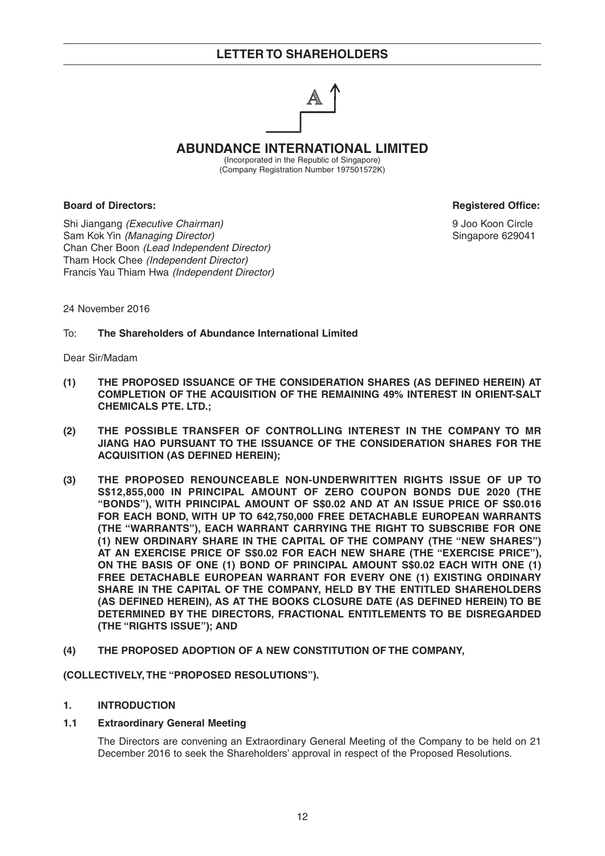

**ABUNDANCE INTERNATIONAL LIMITED**

(Incorporated in the Republic of Singapore) (Company Registration Number 197501572K)

**Board of Directors: Registered Office: Registered Office: Registered Office:** 

Shi Jiangang *(Executive Chairman)* 9 Joo Koon Circle Sam Kok Yin *(Managing Director)* **Singapore 629041 Singapore 629041** Chan Cher Boon *(Lead Independent Director)* Tham Hock Chee *(Independent Director)* Francis Yau Thiam Hwa *(Independent Director)*

24 November 2016

To: **The Shareholders of Abundance International Limited**

Dear Sir/Madam

- **(1) THE PROPOSED ISSUANCE OF THE CONSIDERATION SHARES (AS DEFINED HEREIN) AT COMPLETION OF THE ACQUISITION OF THE REMAINING 49% INTEREST IN ORIENT-SALT CHEMICALS PTE. LTD.;**
- **(2) THE POSSIBLE TRANSFER OF CONTROLLING INTEREST IN THE COMPANY TO MR JIANG HAO PURSUANT TO THE ISSUANCE OF THE CONSIDERATION SHARES FOR THE ACQUISITION (AS DEFINED HEREIN);**
- **(3) THE PROPOSED RENOUNCEABLE NON-UNDERWRITTEN RIGHTS ISSUE OF UP TO S\$12,855,000 IN PRINCIPAL AMOUNT OF ZERO COUPON BONDS DUE 2020 (THE "BONDS"), WITH PRINCIPAL AMOUNT OF S\$0.02 AND AT AN ISSUE PRICE OF S\$0.016 FOR EACH BOND, WITH UP TO 642,750,000 FREE DETACHABLE EUROPEAN WARRANTS (THE "WARRANTS"), EACH WARRANT CARRYING THE RIGHT TO SUBSCRIBE FOR ONE (1) NEW ORDINARY SHARE IN THE CAPITAL OF THE COMPANY (THE "NEW SHARES") AT AN EXERCISE PRICE OF S\$0.02 FOR EACH NEW SHARE (THE "EXERCISE PRICE"), ON THE BASIS OF ONE (1) BOND OF PRINCIPAL AMOUNT S\$0.02 EACH WITH ONE (1) FREE DETACHABLE EUROPEAN WARRANT FOR EVERY ONE (1) EXISTING ORDINARY SHARE IN THE CAPITAL OF THE COMPANY, HELD BY THE ENTITLED SHAREHOLDERS (AS DEFINED HEREIN), AS AT THE BOOKS CLOSURE DATE (AS DEFINED HEREIN) TO BE DETERMINED BY THE DIRECTORS, FRACTIONAL ENTITLEMENTS TO BE DISREGARDED (THE "RIGHTS ISSUE"); AND**
- **(4) THE PROPOSED ADOPTION OF A NEW CONSTITUTION OF THE COMPANY,**

**(COLLECTIVELY, THE "PROPOSED RESOLUTIONS").** 

### **1. INTRODUCTION**

### **1.1 Extraordinary General Meeting**

 The Directors are convening an Extraordinary General Meeting of the Company to be held on 21 December 2016 to seek the Shareholders' approval in respect of the Proposed Resolutions.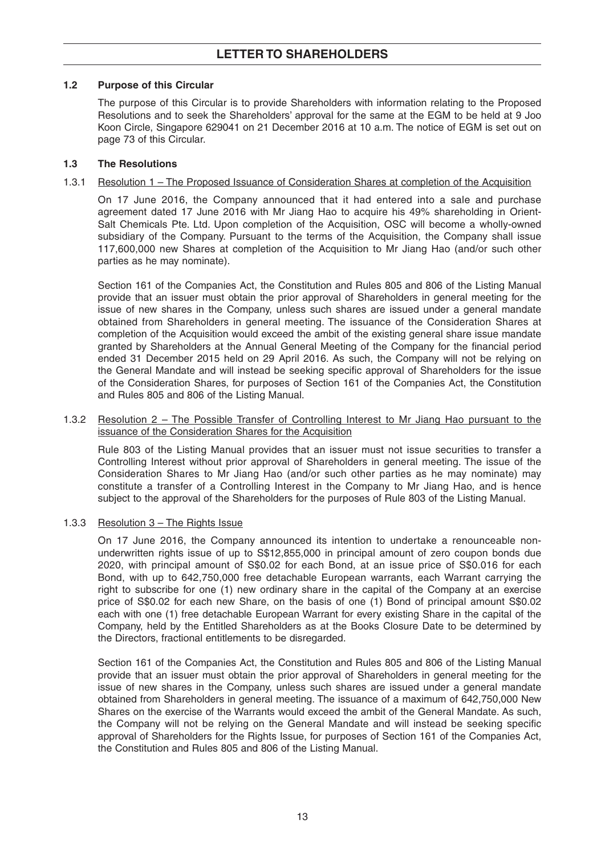## **1.2 Purpose of this Circular**

 The purpose of this Circular is to provide Shareholders with information relating to the Proposed Resolutions and to seek the Shareholders' approval for the same at the EGM to be held at 9 Joo Koon Circle, Singapore 629041 on 21 December 2016 at 10 a.m. The notice of EGM is set out on page 73 of this Circular.

## **1.3 The Resolutions**

## 1.3.1 Resolution 1 – The Proposed Issuance of Consideration Shares at completion of the Acquisition

 On 17 June 2016, the Company announced that it had entered into a sale and purchase agreement dated 17 June 2016 with Mr Jiang Hao to acquire his 49% shareholding in Orient-Salt Chemicals Pte. Ltd. Upon completion of the Acquisition, OSC will become a wholly-owned subsidiary of the Company. Pursuant to the terms of the Acquisition, the Company shall issue 117,600,000 new Shares at completion of the Acquisition to Mr Jiang Hao (and/or such other parties as he may nominate).

 Section 161 of the Companies Act, the Constitution and Rules 805 and 806 of the Listing Manual provide that an issuer must obtain the prior approval of Shareholders in general meeting for the issue of new shares in the Company, unless such shares are issued under a general mandate obtained from Shareholders in general meeting. The issuance of the Consideration Shares at completion of the Acquisition would exceed the ambit of the existing general share issue mandate granted by Shareholders at the Annual General Meeting of the Company for the financial period ended 31 December 2015 held on 29 April 2016. As such, the Company will not be relying on the General Mandate and will instead be seeking specific approval of Shareholders for the issue of the Consideration Shares, for purposes of Section 161 of the Companies Act, the Constitution and Rules 805 and 806 of the Listing Manual.

### 1.3.2 Resolution 2 – The Possible Transfer of Controlling Interest to Mr Jiang Hao pursuant to the issuance of the Consideration Shares for the Acquisition

 Rule 803 of the Listing Manual provides that an issuer must not issue securities to transfer a Controlling Interest without prior approval of Shareholders in general meeting. The issue of the Consideration Shares to Mr Jiang Hao (and/or such other parties as he may nominate) may constitute a transfer of a Controlling Interest in the Company to Mr Jiang Hao, and is hence subject to the approval of the Shareholders for the purposes of Rule 803 of the Listing Manual.

## 1.3.3 Resolution 3 - The Rights Issue

 On 17 June 2016, the Company announced its intention to undertake a renounceable nonunderwritten rights issue of up to S\$12,855,000 in principal amount of zero coupon bonds due 2020, with principal amount of S\$0.02 for each Bond, at an issue price of S\$0.016 for each Bond, with up to 642,750,000 free detachable European warrants, each Warrant carrying the right to subscribe for one (1) new ordinary share in the capital of the Company at an exercise price of S\$0.02 for each new Share, on the basis of one (1) Bond of principal amount S\$0.02 each with one (1) free detachable European Warrant for every existing Share in the capital of the Company, held by the Entitled Shareholders as at the Books Closure Date to be determined by the Directors, fractional entitlements to be disregarded.

 Section 161 of the Companies Act, the Constitution and Rules 805 and 806 of the Listing Manual provide that an issuer must obtain the prior approval of Shareholders in general meeting for the issue of new shares in the Company, unless such shares are issued under a general mandate obtained from Shareholders in general meeting. The issuance of a maximum of 642,750,000 New Shares on the exercise of the Warrants would exceed the ambit of the General Mandate. As such, the Company will not be relying on the General Mandate and will instead be seeking specific approval of Shareholders for the Rights Issue, for purposes of Section 161 of the Companies Act, the Constitution and Rules 805 and 806 of the Listing Manual.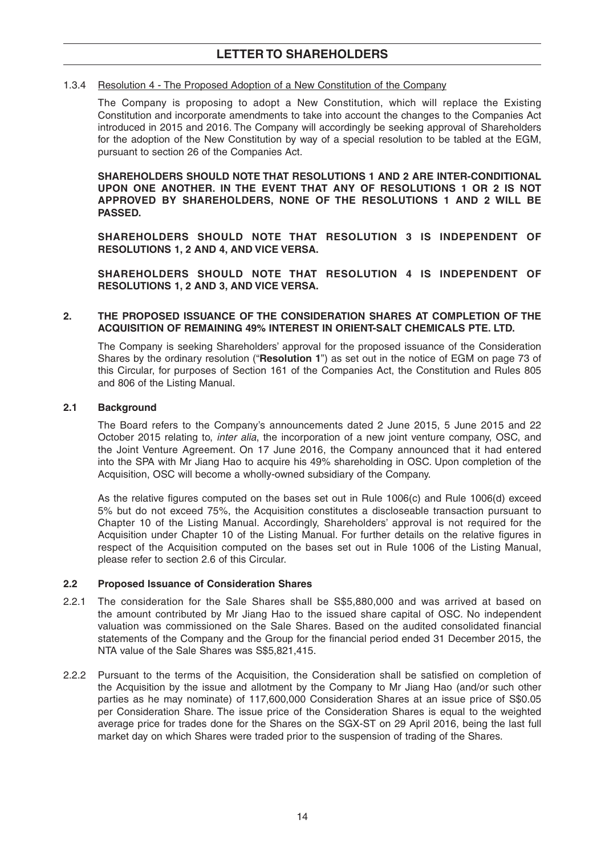### 1.3. 4 Resolution 4 - The Proposed Adoption of a New Constitution of the Company

 The Company is proposing to adopt a New Constitution, which will replace the Existing Constitution and incorporate amendments to take into account the changes to the Companies Act introduced in 2015 and 2016. The Company will accordingly be seeking approval of Shareholders for the adoption of the New Constitution by way of a special resolution to be tabled at the EGM, pursuant to section 26 of the Companies Act.

 **SHAREHOLDERS SHOULD NOTE THAT RESOLUTIONS 1 AND 2 ARE INTER-CONDITIONAL UPON ONE ANOTHER. IN THE EVENT THAT ANY OF RESOLUTIONS 1 OR 2 IS NOT APPROVED BY SHAREHOLDERS, NONE OF THE RESOLUTIONS 1 AND 2 WILL BE PASSED.**

 **SHAREHOLDERS SHOULD NOTE THAT RESOLUTION 3 IS INDEPENDENT OF RESOLUTIONS 1, 2 AND 4, AND VICE VERSA.** 

 **SHAREHOLDERS SHOULD NOTE THAT RESOLUTION 4 IS INDEPENDENT OF RESOLUTIONS 1, 2 AND 3, AND VICE VERSA.**

### **2. THE PROPOSED ISSUANCE OF THE CONSIDERATION SHARES AT COMPLETION OF THE ACQUISITION OF REMAINING 49% INTEREST IN ORIENT-SALT CHEMICALS PTE. LTD.**

The Company is seeking Shareholders' approval for the proposed issuance of the Consideration Shares by the ordinary resolution ("**Resolution 1**") as set out in the notice of EGM on page 73 of this Circular, for purposes of Section 161 of the Companies Act, the Constitution and Rules 805 and 806 of the Listing Manual.

### **2.1 Background**

The Board refers to the Company's announcements dated 2 June 2015, 5 June 2015 and 22 October 2015 relating to, *inter alia*, the incorporation of a new joint venture company, OSC, and the Joint Venture Agreement. On 17 June 2016, the Company announced that it had entered into the SPA with Mr Jiang Hao to acquire his 49% shareholding in OSC. Upon completion of the Acquisition, OSC will become a wholly-owned subsidiary of the Company.

As the relative figures computed on the bases set out in Rule  $1006(c)$  and Rule  $1006(d)$  exceed 5% but do not exceed 75%, the Acquisition constitutes a discloseable transaction pursuant to Chapter 10 of the Listing Manual. Accordingly, Shareholders' approval is not required for the Acquisition under Chapter 10 of the Listing Manual. For further details on the relative figures in respect of the Acquisition computed on the bases set out in Rule 1006 of the Listing Manual, please refer to section 2.6 of this Circular.

### **2.2 Proposed Issuance of Consideration Shares**

- 2.2.1 The consideration for the Sale Shares shall be S\$5,880,000 and was arrived at based on the amount contributed by Mr Jiang Hao to the issued share capital of OSC. No independent valuation was commissioned on the Sale Shares. Based on the audited consolidated financial statements of the Company and the Group for the financial period ended 31 December 2015, the NTA value of the Sale Shares was S\$5,821,415.
- 2.2.2 Pursuant to the terms of the Acquisition, the Consideration shall be satisfied on completion of the Acquisition by the issue and allotment by the Company to Mr Jiang Hao (and/or such other parties as he may nominate) of 117,600,000 Consideration Shares at an issue price of S\$0.05 per Consideration Share. The issue price of the Consideration Shares is equal to the weighted average price for trades done for the Shares on the SGX-ST on 29 April 2016, being the last full market day on which Shares were traded prior to the suspension of trading of the Shares.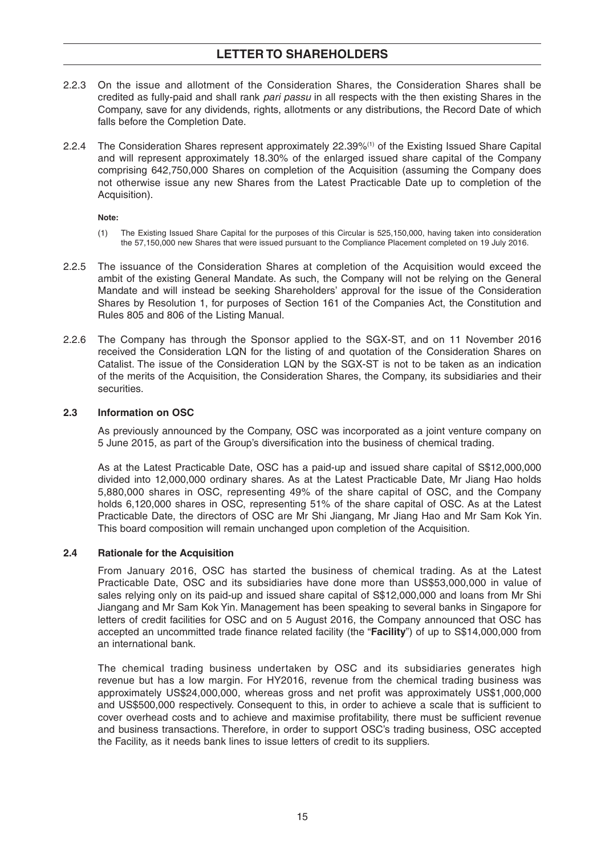- 2.2.3 On the issue and allotment of the Consideration Shares, the Consideration Shares shall be credited as fully-paid and shall rank *pari passu* in all respects with the then existing Shares in the Company, save for any dividends, rights, allotments or any distributions, the Record Date of which falls before the Completion Date.
- 2.2.4 The Consideration Shares represent approximately 22.39%(1) of the Existing Issued Share Capital and will represent approximately 18.30% of the enlarged issued share capital of the Company comprising 642,750,000 Shares on completion of the Acquisition (assuming the Company does not otherwise issue any new Shares from the Latest Practicable Date up to completion of the Acquisition).

### **Note:**

- (1) The Existing Issued Share Capital for the purposes of this Circular is 525,150,000, having taken into consideration the 57,150,000 new Shares that were issued pursuant to the Compliance Placement completed on 19 July 2016.
- 2.2.5 The issuance of the Consideration Shares at completion of the Acquisition would exceed the ambit of the existing General Mandate. As such, the Company will not be relying on the General Mandate and will instead be seeking Shareholders' approval for the issue of the Consideration Shares by Resolution 1, for purposes of Section 161 of the Companies Act, the Constitution and Rules 805 and 806 of the Listing Manual.
- 2.2.6 The Company has through the Sponsor applied to the SGX-ST, and on 11 November 2016 received the Consideration LQN for the listing of and quotation of the Consideration Shares on Catalist. The issue of the Consideration LQN by the SGX-ST is not to be taken as an indication of the merits of the Acquisition, the Consideration Shares, the Company, its subsidiaries and their securities.

## **2.3 Information on OSC**

 As previously announced by the Company, OSC was incorporated as a joint venture company on 5 June 2015, as part of the Group's diversification into the business of chemical trading.

 As at the Latest Practicable Date, OSC has a paid-up and issued share capital of S\$12,000,000 divided into 12,000,000 ordinary shares. As at the Latest Practicable Date, Mr Jiang Hao holds 5,880,000 shares in OSC, representing 49% of the share capital of OSC, and the Company holds 6,120,000 shares in OSC, representing 51% of the share capital of OSC. As at the Latest Practicable Date, the directors of OSC are Mr Shi Jiangang, Mr Jiang Hao and Mr Sam Kok Yin. This board composition will remain unchanged upon completion of the Acquisition.

## **2.4 Rationale for the Acquisition**

 From January 2016, OSC has started the business of chemical trading. As at the Latest Practicable Date, OSC and its subsidiaries have done more than US\$53,000,000 in value of sales relying only on its paid-up and issued share capital of S\$12,000,000 and loans from Mr Shi Jiangang and Mr Sam Kok Yin. Management has been speaking to several banks in Singapore for letters of credit facilities for OSC and on 5 August 2016, the Company announced that OSC has accepted an uncommitted trade finance related facility (the "Facility") of up to S\$14,000,000 from an international bank.

 The chemical trading business undertaken by OSC and its subsidiaries generates high revenue but has a low margin. For HY2016, revenue from the chemical trading business was approximately US\$24,000,000, whereas gross and net profit was approximately US\$1,000,000 and US\$500,000 respectively. Consequent to this, in order to achieve a scale that is sufficient to cover overhead costs and to achieve and maximise profitability, there must be sufficient revenue and business transactions. Therefore, in order to support OSC's trading business, OSC accepted the Facility, as it needs bank lines to issue letters of credit to its suppliers.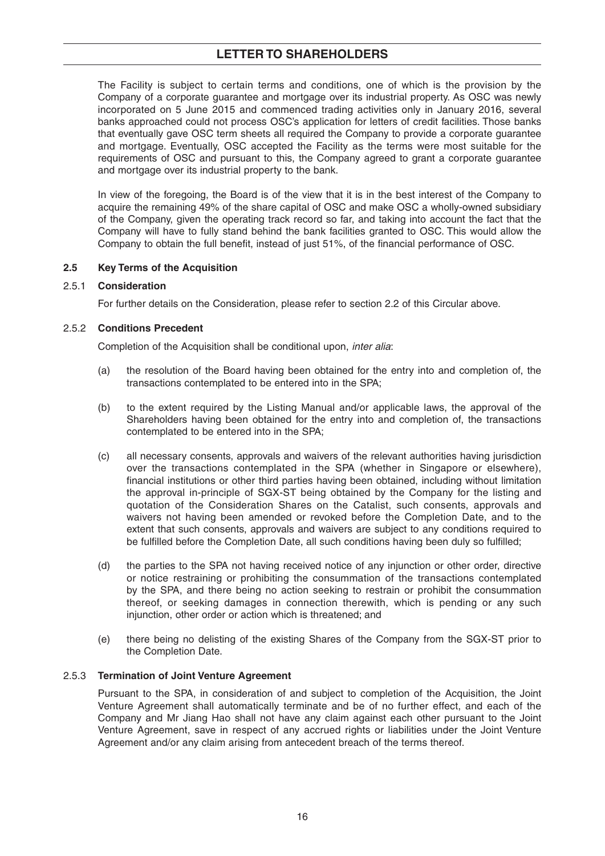The Facility is subject to certain terms and conditions, one of which is the provision by the Company of a corporate guarantee and mortgage over its industrial property. As OSC was newly incorporated on 5 June 2015 and commenced trading activities only in January 2016, several banks approached could not process OSC's application for letters of credit facilities. Those banks that eventually gave OSC term sheets all required the Company to provide a corporate guarantee and mortgage. Eventually, OSC accepted the Facility as the terms were most suitable for the requirements of OSC and pursuant to this, the Company agreed to grant a corporate guarantee and mortgage over its industrial property to the bank.

In view of the foregoing, the Board is of the view that it is in the best interest of the Company to acquire the remaining 49% of the share capital of OSC and make OSC a wholly-owned subsidiary of the Company, given the operating track record so far, and taking into account the fact that the Company will have to fully stand behind the bank facilities granted to OSC. This would allow the Company to obtain the full benefit, instead of just 51%, of the financial performance of OSC.

## **2.5 Key Terms of the Acquisition**

## 2.5.1 **Consideration**

For further details on the Consideration, please refer to section 2.2 of this Circular above.

## 2.5.2 **Conditions Precedent**

Completion of the Acquisition shall be conditional upon, *inter alia*:

- (a) the resolution of the Board having been obtained for the entry into and completion of, the transactions contemplated to be entered into in the SPA;
- (b) to the extent required by the Listing Manual and/or applicable laws, the approval of the Shareholders having been obtained for the entry into and completion of, the transactions contemplated to be entered into in the SPA;
- (c) all necessary consents, approvals and waivers of the relevant authorities having jurisdiction over the transactions contemplated in the SPA (whether in Singapore or elsewhere), financial institutions or other third parties having been obtained, including without limitation the approval in-principle of SGX-ST being obtained by the Company for the listing and quotation of the Consideration Shares on the Catalist, such consents, approvals and waivers not having been amended or revoked before the Completion Date, and to the extent that such consents, approvals and waivers are subject to any conditions required to be fulfilled before the Completion Date, all such conditions having been duly so fulfilled;
- (d) the parties to the SPA not having received notice of any injunction or other order, directive or notice restraining or prohibiting the consummation of the transactions contemplated by the SPA, and there being no action seeking to restrain or prohibit the consummation thereof, or seeking damages in connection therewith, which is pending or any such injunction, other order or action which is threatened; and
- (e) there being no delisting of the existing Shares of the Company from the SGX-ST prior to the Completion Date.

## 2.5.3 **Termination of Joint Venture Agreement**

 Pursuant to the SPA, in consideration of and subject to completion of the Acquisition, the Joint Venture Agreement shall automatically terminate and be of no further effect, and each of the Company and Mr Jiang Hao shall not have any claim against each other pursuant to the Joint Venture Agreement, save in respect of any accrued rights or liabilities under the Joint Venture Agreement and/or any claim arising from antecedent breach of the terms thereof.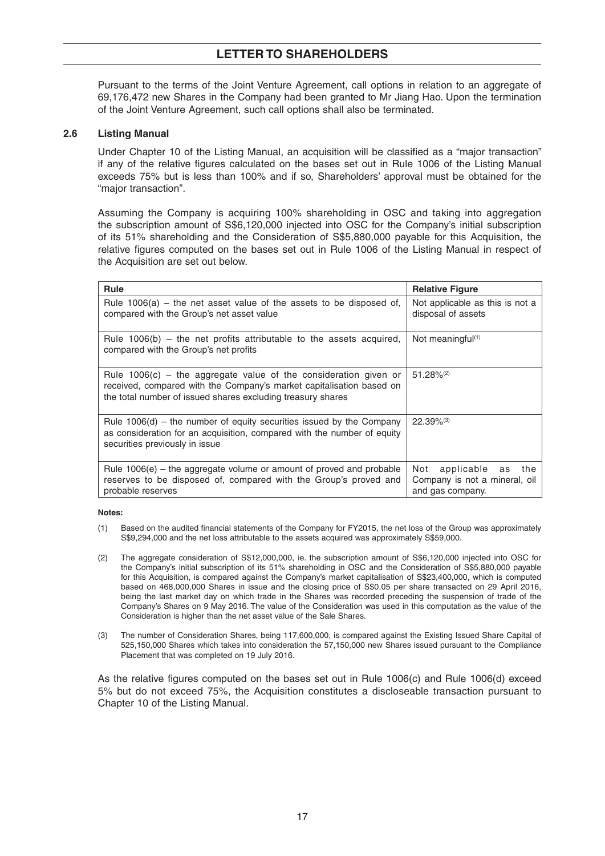Pursuant to the terms of the Joint Venture Agreement, call options in relation to an aggregate of 69,176,472 new Shares in the Company had been granted to Mr Jiang Hao. Upon the termination of the Joint Venture Agreement, such call options shall also be terminated.

### **2.6 Listing Manual**

Under Chapter 10 of the Listing Manual, an acquisition will be classified as a "major transaction" if any of the relative figures calculated on the bases set out in Rule 1006 of the Listing Manual exceeds 75% but is less than 100% and if so, Shareholders' approval must be obtained for the "major transaction".

 Assuming the Company is acquiring 100% shareholding in OSC and taking into aggregation the subscription amount of S\$6,120,000 injected into OSC for the Company's initial subscription of its 51% shareholding and the Consideration of S\$5,880,000 payable for this Acquisition, the relative figures computed on the bases set out in Rule 1006 of the Listing Manual in respect of the Acquisition are set out below.

| <b>Rule</b>                                                                                                                                                                                               | <b>Relative Figure</b>                                                           |
|-----------------------------------------------------------------------------------------------------------------------------------------------------------------------------------------------------------|----------------------------------------------------------------------------------|
| Rule $1006(a)$ – the net asset value of the assets to be disposed of,<br>compared with the Group's net asset value                                                                                        | Not applicable as this is not a<br>disposal of assets                            |
| Rule $1006(b)$ – the net profits attributable to the assets acquired,<br>compared with the Group's net profits                                                                                            | Not meaningful $(1)$                                                             |
| Rule $1006(c)$ – the aggregate value of the consideration given or<br>received, compared with the Company's market capitalisation based on<br>the total number of issued shares excluding treasury shares | $51.28\%^{(2)}$                                                                  |
| Rule $1006(d)$ – the number of equity securities issued by the Company<br>as consideration for an acquisition, compared with the number of equity<br>securities previously in issue                       | $22.39\%$ <sup>(3)</sup>                                                         |
| Rule $1006(e)$ – the aggregate volume or amount of proved and probable<br>reserves to be disposed of, compared with the Group's proved and<br>probable reserves                                           | applicable as<br>the<br>Not<br>Company is not a mineral, oil<br>and gas company. |

#### **Notes:**

- (1) Based on the audited financial statements of the Company for FY2015, the net loss of the Group was approximately S\$9,294,000 and the net loss attributable to the assets acquired was approximately S\$59,000.
- (2) The aggregate consideration of S\$12,000,000, ie. the subscription amount of S\$6,120,000 injected into OSC for the Company's initial subscription of its 51% shareholding in OSC and the Consideration of S\$5,880,000 payable for this Acquisition, is compared against the Company's market capitalisation of S\$23,400,000, which is computed based on 468,000,000 Shares in issue and the closing price of S\$0.05 per share transacted on 29 April 2016, being the last market day on which trade in the Shares was recorded preceding the suspension of trade of the Company's Shares on 9 May 2016. The value of the Consideration was used in this computation as the value of the Consideration is higher than the net asset value of the Sale Shares.
- (3) The number of Consideration Shares, being 117,600,000, is compared against the Existing Issued Share Capital of 525,150,000 Shares which takes into consideration the 57,150,000 new Shares issued pursuant to the Compliance Placement that was completed on 19 July 2016.

As the relative figures computed on the bases set out in Rule 1006(c) and Rule 1006(d) exceed 5% but do not exceed 75%, the Acquisition constitutes a discloseable transaction pursuant to Chapter 10 of the Listing Manual.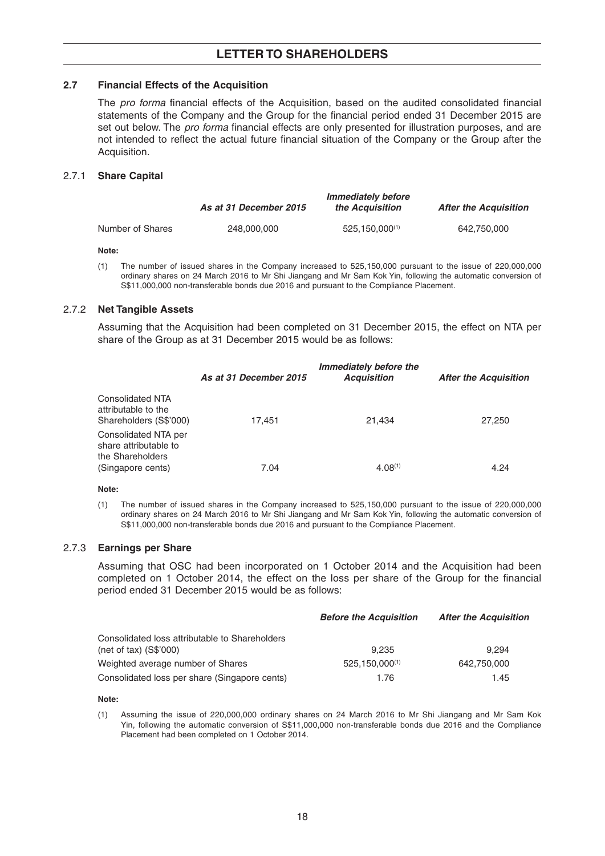### **2.7 Financial Effects of the Acquisition**

The *pro forma* financial effects of the Acquisition, based on the audited consolidated financial statements of the Company and the Group for the financial period ended 31 December 2015 are set out below. The *pro forma* financial effects are only presented for illustration purposes, and are not intended to reflect the actual future financial situation of the Company or the Group after the Acquisition.

### 2.7.1 **Share Capital**

|                  | As at 31 December 2015 | <b>Immediately before</b><br>the Acquisition | <b>After the Acquisition</b> |
|------------------|------------------------|----------------------------------------------|------------------------------|
| Number of Shares | 248,000,000            | 525.150.000(1)                               | 642.750.000                  |

#### **Note:**

 (1) The number of issued shares in the Company increased to 525,150,000 pursuant to the issue of 220,000,000 ordinary shares on 24 March 2016 to Mr Shi Jiangang and Mr Sam Kok Yin, following the automatic conversion of S\$11,000,000 non-transferable bonds due 2016 and pursuant to the Compliance Placement.

### 2.7.2 **Net Tangible Assets**

 Assuming that the Acquisition had been completed on 31 December 2015, the effect on NTA per share of the Group as at 31 December 2015 would be as follows:

|                                                                          | As at 31 December 2015 | Immediately before the<br><b>Acquisition</b> | <b>After the Acquisition</b> |
|--------------------------------------------------------------------------|------------------------|----------------------------------------------|------------------------------|
| <b>Consolidated NTA</b><br>attributable to the<br>Shareholders (S\$'000) | 17,451                 | 21,434                                       | 27,250                       |
| Consolidated NTA per<br>share attributable to<br>the Shareholders        |                        |                                              |                              |
| (Singapore cents)                                                        | 7.04                   | $4.08^{(1)}$                                 | 4.24                         |

#### **Note:**

 (1) The number of issued shares in the Company increased to 525,150,000 pursuant to the issue of 220,000,000 ordinary shares on 24 March 2016 to Mr Shi Jiangang and Mr Sam Kok Yin, following the automatic conversion of S\$11,000,000 non-transferable bonds due 2016 and pursuant to the Compliance Placement.

### 2.7.3 **Earnings per Share**

 Assuming that OSC had been incorporated on 1 October 2014 and the Acquisition had been completed on 1 October 2014, the effect on the loss per share of the Group for the financial period ended 31 December 2015 would be as follows:

|                                                | <b>Before the Acquisition</b> | <b>After the Acquisition</b> |
|------------------------------------------------|-------------------------------|------------------------------|
| Consolidated loss attributable to Shareholders |                               |                              |
| $(net of tax)$ $(S$'000)$                      | 9.235                         | 9.294                        |
| Weighted average number of Shares              | 525.150.000(1)                | 642.750.000                  |
| Consolidated loss per share (Singapore cents)  | 1.76                          | 1.45                         |

#### **Note:**

 (1) Assuming the issue of 220,000,000 ordinary shares on 24 March 2016 to Mr Shi Jiangang and Mr Sam Kok Yin, following the automatic conversion of S\$11,000,000 non-transferable bonds due 2016 and the Compliance Placement had been completed on 1 October 2014.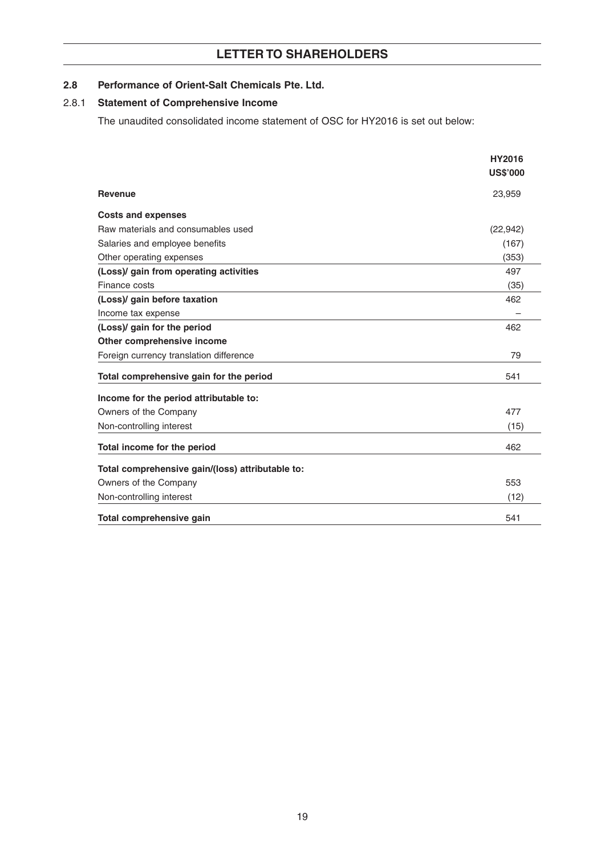## 2.8 Performance of Orient-Salt Chemicals Pte. Ltd.

### 2.8.1 **Statement of Comprehensive Income**

The unaudited consolidated income statement of OSC for HY2016 is set out below:

|                                                  | <b>HY2016</b>   |
|--------------------------------------------------|-----------------|
|                                                  | <b>US\$'000</b> |
| <b>Revenue</b>                                   | 23,959          |
| <b>Costs and expenses</b>                        |                 |
| Raw materials and consumables used               | (22, 942)       |
| Salaries and employee benefits                   | (167)           |
| Other operating expenses                         | (353)           |
| (Loss)/ gain from operating activities           | 497             |
| Finance costs                                    | (35)            |
| (Loss)/ gain before taxation                     | 462             |
| Income tax expense                               |                 |
| (Loss)/ gain for the period                      | 462             |
| Other comprehensive income                       |                 |
| Foreign currency translation difference          | 79              |
| Total comprehensive gain for the period          | 541             |
| Income for the period attributable to:           |                 |
| Owners of the Company                            | 477             |
| Non-controlling interest                         | (15)            |
| Total income for the period                      | 462             |
| Total comprehensive gain/(loss) attributable to: |                 |
| Owners of the Company                            | 553             |
| Non-controlling interest                         | (12)            |
| Total comprehensive gain                         | 541             |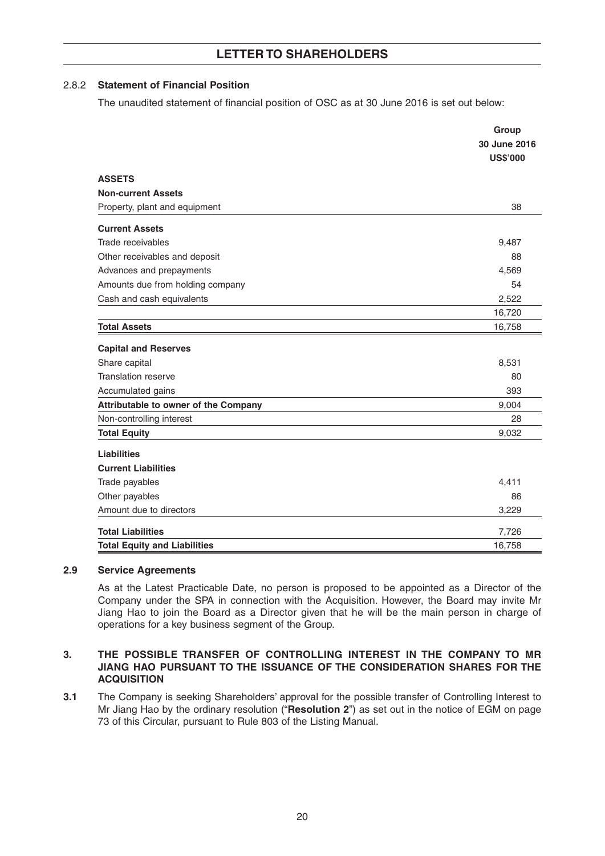## 2.8.2 **Statement of Financial Position**

The unaudited statement of financial position of OSC as at 30 June 2016 is set out below:

|                                      | Group                           |
|--------------------------------------|---------------------------------|
|                                      | 30 June 2016<br><b>US\$'000</b> |
| <b>ASSETS</b>                        |                                 |
| <b>Non-current Assets</b>            |                                 |
| Property, plant and equipment        | 38                              |
| <b>Current Assets</b>                |                                 |
| Trade receivables                    | 9,487                           |
| Other receivables and deposit        | 88                              |
| Advances and prepayments             | 4,569                           |
| Amounts due from holding company     | 54                              |
| Cash and cash equivalents            | 2,522                           |
|                                      | 16,720                          |
| <b>Total Assets</b>                  | 16,758                          |
| <b>Capital and Reserves</b>          |                                 |
| Share capital                        | 8,531                           |
| <b>Translation reserve</b>           | 80                              |
| Accumulated gains                    | 393                             |
| Attributable to owner of the Company | 9,004                           |
| Non-controlling interest             | 28                              |
| <b>Total Equity</b>                  | 9,032                           |
| <b>Liabilities</b>                   |                                 |
| <b>Current Liabilities</b>           |                                 |
| Trade payables                       | 4,411                           |
| Other payables                       | 86                              |
| Amount due to directors              | 3,229                           |
| <b>Total Liabilities</b>             | 7,726                           |
| <b>Total Equity and Liabilities</b>  | 16,758                          |

### **2.9 Service Agreements**

 As at the Latest Practicable Date, no person is proposed to be appointed as a Director of the Company under the SPA in connection with the Acquisition. However, the Board may invite Mr Jiang Hao to join the Board as a Director given that he will be the main person in charge of operations for a key business segment of the Group.

### **3. THE POSSIBLE TRANSFER OF CONTROLLING INTEREST IN THE COMPANY TO MR JIANG HAO PURSUANT TO THE ISSUANCE OF THE CONSIDERATION SHARES FOR THE ACQUISITION**

**3.1** The Company is seeking Shareholders' approval for the possible transfer of Controlling Interest to Mr Jiang Hao by the ordinary resolution ("**Resolution 2**") as set out in the notice of EGM on page 73 of this Circular, pursuant to Rule 803 of the Listing Manual.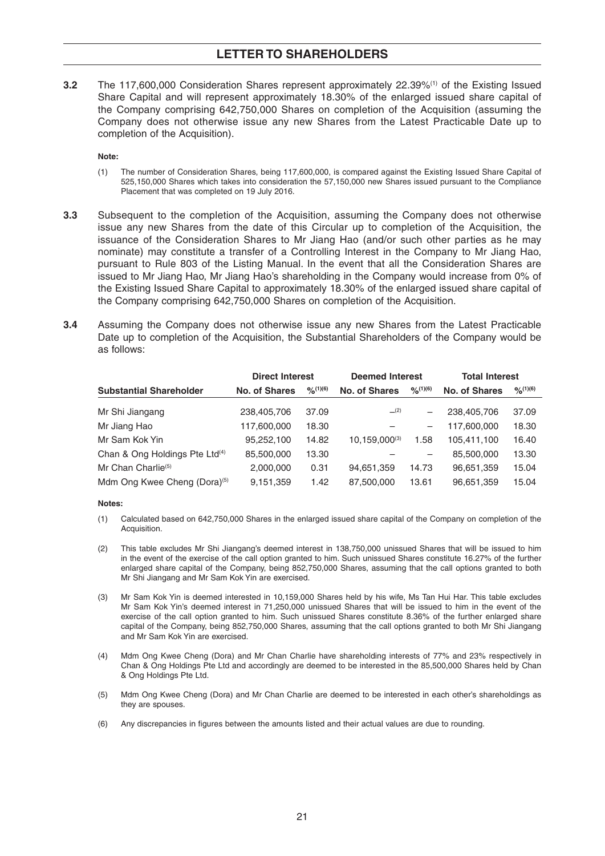**3.2** The 117,600,000 Consideration Shares represent approximately 22.39%(1) of the Existing Issued Share Capital and will represent approximately 18.30% of the enlarged issued share capital of the Company comprising 642,750,000 Shares on completion of the Acquisition (assuming the Company does not otherwise issue any new Shares from the Latest Practicable Date up to completion of the Acquisition).

**Note:**

- (1) The number of Consideration Shares, being 117,600,000, is compared against the Existing Issued Share Capital of 525,150,000 Shares which takes into consideration the 57,150,000 new Shares issued pursuant to the Compliance Placement that was completed on 19 July 2016.
- **3.3** Subsequent to the completion of the Acquisition, assuming the Company does not otherwise issue any new Shares from the date of this Circular up to completion of the Acquisition, the issuance of the Consideration Shares to Mr Jiang Hao (and/or such other parties as he may nominate) may constitute a transfer of a Controlling Interest in the Company to Mr Jiang Hao, pursuant to Rule 803 of the Listing Manual. In the event that all the Consideration Shares are issued to Mr Jiang Hao, Mr Jiang Hao's shareholding in the Company would increase from 0% of the Existing Issued Share Capital to approximately 18.30% of the enlarged issued share capital of the Company comprising 642,750,000 Shares on completion of the Acquisition.
- **3.4** Assuming the Company does not otherwise issue any new Shares from the Latest Practicable Date up to completion of the Acquisition, the Substantial Shareholders of the Company would be as follows:

|                                            | <b>Direct Interest</b> |               | <b>Deemed Interest</b> |                             | <b>Total Interest</b> |                |  |
|--------------------------------------------|------------------------|---------------|------------------------|-----------------------------|-----------------------|----------------|--|
| <b>Substantial Shareholder</b>             | <b>No. of Shares</b>   | $O_{0}(1)(6)$ | <b>No. of Shares</b>   | $O_{\Omega}^{\prime}(1)(6)$ | <b>No. of Shares</b>  | $9/6^{(1)(6)}$ |  |
| Mr Shi Jiangang                            | 238,405,706            | 37.09         | (2)                    |                             | 238,405,706           | 37.09          |  |
| Mr Jiang Hao                               | 117,600,000            | 18.30         |                        |                             | 117,600,000           | 18.30          |  |
| Mr Sam Kok Yin                             | 95,252,100             | 14.82         | $10.159.000^{(3)}$     | 1.58                        | 105,411,100           | 16.40          |  |
| Chan & Ong Holdings Pte Ltd <sup>(4)</sup> | 85,500,000             | 13.30         |                        | $\qquad \qquad -$           | 85,500,000            | 13.30          |  |
| Mr Chan Charlie <sup>(5)</sup>             | 2,000,000              | 0.31          | 94,651,359             | 14.73                       | 96,651,359            | 15.04          |  |
| Mdm Ong Kwee Cheng (Dora) <sup>(5)</sup>   | 9.151.359              | 1.42          | 87,500,000             | 13.61                       | 96,651,359            | 15.04          |  |

#### **Notes:**

- (1) Calculated based on 642,750,000 Shares in the enlarged issued share capital of the Company on completion of the Acquisition.
- (2) This table excludes Mr Shi Jiangang's deemed interest in 138,750,000 unissued Shares that will be issued to him in the event of the exercise of the call option granted to him. Such unissued Shares constitute 16.27% of the further enlarged share capital of the Company, being 852,750,000 Shares, assuming that the call options granted to both Mr Shi Jiangang and Mr Sam Kok Yin are exercised.
- (3) Mr Sam Kok Yin is deemed interested in 10,159,000 Shares held by his wife, Ms Tan Hui Har. This table excludes Mr Sam Kok Yin's deemed interest in 71,250,000 unissued Shares that will be issued to him in the event of the exercise of the call option granted to him. Such unissued Shares constitute 8.36% of the further enlarged share capital of the Company, being 852,750,000 Shares, assuming that the call options granted to both Mr Shi Jiangang and Mr Sam Kok Yin are exercised.
- (4) Mdm Ong Kwee Cheng (Dora) and Mr Chan Charlie have shareholding interests of 77% and 23% respectively in Chan & Ong Holdings Pte Ltd and accordingly are deemed to be interested in the 85,500,000 Shares held by Chan & Ong Holdings Pte Ltd.
- (5) Mdm Ong Kwee Cheng (Dora) and Mr Chan Charlie are deemed to be interested in each other's shareholdings as they are spouses.
- (6) Any discrepancies in figures between the amounts listed and their actual values are due to rounding.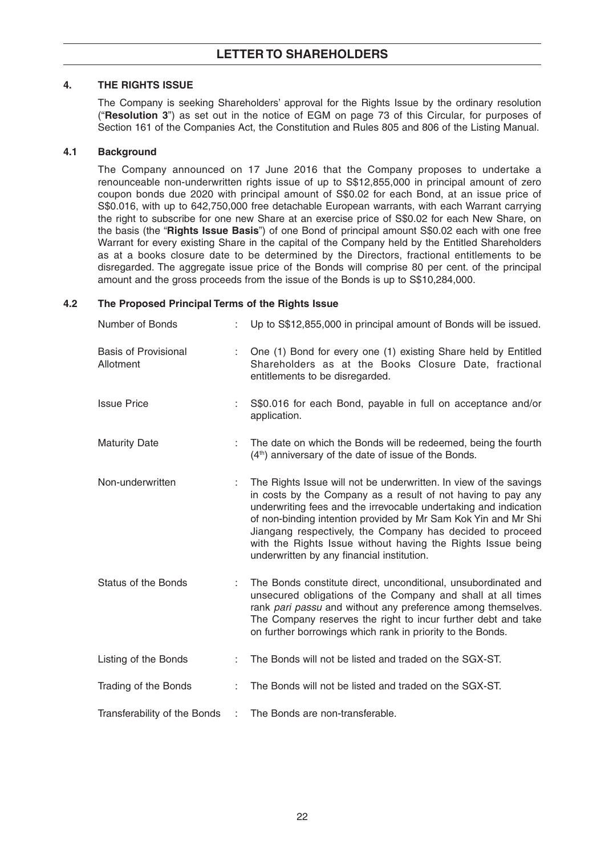## **4. THE RIGHTS ISSUE**

The Company is seeking Shareholders' approval for the Rights Issue by the ordinary resolution ("**Resolution 3**") as set out in the notice of EGM on page73 of this Circular, for purposes of Section 161 of the Companies Act, the Constitution and Rules 805 and 806 of the Listing Manual.

## **4.1 Background**

 The Company announced on 17 June 2016 that the Company proposes to undertake a renounceable non-underwritten rights issue of up to S\$12,855,000 in principal amount of zero coupon bonds due 2020 with principal amount of S\$0.02 for each Bond, at an issue price of S\$0.016, with up to 642,750,000 free detachable European warrants, with each Warrant carrying the right to subscribe for one new Share at an exercise price of S\$0.02 for each New Share, on the basis (the "**Rights Issue Basis**") of one Bond of principal amount S\$0.02 each with one free Warrant for every existing Share in the capital of the Company held by the Entitled Shareholders as at a books closure date to be determined by the Directors, fractional entitlements to be disregarded. The aggregate issue price of the Bonds will comprise 80 per cent. of the principal amount and the gross proceeds from the issue of the Bonds is up to S\$10,284,000.

## **4.2 The Proposed Principal Terms of the Rights Issue**

| Number of Bonds                          |    | Up to S\$12,855,000 in principal amount of Bonds will be issued.                                                                                                                                                                                                                                                                                                                                                                                  |
|------------------------------------------|----|---------------------------------------------------------------------------------------------------------------------------------------------------------------------------------------------------------------------------------------------------------------------------------------------------------------------------------------------------------------------------------------------------------------------------------------------------|
| <b>Basis of Provisional</b><br>Allotment |    | One (1) Bond for every one (1) existing Share held by Entitled<br>Shareholders as at the Books Closure Date, fractional<br>entitlements to be disregarded.                                                                                                                                                                                                                                                                                        |
| <b>Issue Price</b>                       |    | S\$0.016 for each Bond, payable in full on acceptance and/or<br>application.                                                                                                                                                                                                                                                                                                                                                                      |
| <b>Maturity Date</b>                     | ÷  | The date on which the Bonds will be redeemed, being the fourth<br>(4 <sup>th</sup> ) anniversary of the date of issue of the Bonds.                                                                                                                                                                                                                                                                                                               |
| Non-underwritten                         |    | The Rights Issue will not be underwritten. In view of the savings<br>in costs by the Company as a result of not having to pay any<br>underwriting fees and the irrevocable undertaking and indication<br>of non-binding intention provided by Mr Sam Kok Yin and Mr Shi<br>Jiangang respectively, the Company has decided to proceed<br>with the Rights Issue without having the Rights Issue being<br>underwritten by any financial institution. |
| <b>Status of the Bonds</b>               |    | The Bonds constitute direct, unconditional, unsubordinated and<br>unsecured obligations of the Company and shall at all times<br>rank pari passu and without any preference among themselves.<br>The Company reserves the right to incur further debt and take<br>on further borrowings which rank in priority to the Bonds.                                                                                                                      |
| Listing of the Bonds                     |    | The Bonds will not be listed and traded on the SGX-ST.                                                                                                                                                                                                                                                                                                                                                                                            |
| Trading of the Bonds                     | ÷. | The Bonds will not be listed and traded on the SGX-ST.                                                                                                                                                                                                                                                                                                                                                                                            |
| Transferability of the Bonds             | ÷  | The Bonds are non-transferable.                                                                                                                                                                                                                                                                                                                                                                                                                   |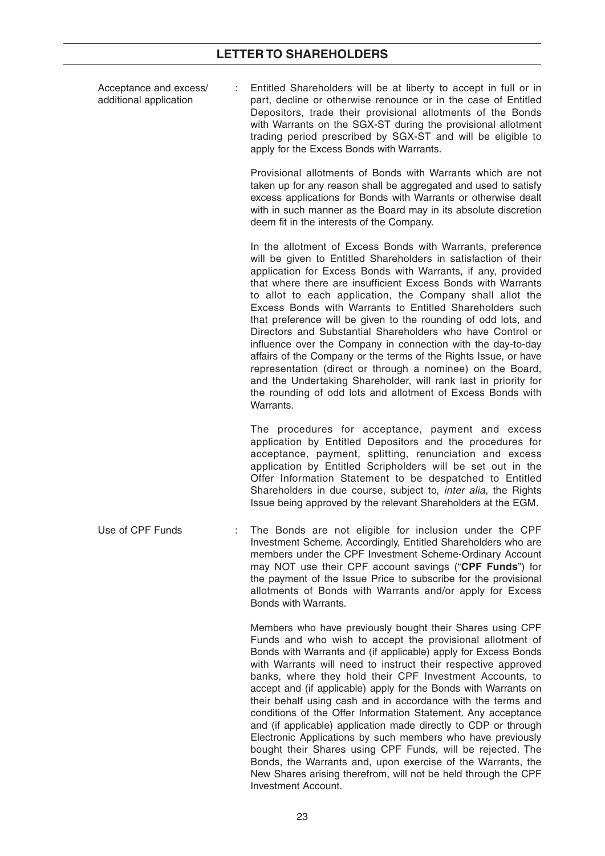| Acceptance and excess/<br>additional application | Entitled Shareholders will be at liberty to accept in full or in<br>part, decline or otherwise renounce or in the case of Entitled<br>Depositors, trade their provisional allotments of the Bonds<br>with Warrants on the SGX-ST during the provisional allotment<br>trading period prescribed by SGX-ST and will be eligible to<br>apply for the Excess Bonds with Warrants.                                                                                                                                                                                                                                                                                                                                                                                                                                                                                           |
|--------------------------------------------------|-------------------------------------------------------------------------------------------------------------------------------------------------------------------------------------------------------------------------------------------------------------------------------------------------------------------------------------------------------------------------------------------------------------------------------------------------------------------------------------------------------------------------------------------------------------------------------------------------------------------------------------------------------------------------------------------------------------------------------------------------------------------------------------------------------------------------------------------------------------------------|
|                                                  | Provisional allotments of Bonds with Warrants which are not<br>taken up for any reason shall be aggregated and used to satisfy<br>excess applications for Bonds with Warrants or otherwise dealt<br>with in such manner as the Board may in its absolute discretion<br>deem fit in the interests of the Company.                                                                                                                                                                                                                                                                                                                                                                                                                                                                                                                                                        |
|                                                  | In the allotment of Excess Bonds with Warrants, preference<br>will be given to Entitled Shareholders in satisfaction of their<br>application for Excess Bonds with Warrants, if any, provided<br>that where there are insufficient Excess Bonds with Warrants<br>to allot to each application, the Company shall allot the<br>Excess Bonds with Warrants to Entitled Shareholders such<br>that preference will be given to the rounding of odd lots, and<br>Directors and Substantial Shareholders who have Control or<br>influence over the Company in connection with the day-to-day<br>affairs of the Company or the terms of the Rights Issue, or have<br>representation (direct or through a nominee) on the Board,<br>and the Undertaking Shareholder, will rank last in priority for<br>the rounding of odd lots and allotment of Excess Bonds with<br>Warrants. |
|                                                  | The procedures for acceptance, payment and excess<br>application by Entitled Depositors and the procedures for<br>acceptance, payment, splitting, renunciation and excess<br>application by Entitled Scripholders will be set out in the<br>Offer Information Statement to be despatched to Entitled<br>Shareholders in due course, subject to, inter alia, the Rights<br>Issue being approved by the relevant Shareholders at the EGM.                                                                                                                                                                                                                                                                                                                                                                                                                                 |
| Use of CPF Funds                                 | The Bonds are not eligible for inclusion under the CPF<br>Investment Scheme. Accordingly, Entitled Shareholders who are<br>members under the CPF Investment Scheme-Ordinary Account<br>may NOT use their CPF account savings ("CPF Funds") for<br>the payment of the Issue Price to subscribe for the provisional<br>allotments of Bonds with Warrants and/or apply for Excess<br>Bonds with Warrants.                                                                                                                                                                                                                                                                                                                                                                                                                                                                  |
|                                                  | Members who have previously bought their Shares using CPF<br>Funds and who wish to accept the provisional allotment of<br>Bonds with Warrants and (if applicable) apply for Excess Bonds<br>with Warrants will need to instruct their respective approved<br>banks, where they hold their CPF Investment Accounts, to<br>accept and (if applicable) apply for the Bonds with Warrants on<br>their behalf using cash and in accordance with the terms and<br>conditions of the Offer Information Statement. Any acceptance<br>and (if applicable) application made directly to CDP or through<br>Electronic Applications by such members who have previously<br>bought their Shares using CPF Funds, will be rejected. The<br>Bonds, the Warrants and, upon exercise of the Warrants, the                                                                                |

Investment Account.

New Shares arising therefrom, will not be held through the CPF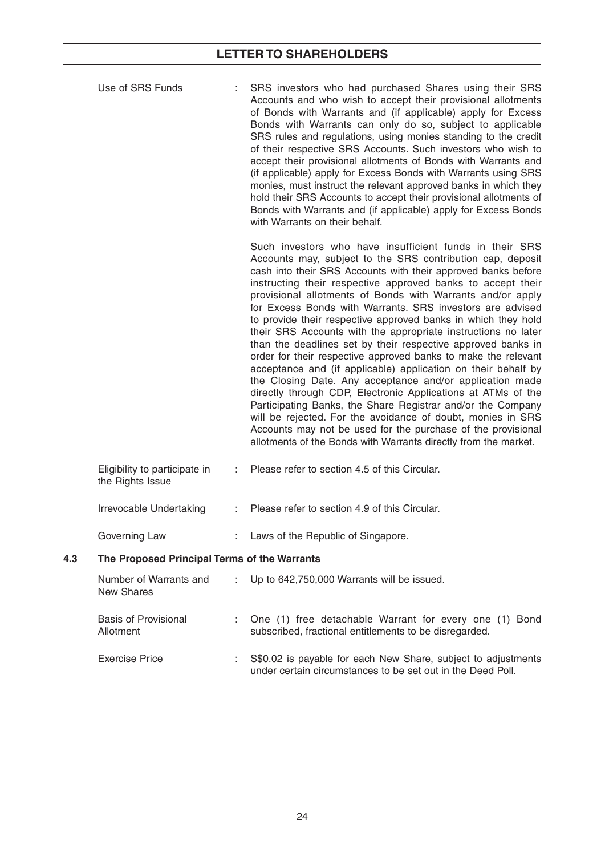|     | Use of SRS Funds                                  |    | SRS investors who had purchased Shares using their SRS<br>Accounts and who wish to accept their provisional allotments<br>of Bonds with Warrants and (if applicable) apply for Excess<br>Bonds with Warrants can only do so, subject to applicable<br>SRS rules and regulations, using monies standing to the credit<br>of their respective SRS Accounts. Such investors who wish to<br>accept their provisional allotments of Bonds with Warrants and<br>(if applicable) apply for Excess Bonds with Warrants using SRS<br>monies, must instruct the relevant approved banks in which they<br>hold their SRS Accounts to accept their provisional allotments of<br>Bonds with Warrants and (if applicable) apply for Excess Bonds<br>with Warrants on their behalf.                                                                                                                                                                                                                                                                                                                                               |
|-----|---------------------------------------------------|----|--------------------------------------------------------------------------------------------------------------------------------------------------------------------------------------------------------------------------------------------------------------------------------------------------------------------------------------------------------------------------------------------------------------------------------------------------------------------------------------------------------------------------------------------------------------------------------------------------------------------------------------------------------------------------------------------------------------------------------------------------------------------------------------------------------------------------------------------------------------------------------------------------------------------------------------------------------------------------------------------------------------------------------------------------------------------------------------------------------------------|
|     |                                                   |    | Such investors who have insufficient funds in their SRS<br>Accounts may, subject to the SRS contribution cap, deposit<br>cash into their SRS Accounts with their approved banks before<br>instructing their respective approved banks to accept their<br>provisional allotments of Bonds with Warrants and/or apply<br>for Excess Bonds with Warrants. SRS investors are advised<br>to provide their respective approved banks in which they hold<br>their SRS Accounts with the appropriate instructions no later<br>than the deadlines set by their respective approved banks in<br>order for their respective approved banks to make the relevant<br>acceptance and (if applicable) application on their behalf by<br>the Closing Date. Any acceptance and/or application made<br>directly through CDP, Electronic Applications at ATMs of the<br>Participating Banks, the Share Registrar and/or the Company<br>will be rejected. For the avoidance of doubt, monies in SRS<br>Accounts may not be used for the purchase of the provisional<br>allotments of the Bonds with Warrants directly from the market. |
|     | Eligibility to participate in<br>the Rights Issue |    | Please refer to section 4.5 of this Circular.                                                                                                                                                                                                                                                                                                                                                                                                                                                                                                                                                                                                                                                                                                                                                                                                                                                                                                                                                                                                                                                                      |
|     | Irrevocable Undertaking                           | t. | Please refer to section 4.9 of this Circular.                                                                                                                                                                                                                                                                                                                                                                                                                                                                                                                                                                                                                                                                                                                                                                                                                                                                                                                                                                                                                                                                      |
|     | Governing Law                                     |    | Laws of the Republic of Singapore.                                                                                                                                                                                                                                                                                                                                                                                                                                                                                                                                                                                                                                                                                                                                                                                                                                                                                                                                                                                                                                                                                 |
| 4.3 | The Proposed Principal Terms of the Warrants      |    |                                                                                                                                                                                                                                                                                                                                                                                                                                                                                                                                                                                                                                                                                                                                                                                                                                                                                                                                                                                                                                                                                                                    |
|     | Number of Warrants and<br><b>New Shares</b>       |    | Up to 642,750,000 Warrants will be issued.                                                                                                                                                                                                                                                                                                                                                                                                                                                                                                                                                                                                                                                                                                                                                                                                                                                                                                                                                                                                                                                                         |
|     | <b>Basis of Provisional</b><br>Allotment          | t. | One (1) free detachable Warrant for every one (1) Bond<br>subscribed, fractional entitlements to be disregarded.                                                                                                                                                                                                                                                                                                                                                                                                                                                                                                                                                                                                                                                                                                                                                                                                                                                                                                                                                                                                   |
|     | <b>Exercise Price</b>                             |    | S\$0.02 is payable for each New Share, subject to adjustments<br>under certain circumstances to be set out in the Deed Poll.                                                                                                                                                                                                                                                                                                                                                                                                                                                                                                                                                                                                                                                                                                                                                                                                                                                                                                                                                                                       |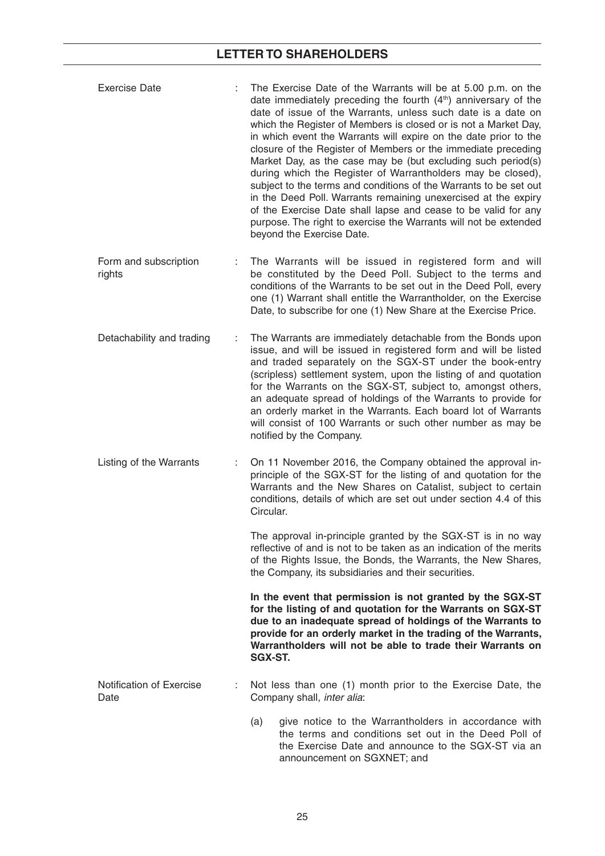| <b>Exercise Date</b>             | The Exercise Date of the Warrants will be at 5.00 p.m. on the<br>date immediately preceding the fourth $(4th)$ anniversary of the<br>date of issue of the Warrants, unless such date is a date on<br>which the Register of Members is closed or is not a Market Day,<br>in which event the Warrants will expire on the date prior to the<br>closure of the Register of Members or the immediate preceding<br>Market Day, as the case may be (but excluding such period(s)<br>during which the Register of Warrantholders may be closed),<br>subject to the terms and conditions of the Warrants to be set out<br>in the Deed Poll. Warrants remaining unexercised at the expiry<br>of the Exercise Date shall lapse and cease to be valid for any<br>purpose. The right to exercise the Warrants will not be extended<br>beyond the Exercise Date. |
|----------------------------------|----------------------------------------------------------------------------------------------------------------------------------------------------------------------------------------------------------------------------------------------------------------------------------------------------------------------------------------------------------------------------------------------------------------------------------------------------------------------------------------------------------------------------------------------------------------------------------------------------------------------------------------------------------------------------------------------------------------------------------------------------------------------------------------------------------------------------------------------------|
| Form and subscription<br>rights  | The Warrants will be issued in registered form and will<br>be constituted by the Deed Poll. Subject to the terms and<br>conditions of the Warrants to be set out in the Deed Poll, every<br>one (1) Warrant shall entitle the Warrantholder, on the Exercise<br>Date, to subscribe for one (1) New Share at the Exercise Price.                                                                                                                                                                                                                                                                                                                                                                                                                                                                                                                    |
| Detachability and trading        | The Warrants are immediately detachable from the Bonds upon<br>issue, and will be issued in registered form and will be listed<br>and traded separately on the SGX-ST under the book-entry<br>(scripless) settlement system, upon the listing of and quotation<br>for the Warrants on the SGX-ST, subject to, amongst others,<br>an adequate spread of holdings of the Warrants to provide for<br>an orderly market in the Warrants. Each board lot of Warrants<br>will consist of 100 Warrants or such other number as may be<br>notified by the Company.                                                                                                                                                                                                                                                                                         |
| Listing of the Warrants          | On 11 November 2016, the Company obtained the approval in-<br>principle of the SGX-ST for the listing of and quotation for the<br>Warrants and the New Shares on Catalist, subject to certain<br>conditions, details of which are set out under section 4.4 of this<br>Circular.                                                                                                                                                                                                                                                                                                                                                                                                                                                                                                                                                                   |
|                                  | The approval in-principle granted by the SGX-ST is in no way<br>reflective of and is not to be taken as an indication of the merits<br>of the Rights Issue, the Bonds, the Warrants, the New Shares,<br>the Company, its subsidiaries and their securities.                                                                                                                                                                                                                                                                                                                                                                                                                                                                                                                                                                                        |
|                                  | In the event that permission is not granted by the SGX-ST<br>for the listing of and quotation for the Warrants on SGX-ST<br>due to an inadequate spread of holdings of the Warrants to<br>provide for an orderly market in the trading of the Warrants,<br>Warrantholders will not be able to trade their Warrants on<br>SGX-ST.                                                                                                                                                                                                                                                                                                                                                                                                                                                                                                                   |
| Notification of Exercise<br>Date | Not less than one (1) month prior to the Exercise Date, the<br>Company shall, inter alia:                                                                                                                                                                                                                                                                                                                                                                                                                                                                                                                                                                                                                                                                                                                                                          |
|                                  | give notice to the Warrantholders in accordance with<br>(a)<br>the terms and conditions set out in the Deed Poll of<br>the Exercise Date and announce to the SGX-ST via an<br>announcement on SGXNET; and                                                                                                                                                                                                                                                                                                                                                                                                                                                                                                                                                                                                                                          |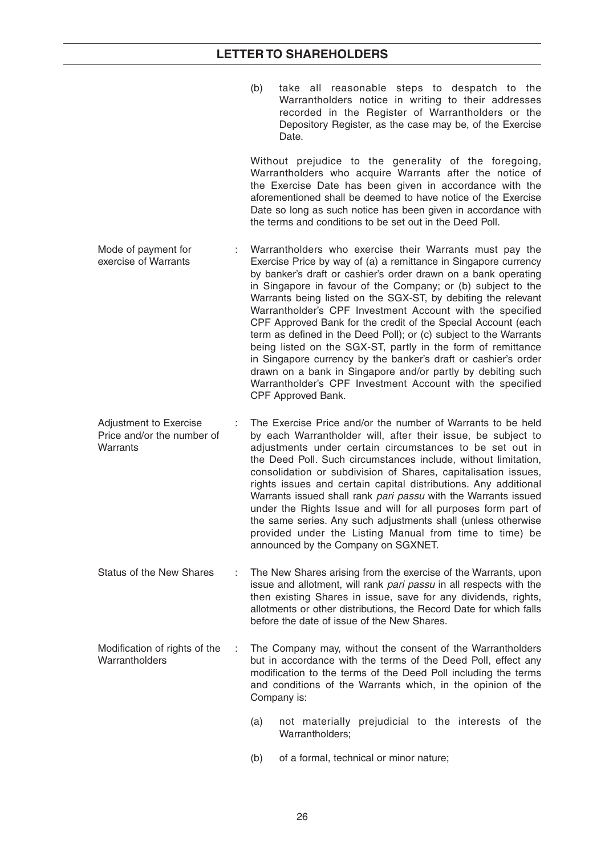- (b) take all reasonable steps to despatch to the Warrantholders notice in writing to their addresses recorded in the Register of Warrantholders or the Depository Register, as the case may be, of the Exercise Date. Without prejudice to the generality of the foregoing, Warrantholders who acquire Warrants after the notice of the Exercise Date has been given in accordance with the aforementioned shall be deemed to have notice of the Exercise Date so long as such notice has been given in accordance with the terms and conditions to be set out in the Deed Poll. Mode of payment for exercise of Warrants : Warrantholders who exercise their Warrants must pay the Exercise Price by way of (a) a remittance in Singapore currency by banker's draft or cashier's order drawn on a bank operating in Singapore in favour of the Company; or (b) subject to the Warrants being listed on the SGX-ST, by debiting the relevant Warrantholder's CPF Investment Account with the specified CPF Approved Bank for the credit of the Special Account (each term as defined in the Deed Poll); or (c) subject to the Warrants being listed on the SGX-ST, partly in the form of remittance in Singapore currency by the banker's draft or cashier's order drawn on a bank in Singapore and/or partly by debiting such Warrantholder's CPF Investment Account with the specified CPF Approved Bank. Adjustment to Exercise Price and/or the number of **Warrants** The Exercise Price and/or the number of Warrants to be held by each Warrantholder will, after their issue, be subject to adjustments under certain circumstances to be set out in the Deed Poll. Such circumstances include, without limitation, consolidation or subdivision of Shares, capitalisation issues, rights issues and certain capital distributions. Any additional Warrants issued shall rank *pari passu* with the Warrants issued under the Rights Issue and will for all purposes form part of the same series. Any such adjustments shall (unless otherwise provided under the Listing Manual from time to time) be announced by the Company on SGXNET. Status of the New Shares : The New Shares arising from the exercise of the Warrants, upon
- issue and allotment, will rank *pari passu* in all respects with the then existing Shares in issue, save for any dividends, rights, allotments or other distributions, the Record Date for which falls before the date of issue of the New Shares.
- Modification of rights of the **Warrantholders** : The Company may, without the consent of the Warrantholders but in accordance with the terms of the Deed Poll, effect any modification to the terms of the Deed Poll including the terms and conditions of the Warrants which, in the opinion of the Company is:
	- (a) not materially prejudicial to the interests of the Warrantholders:
	- (b) of a formal, technical or minor nature;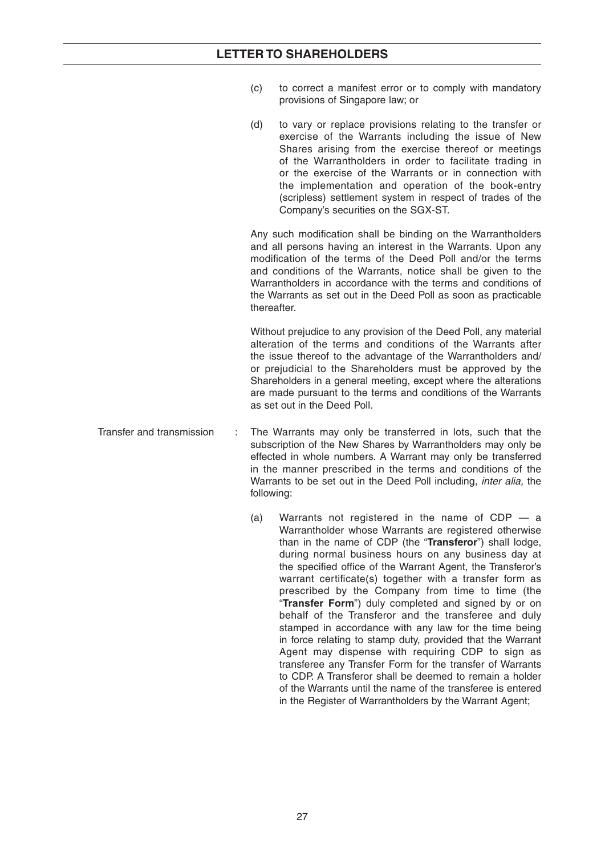- (c) to correct a manifest error or to comply with mandatory provisions of Singapore law; or
- (d) to vary or replace provisions relating to the transfer or exercise of the Warrants including the issue of New Shares arising from the exercise thereof or meetings of the Warrantholders in order to facilitate trading in or the exercise of the Warrants or in connection with the implementation and operation of the book-entry (scripless) settlement system in respect of trades of the Company's securities on the SGX-ST.

Any such modification shall be binding on the Warrantholders and all persons having an interest in the Warrants. Upon any modification of the terms of the Deed Poll and/or the terms and conditions of the Warrants, notice shall be given to the Warrantholders in accordance with the terms and conditions of the Warrants as set out in the Deed Poll as soon as practicable thereafter.

Without prejudice to any provision of the Deed Poll, any material alteration of the terms and conditions of the Warrants after the issue thereof to the advantage of the Warrantholders and/ or prejudicial to the Shareholders must be approved by the Shareholders in a general meeting, except where the alterations are made pursuant to the terms and conditions of the Warrants as set out in the Deed Poll.

Transfer and transmission : The Warrants may only be transferred in lots, such that the subscription of the New Shares by Warrantholders may only be effected in whole numbers. A Warrant may only be transferred in the manner prescribed in the terms and conditions of the Warrants to be set out in the Deed Poll including, *inter alia,* the following:

> (a) Warrants not registered in the name of  $CDP - a$ Warrantholder whose Warrants are registered otherwise than in the name of CDP (the "**Transferor**") shall lodge, during normal business hours on any business day at the specified office of the Warrant Agent, the Transferor's warrant certificate(s) together with a transfer form as prescribed by the Company from time to time (the "**Transfer Form**") duly completed and signed by or on behalf of the Transferor and the transferee and duly stamped in accordance with any law for the time being in force relating to stamp duty, provided that the Warrant Agent may dispense with requiring CDP to sign as transferee any Transfer Form for the transfer of Warrants to CDP. A Transferor shall be deemed to remain a holder of the Warrants until the name of the transferee is entered in the Register of Warrantholders by the Warrant Agent;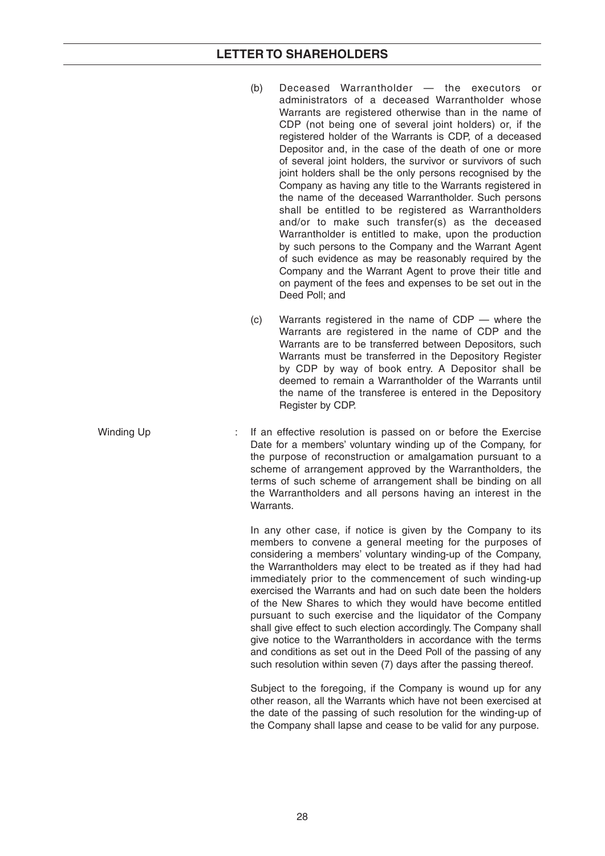- (b) Deceased Warrantholder the executors or administrators of a deceased Warrantholder whose Warrants are registered otherwise than in the name of CDP (not being one of several joint holders) or, if the registered holder of the Warrants is CDP, of a deceased Depositor and, in the case of the death of one or more of several joint holders, the survivor or survivors of such joint holders shall be the only persons recognised by the Company as having any title to the Warrants registered in the name of the deceased Warrantholder. Such persons shall be entitled to be registered as Warrantholders and/or to make such transfer(s) as the deceased Warrantholder is entitled to make, upon the production by such persons to the Company and the Warrant Agent of such evidence as may be reasonably required by the Company and the Warrant Agent to prove their title and on payment of the fees and expenses to be set out in the Deed Poll; and
- (c) Warrants registered in the name of CDP where the Warrants are registered in the name of CDP and the Warrants are to be transferred between Depositors, such Warrants must be transferred in the Depository Register by CDP by way of book entry. A Depositor shall be deemed to remain a Warrantholder of the Warrants until the name of the transferee is entered in the Depository Register by CDP.
- Winding Up : If an effective resolution is passed on or before the Exercise Date for a members' voluntary winding up of the Company, for the purpose of reconstruction or amalgamation pursuant to a scheme of arrangement approved by the Warrantholders, the terms of such scheme of arrangement shall be binding on all the Warrantholders and all persons having an interest in the Warrants.

In any other case, if notice is given by the Company to its members to convene a general meeting for the purposes of considering a members' voluntary winding-up of the Company, the Warrantholders may elect to be treated as if they had had immediately prior to the commencement of such winding-up exercised the Warrants and had on such date been the holders of the New Shares to which they would have become entitled pursuant to such exercise and the liquidator of the Company shall give effect to such election accordingly. The Company shall give notice to the Warrantholders in accordance with the terms and conditions as set out in the Deed Poll of the passing of any such resolution within seven (7) days after the passing thereof.

Subject to the foregoing, if the Company is wound up for any other reason, all the Warrants which have not been exercised at the date of the passing of such resolution for the winding-up of the Company shall lapse and cease to be valid for any purpose.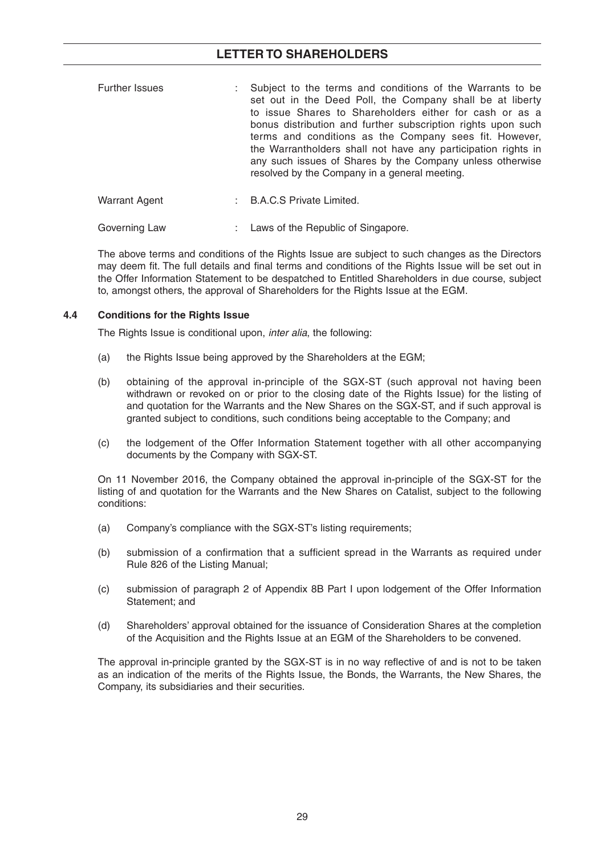| <b>Further Issues</b> | : Subject to the terms and conditions of the Warrants to be<br>set out in the Deed Poll, the Company shall be at liberty<br>to issue Shares to Shareholders either for cash or as a<br>bonus distribution and further subscription rights upon such<br>terms and conditions as the Company sees fit. However,<br>the Warrantholders shall not have any participation rights in<br>any such issues of Shares by the Company unless otherwise<br>resolved by the Company in a general meeting. |
|-----------------------|----------------------------------------------------------------------------------------------------------------------------------------------------------------------------------------------------------------------------------------------------------------------------------------------------------------------------------------------------------------------------------------------------------------------------------------------------------------------------------------------|
|-----------------------|----------------------------------------------------------------------------------------------------------------------------------------------------------------------------------------------------------------------------------------------------------------------------------------------------------------------------------------------------------------------------------------------------------------------------------------------------------------------------------------------|

| Warrant Agent | <b>B.A.C.S Private Limited.</b> |  |
|---------------|---------------------------------|--|
|               |                                 |  |

Governing Law : Laws of the Republic of Singapore.

 The above terms and conditions of the Rights Issue are subject to such changes as the Directors may deem fit. The full details and final terms and conditions of the Rights Issue will be set out in the Offer Information Statement to be despatched to Entitled Shareholders in due course, subject to, amongst others, the approval of Shareholders for the Rights Issue at the EGM.

## **4.4 Conditions for the Rights Issue**

The Rights Issue is conditional upon, *inter alia*, the following:

- (a) the Rights Issue being approved by the Shareholders at the EGM;
- (b) obtaining of the approval in-principle of the SGX-ST (such approval not having been withdrawn or revoked on or prior to the closing date of the Rights Issue) for the listing of and quotation for the Warrants and the New Shares on the SGX-ST, and if such approval is granted subject to conditions, such conditions being acceptable to the Company; and
- (c) the lodgement of the Offer Information Statement together with all other accompanying documents by the Company with SGX-ST.

 On 11 November 2016, the Company obtained the approval in-principle of the SGX-ST for the listing of and quotation for the Warrants and the New Shares on Catalist, subject to the following conditions:

- (a) Company's compliance with the SGX-ST's listing requirements;
- (b) submission of a confirmation that a sufficient spread in the Warrants as required under Rule 826 of the Listing Manual;
- (c) submission of paragraph 2 of Appendix 8B Part I upon lodgement of the Offer Information Statement; and
- (d) Shareholders' approval obtained for the issuance of Consideration Shares at the completion of the Acquisition and the Rights Issue at an EGM of the Shareholders to be convened.

The approval in-principle granted by the SGX-ST is in no way reflective of and is not to be taken as an indication of the merits of the Rights Issue, the Bonds, the Warrants, the New Shares, the Company, its subsidiaries and their securities.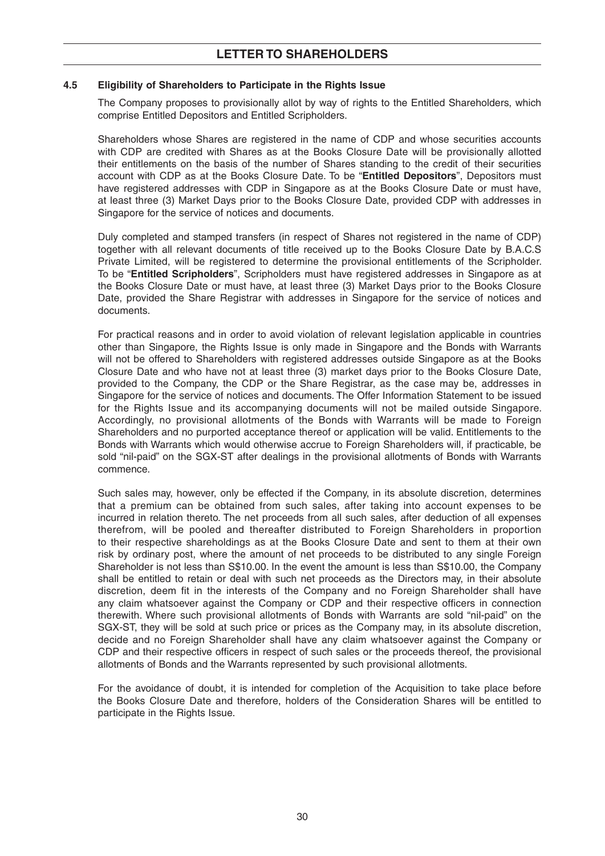### **4.5 Eligibility of Shareholders to Participate in the Rights Issue**

 The Company proposes to provisionally allot by way of rights to the Entitled Shareholders, which comprise Entitled Depositors and Entitled Scripholders.

 Shareholders whose Shares are registered in the name of CDP and whose securities accounts with CDP are credited with Shares as at the Books Closure Date will be provisionally allotted their entitlements on the basis of the number of Shares standing to the credit of their securities account with CDP as at the Books Closure Date. To be "**Entitled Depositors**", Depositors must have registered addresses with CDP in Singapore as at the Books Closure Date or must have, at least three (3) Market Days prior to the Books Closure Date, provided CDP with addresses in Singapore for the service of notices and documents.

 Duly completed and stamped transfers (in respect of Shares not registered in the name of CDP) together with all relevant documents of title received up to the Books Closure Date by B.A.C.S Private Limited, will be registered to determine the provisional entitlements of the Scripholder. To be "**Entitled Scripholders**", Scripholders must have registered addresses in Singapore as at the Books Closure Date or must have, at least three (3) Market Days prior to the Books Closure Date, provided the Share Registrar with addresses in Singapore for the service of notices and documents.

 For practical reasons and in order to avoid violation of relevant legislation applicable in countries other than Singapore, the Rights Issue is only made in Singapore and the Bonds with Warrants will not be offered to Shareholders with registered addresses outside Singapore as at the Books Closure Date and who have not at least three (3) market days prior to the Books Closure Date, provided to the Company, the CDP or the Share Registrar, as the case may be, addresses in Singapore for the service of notices and documents. The Offer Information Statement to be issued for the Rights Issue and its accompanying documents will not be mailed outside Singapore. Accordingly, no provisional allotments of the Bonds with Warrants will be made to Foreign Shareholders and no purported acceptance thereof or application will be valid. Entitlements to the Bonds with Warrants which would otherwise accrue to Foreign Shareholders will, if practicable, be sold "nil-paid" on the SGX-ST after dealings in the provisional allotments of Bonds with Warrants commence.

 Such sales may, however, only be effected if the Company, in its absolute discretion, determines that a premium can be obtained from such sales, after taking into account expenses to be incurred in relation thereto. The net proceeds from all such sales, after deduction of all expenses therefrom, will be pooled and thereafter distributed to Foreign Shareholders in proportion to their respective shareholdings as at the Books Closure Date and sent to them at their own risk by ordinary post, where the amount of net proceeds to be distributed to any single Foreign Shareholder is not less than S\$10.00. In the event the amount is less than S\$10.00, the Company shall be entitled to retain or deal with such net proceeds as the Directors may, in their absolute discretion, deem fit in the interests of the Company and no Foreign Shareholder shall have any claim whatsoever against the Company or CDP and their respective officers in connection therewith. Where such provisional allotments of Bonds with Warrants are sold "nil-paid" on the SGX-ST, they will be sold at such price or prices as the Company may, in its absolute discretion, decide and no Foreign Shareholder shall have any claim whatsoever against the Company or CDP and their respective officers in respect of such sales or the proceeds thereof, the provisional allotments of Bonds and the Warrants represented by such provisional allotments.

 For the avoidance of doubt, it is intended for completion of the Acquisition to take place before the Books Closure Date and therefore, holders of the Consideration Shares will be entitled to participate in the Rights Issue.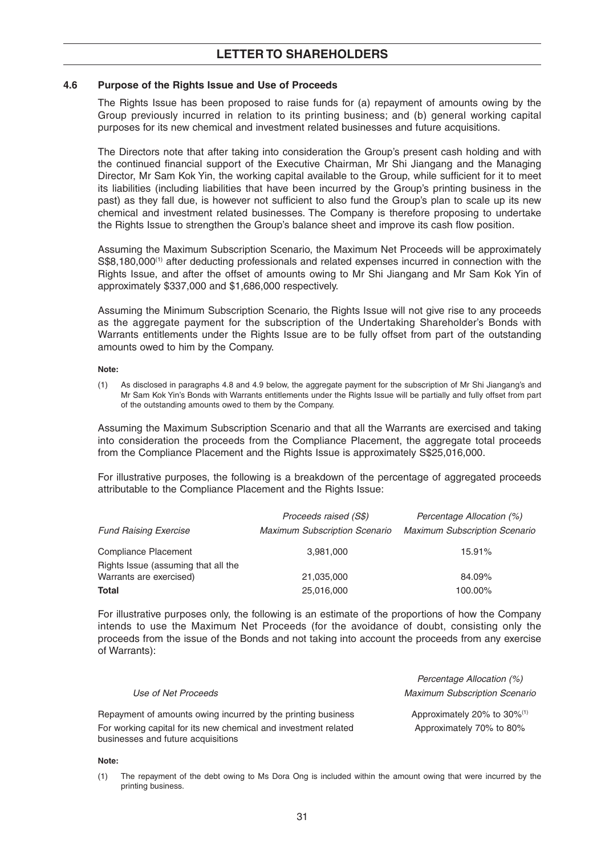#### **4.6 Purpose of the Rights Issue and Use of Proceeds**

 The Rights Issue has been proposed to raise funds for (a) repayment of amounts owing by the Group previously incurred in relation to its printing business; and (b) general working capital purposes for its new chemical and investment related businesses and future acquisitions.

 The Directors note that after taking into consideration the Group's present cash holding and with the continued financial support of the Executive Chairman, Mr Shi Jiangang and the Managing Director, Mr Sam Kok Yin, the working capital available to the Group, while sufficient for it to meet its liabilities (including liabilities that have been incurred by the Group's printing business in the past) as they fall due, is however not sufficient to also fund the Group's plan to scale up its new chemical and investment related businesses. The Company is therefore proposing to undertake the Rights Issue to strengthen the Group's balance sheet and improve its cash flow position.

 Assuming the Maximum Subscription Scenario, the Maximum Net Proceeds will be approximately S\$8,180,000<sup>(1)</sup> after deducting professionals and related expenses incurred in connection with the Rights Issue, and after the offset of amounts owing to Mr Shi Jiangang and Mr Sam Kok Yin of approximately \$337,000 and \$1,686,000 respectively.

 Assuming the Minimum Subscription Scenario, the Rights Issue will not give rise to any proceeds as the aggregate payment for the subscription of the Undertaking Shareholder's Bonds with Warrants entitlements under the Rights Issue are to be fully offset from part of the outstanding amounts owed to him by the Company.

 **Note:**

 (1) As disclosed in paragraphs 4.8 and 4.9 below, the aggregate payment for the subscription of Mr Shi Jiangang's and Mr Sam Kok Yin's Bonds with Warrants entitlements under the Rights Issue will be partially and fully offset from part of the outstanding amounts owed to them by the Company.

 Assuming the Maximum Subscription Scenario and that all the Warrants are exercised and taking into consideration the proceeds from the Compliance Placement, the aggregate total proceeds from the Compliance Placement and the Rights Issue is approximately S\$25,016,000.

 For illustrative purposes, the following is a breakdown of the percentage of aggregated proceeds attributable to the Compliance Placement and the Rights Issue:

|                                     | Proceeds raised (S\$)                | Percentage Allocation (%)            |
|-------------------------------------|--------------------------------------|--------------------------------------|
| <b>Fund Raising Exercise</b>        | <b>Maximum Subscription Scenario</b> | <b>Maximum Subscription Scenario</b> |
| Compliance Placement                | 3,981,000                            | 15.91%                               |
| Rights Issue (assuming that all the |                                      |                                      |
| Warrants are exercised)             | 21,035,000                           | 84.09%                               |
| <b>Total</b>                        | 25,016,000                           | 100.00%                              |

 For illustrative purposes only, the following is an estimate of the proportions of how the Company intends to use the Maximum Net Proceeds (for the avoidance of doubt, consisting only the proceeds from the issue of the Bonds and not taking into account the proceeds from any exercise of Warrants):

*Percentage Allocation (%)*

|                                                                                                       | Felcentage Allocation (70)              |
|-------------------------------------------------------------------------------------------------------|-----------------------------------------|
| Use of Net Proceeds                                                                                   | <b>Maximum Subscription Scenario</b>    |
| Repayment of amounts owing incurred by the printing business                                          | Approximately 20% to 30% <sup>(1)</sup> |
| For working capital for its new chemical and investment related<br>businesses and future acquisitions | Approximately 70% to 80%                |

#### **Note:**

 (1) The repayment of the debt owing to Ms Dora Ong is included within the amount owing that were incurred by the printing business.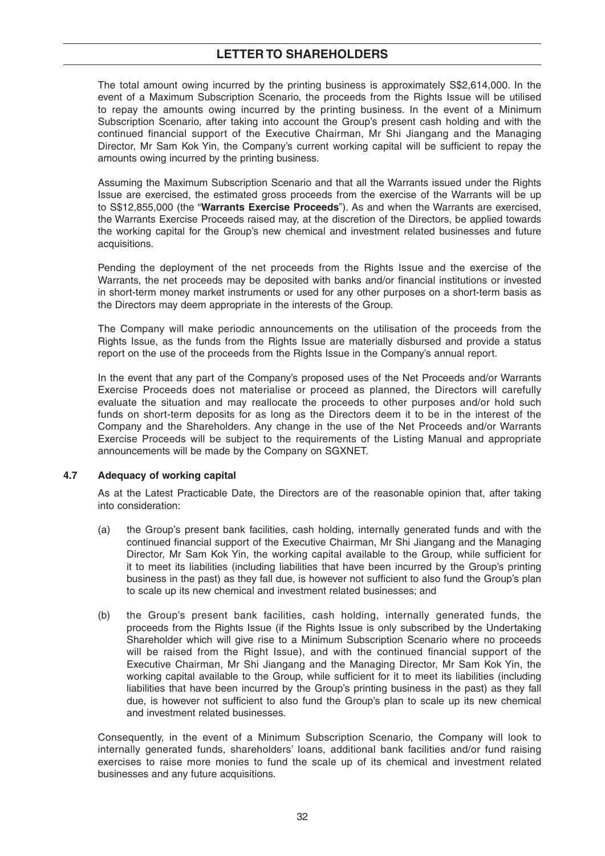The total amount owing incurred by the printing business is approximately S\$2,614,000. In the event of a Maximum Subscription Scenario, the proceeds from the Rights Issue will be utilised to repay the amounts owing incurred by the printing business. In the event of a Minimum Subscription Scenario, after taking into account the Group's present cash holding and with the continued financial support of the Executive Chairman, Mr Shi Jiangang and the Managing Director, Mr Sam Kok Yin, the Company's current working capital will be sufficient to repay the amounts owing incurred by the printing business.

 Assuming the Maximum Subscription Scenario and that all the Warrants issued under the Rights Issue are exercised, the estimated gross proceeds from the exercise of the Warrants will be up to S\$12,855,000 (the "**Warrants Exercise Proceeds**"). As and when the Warrants are exercised, the Warrants Exercise Proceeds raised may, at the discretion of the Directors, be applied towards the working capital for the Group's new chemical and investment related businesses and future acquisitions.

 Pending the deployment of the net proceeds from the Rights Issue and the exercise of the Warrants, the net proceeds may be deposited with banks and/or financial institutions or invested in short-term money market instruments or used for any other purposes on a short-term basis as the Directors may deem appropriate in the interests of the Group.

 The Company will make periodic announcements on the utilisation of the proceeds from the Rights Issue, as the funds from the Rights Issue are materially disbursed and provide a status report on the use of the proceeds from the Rights Issue in the Company's annual report.

 In the event that any part of the Company's proposed uses of the Net Proceeds and/or Warrants Exercise Proceeds does not materialise or proceed as planned, the Directors will carefully evaluate the situation and may reallocate the proceeds to other purposes and/or hold such funds on short-term deposits for as long as the Directors deem it to be in the interest of the Company and the Shareholders. Any change in the use of the Net Proceeds and/or Warrants Exercise Proceeds will be subject to the requirements of the Listing Manual and appropriate announcements will be made by the Company on SGXNET.

## **4.7 Adequacy of working capital**

 As at the Latest Practicable Date, the Directors are of the reasonable opinion that, after taking into consideration:

- (a) the Group's present bank facilities, cash holding, internally generated funds and with the continued financial support of the Executive Chairman, Mr Shi Jiangang and the Managing Director, Mr Sam Kok Yin, the working capital available to the Group, while sufficient for it to meet its liabilities (including liabilities that have been incurred by the Group's printing business in the past) as they fall due, is however not sufficient to also fund the Group's plan to scale up its new chemical and investment related businesses; and
- (b) the Group's present bank facilities, cash holding, internally generated funds, the proceeds from the Rights Issue (if the Rights Issue is only subscribed by the Undertaking Shareholder which will give rise to a Minimum Subscription Scenario where no proceeds will be raised from the Right Issue), and with the continued financial support of the Executive Chairman, Mr Shi Jiangang and the Managing Director, Mr Sam Kok Yin, the working capital available to the Group, while sufficient for it to meet its liabilities (including liabilities that have been incurred by the Group's printing business in the past) as they fall due, is however not sufficient to also fund the Group's plan to scale up its new chemical and investment related businesses.

 Consequently, in the event of a Minimum Subscription Scenario, the Company will look to internally generated funds, shareholders' loans, additional bank facilities and/or fund raising exercises to raise more monies to fund the scale up of its chemical and investment related businesses and any future acquisitions.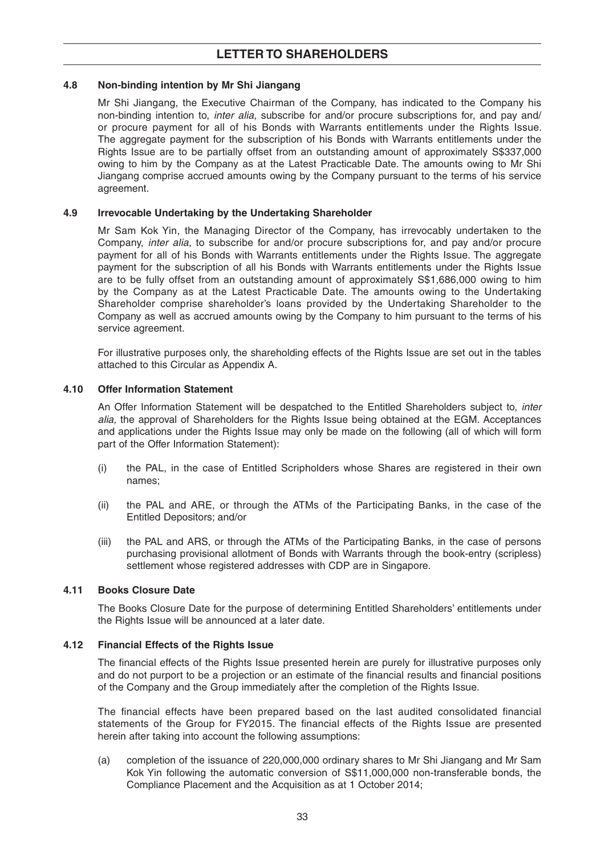### **4.8 Non-binding intention by Mr Shi Jiangang**

 Mr Shi Jiangang, the Executive Chairman of the Company, has indicated to the Company his non-binding intention to, *inter alia*, subscribe for and/or procure subscriptions for, and pay and/ or procure payment for all of his Bonds with Warrants entitlements under the Rights Issue. The aggregate payment for the subscription of his Bonds with Warrants entitlements under the Rights Issue are to be partially offset from an outstanding amount of approximately S\$337,000 owing to him by the Company as at the Latest Practicable Date. The amounts owing to Mr Shi Jiangang comprise accrued amounts owing by the Company pursuant to the terms of his service agreement.

## **4.9 Irrevocable Undertaking by the Undertaking Shareholder**

 Mr Sam Kok Yin, the Managing Director of the Company, has irrevocably undertaken to the Company, *inter alia*, to subscribe for and/or procure subscriptions for, and pay and/or procure payment for all of his Bonds with Warrants entitlements under the Rights Issue. The aggregate payment for the subscription of all his Bonds with Warrants entitlements under the Rights Issue are to be fully offset from an outstanding amount of approximately S\$1,686,000 owing to him by the Company as at the Latest Practicable Date . The amounts owing to the Undertaking Shareholder comprise shareholder's loans provided by the Undertaking Shareholder to the Company as well as accrued amounts owing by the Company to him pursuant to the terms of his service agreement.

 For illustrative purposes only, the shareholding effects of the Rights Issue are set out in the tables attached to this Circular as Appendix A.

### **4.10 Offer Information Statement**

 An Offer Information Statement will be despatched to the Entitled Shareholders subject to, *inter alia,* the approval of Shareholders for the Rights Issue being obtained at the EGM. Acceptances and applications under the Rights Issue may only be made on the following (all of which will form part of the Offer Information Statement):

- (i) the PAL, in the case of Entitled Scripholders whose Shares are registered in their own names;
- (ii) the PAL and ARE, or through the ATMs of the Participating Banks, in the case of the Entitled Depositors; and/or
- (iii) the PAL and ARS, or through the ATMs of the Participating Banks, in the case of persons purchasing provisional allotment of Bonds with Warrants through the book-entry (scripless) settlement whose registered addresses with CDP are in Singapore.

### **4.11 Books Closure Date**

 The Books Closure Date for the purpose of determining Entitled Shareholders' entitlements under the Rights Issue will be announced at a later date.

### **4.12 Financial Effects of the Rights Issue**

The financial effects of the Rights Issue presented herein are purely for illustrative purposes only and do not purport to be a projection or an estimate of the financial results and financial positions of the Company and the Group immediately after the completion of the Rights Issue.

The financial effects have been prepared based on the last audited consolidated financial statements of the Group for FY2015. The financial effects of the Rights Issue are presented herein after taking into account the following assumptions:

 (a) completion of the issuance of 220,000,000 ordinary shares to Mr Shi Jiangang and Mr Sam Kok Yin following the automatic conversion of S\$11,000,000 non-transferable bonds, the Compliance Placement and the Acquisition as at 1 October 2014;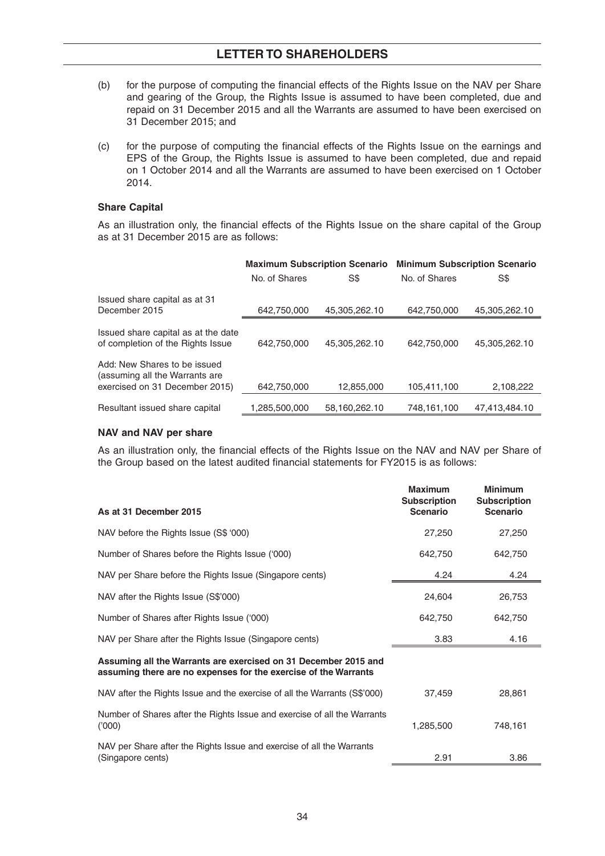- (b) for the purpose of computing the financial effects of the Rights Issue on the NAV per Share and gearing of the Group, the Rights Issue is assumed to have been completed, due and repaid on 31 December 2015 and all the Warrants are assumed to have been exercised on 31 December 2015; and
- (c) for the purpose of computing the financial effects of the Rights Issue on the earnings and EPS of the Group, the Rights Issue is assumed to have been completed, due and repaid on 1 October 2014 and all the Warrants are assumed to have been exercised on 1 October 2014.

### **Share Capital**

As an illustration only, the financial effects of the Rights Issue on the share capital of the Group as at 31 December 2015 are as follows:

|                                                                                                  | <b>Maximum Subscription Scenario</b> |               | <b>Minimum Subscription Scenario</b> |               |  |
|--------------------------------------------------------------------------------------------------|--------------------------------------|---------------|--------------------------------------|---------------|--|
|                                                                                                  | No. of Shares                        | S\$           | No. of Shares                        | S\$           |  |
| Issued share capital as at 31<br>December 2015                                                   | 642,750,000                          | 45,305,262.10 | 642,750,000                          | 45,305,262.10 |  |
| Issued share capital as at the date<br>of completion of the Rights Issue                         | 642.750.000                          | 45,305,262.10 | 642.750.000                          | 45.305.262.10 |  |
| Add: New Shares to be issued<br>(assuming all the Warrants are<br>exercised on 31 December 2015) | 642,750,000                          | 12,855,000    | 105,411,100                          | 2,108,222     |  |
| Resultant issued share capital                                                                   | ,285,500,000                         | 58,160,262.10 | 748,161,100                          | 47,413,484.10 |  |

### **NAV and NAV per share**

As an illustration only, the financial effects of the Rights Issue on the NAV and NAV per Share of the Group based on the latest audited financial statements for FY2015 is as follows:

| As at 31 December 2015                                                                                                             | <b>Maximum</b><br><b>Subscription</b><br><b>Scenario</b> | <b>Minimum</b><br><b>Subscription</b><br><b>Scenario</b> |
|------------------------------------------------------------------------------------------------------------------------------------|----------------------------------------------------------|----------------------------------------------------------|
| NAV before the Rights Issue (S\$ '000)                                                                                             | 27,250                                                   | 27,250                                                   |
| Number of Shares before the Rights Issue ('000)                                                                                    | 642,750                                                  | 642,750                                                  |
| NAV per Share before the Rights Issue (Singapore cents)                                                                            | 4.24                                                     | 4.24                                                     |
| NAV after the Rights Issue (S\$'000)                                                                                               | 24,604                                                   | 26,753                                                   |
| Number of Shares after Rights Issue ('000)                                                                                         | 642,750                                                  | 642,750                                                  |
| NAV per Share after the Rights Issue (Singapore cents)                                                                             | 3.83                                                     | 4.16                                                     |
| Assuming all the Warrants are exercised on 31 December 2015 and<br>assuming there are no expenses for the exercise of the Warrants |                                                          |                                                          |
| NAV after the Rights Issue and the exercise of all the Warrants (S\$'000)                                                          | 37,459                                                   | 28,861                                                   |
| Number of Shares after the Rights Issue and exercise of all the Warrants<br>(000)                                                  | 1,285,500                                                | 748,161                                                  |
| NAV per Share after the Rights Issue and exercise of all the Warrants<br>(Singapore cents)                                         | 2.91                                                     | 3.86                                                     |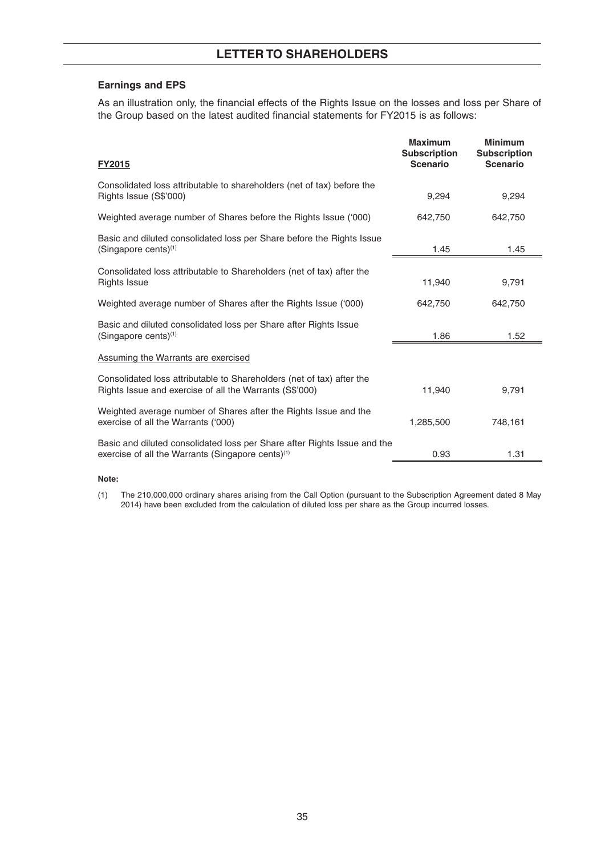## **Earnings and EPS**

As an illustration only, the financial effects of the Rights Issue on the losses and loss per Share of the Group based on the latest audited financial statements for FY2015 is as follows:

| <b>FY2015</b>                                                                                                                             | <b>Maximum</b><br><b>Subscription</b><br><b>Scenario</b> | <b>Minimum</b><br><b>Subscription</b><br><b>Scenario</b> |
|-------------------------------------------------------------------------------------------------------------------------------------------|----------------------------------------------------------|----------------------------------------------------------|
| Consolidated loss attributable to shareholders (net of tax) before the<br>Rights Issue (S\$'000)                                          | 9,294                                                    | 9,294                                                    |
| Weighted average number of Shares before the Rights Issue ('000)                                                                          | 642,750                                                  | 642,750                                                  |
| Basic and diluted consolidated loss per Share before the Rights Issue<br>$(Singapore cents)^{1}$                                          | 1.45                                                     | 1.45                                                     |
| Consolidated loss attributable to Shareholders (net of tax) after the<br><b>Rights Issue</b>                                              | 11,940                                                   | 9,791                                                    |
| Weighted average number of Shares after the Rights Issue ('000)                                                                           | 642,750                                                  | 642,750                                                  |
| Basic and diluted consolidated loss per Share after Rights Issue<br>$(Singapore cents)^{(1)}$                                             | 1.86                                                     | 1.52                                                     |
| Assuming the Warrants are exercised                                                                                                       |                                                          |                                                          |
| Consolidated loss attributable to Shareholders (net of tax) after the<br>Rights Issue and exercise of all the Warrants (S\$'000)          | 11,940                                                   | 9,791                                                    |
| Weighted average number of Shares after the Rights Issue and the<br>exercise of all the Warrants ('000)                                   | 1,285,500                                                | 748.161                                                  |
| Basic and diluted consolidated loss per Share after Rights Issue and the<br>exercise of all the Warrants (Singapore cents) <sup>(1)</sup> | 0.93                                                     | 1.31                                                     |

#### **Note:**

 (1) The 210,000,000 ordinary shares arising from the Call Option (pursuant to the Subscription Agreement dated 8 May 2014) have been excluded from the calculation of diluted loss per share as the Group incurred losses.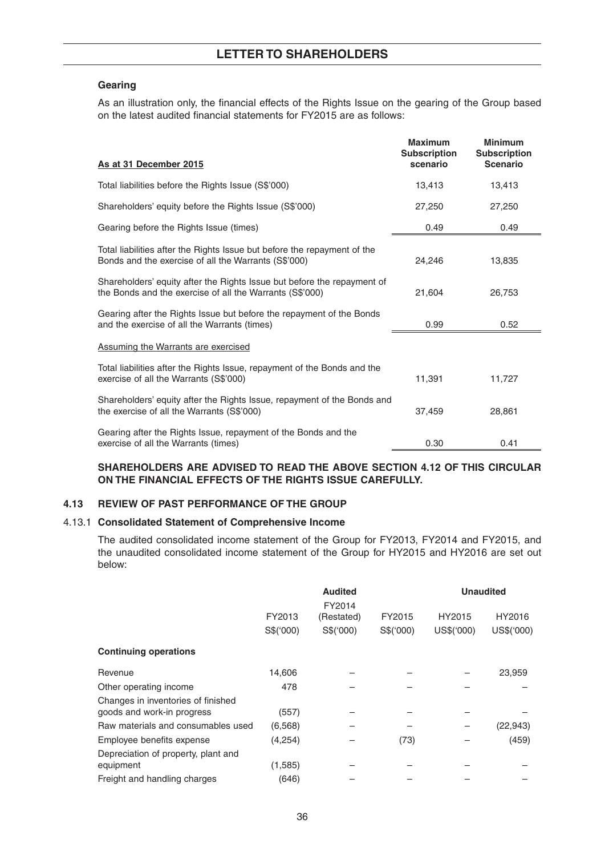## **Gearing**

As an illustration only, the financial effects of the Rights Issue on the gearing of the Group based on the latest audited financial statements for FY2015 are as follows:

| As at 31 December 2015                                                                                                              | <b>Maximum</b><br><b>Subscription</b><br>scenario | <b>Minimum</b><br><b>Subscription</b><br><b>Scenario</b> |
|-------------------------------------------------------------------------------------------------------------------------------------|---------------------------------------------------|----------------------------------------------------------|
| Total liabilities before the Rights Issue (S\$'000)                                                                                 | 13,413                                            | 13,413                                                   |
| Shareholders' equity before the Rights Issue (S\$'000)                                                                              | 27,250                                            | 27,250                                                   |
| Gearing before the Rights Issue (times)                                                                                             | 0.49                                              | 0.49                                                     |
| Total liabilities after the Rights Issue but before the repayment of the<br>Bonds and the exercise of all the Warrants (S\$'000)    | 24,246                                            | 13,835                                                   |
| Shareholders' equity after the Rights Issue but before the repayment of<br>the Bonds and the exercise of all the Warrants (S\$'000) | 21,604                                            | 26,753                                                   |
| Gearing after the Rights Issue but before the repayment of the Bonds<br>and the exercise of all the Warrants (times)                | 0.99                                              | 0.52                                                     |
| <b>Assuming the Warrants are exercised</b>                                                                                          |                                                   |                                                          |
| Total liabilities after the Rights Issue, repayment of the Bonds and the<br>exercise of all the Warrants (S\$'000)                  | 11,391                                            | 11,727                                                   |
| Shareholders' equity after the Rights Issue, repayment of the Bonds and<br>the exercise of all the Warrants (S\$'000)               | 37,459                                            | 28,861                                                   |
| Gearing after the Rights Issue, repayment of the Bonds and the<br>exercise of all the Warrants (times)                              | 0.30                                              | 0.41                                                     |

## **SHAREHOLDERS ARE ADVISED TO READ THE ABOVE SECTION 4.12 OF THIS CIRCULAR ON THE FINANCIAL EFFECTS OF THE RIGHTS ISSUE CAREFULLY.**

### **4.13 REVIEW OF PAST PERFORMANCE OF THE GROUP**

### 4.13.1 **Consolidated Statement of Comprehensive Income**

 The audited consolidated income statement of the Group for FY2013, FY2014 and FY2015, and the unaudited consolidated income statement of the Group for HY2015 and HY2016 are set out below:

|                                                                  | <b>Audited</b><br>FY2014 |            | <b>Unaudited</b> |            |            |
|------------------------------------------------------------------|--------------------------|------------|------------------|------------|------------|
|                                                                  | FY2013                   | (Restated) | FY2015           | HY2015     | HY2016     |
|                                                                  | S\$(000)                 | S\$(000)   | S\$(000)         | US\$('000) | US\$('000) |
| <b>Continuing operations</b>                                     |                          |            |                  |            |            |
| Revenue                                                          | 14,606                   |            |                  |            | 23,959     |
| Other operating income                                           | 478                      |            |                  |            |            |
| Changes in inventories of finished<br>goods and work-in progress | (557)                    |            |                  |            |            |
| Raw materials and consumables used                               | (6, 568)                 |            |                  |            | (22, 943)  |
| Employee benefits expense                                        | (4,254)                  |            | (73)             |            | (459)      |
| Depreciation of property, plant and<br>equipment                 | (1,585)                  |            |                  |            |            |
| Freight and handling charges                                     | (646)                    |            |                  |            |            |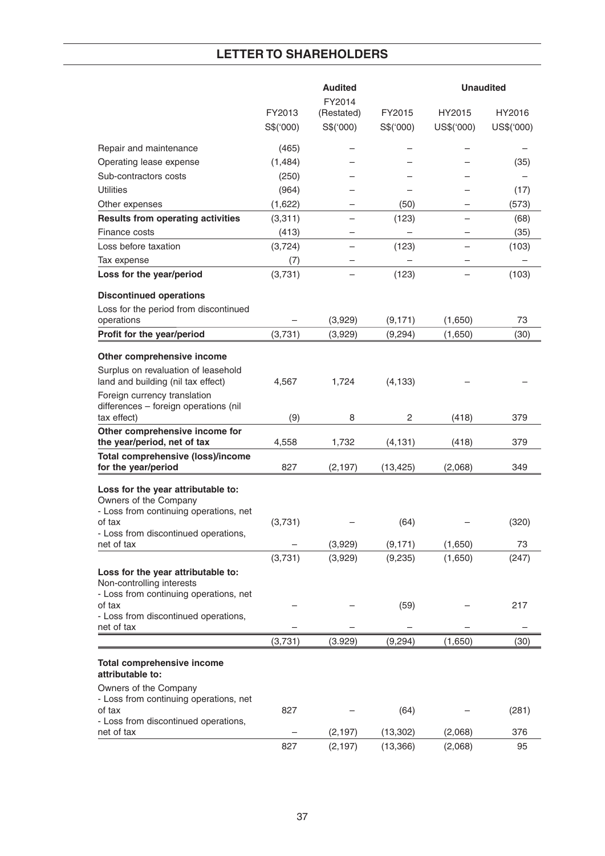|                                                                       |           | <b>Audited</b><br>FY2014 |                        | <b>Unaudited</b>   |            |  |
|-----------------------------------------------------------------------|-----------|--------------------------|------------------------|--------------------|------------|--|
|                                                                       | FY2013    | (Restated)               | FY2015                 | HY2015             | HY2016     |  |
|                                                                       | S\$('000) | S\$('000)                | S\$('000)              | US\$('000)         | US\$('000) |  |
| Repair and maintenance                                                | (465)     |                          |                        |                    |            |  |
| Operating lease expense                                               | (1,484)   |                          |                        |                    | (35)       |  |
| Sub-contractors costs                                                 | (250)     |                          |                        |                    |            |  |
| <b>Utilities</b>                                                      | (964)     |                          |                        |                    | (17)       |  |
| Other expenses                                                        | (1,622)   |                          | (50)                   |                    | (573)      |  |
| <b>Results from operating activities</b>                              | (3,311)   |                          | (123)                  |                    | (68)       |  |
| Finance costs                                                         | (413)     |                          |                        |                    | (35)       |  |
| Loss before taxation                                                  | (3, 724)  |                          | (123)                  |                    | (103)      |  |
| Tax expense                                                           | (7)       |                          |                        |                    |            |  |
| Loss for the year/period                                              | (3,731)   |                          | (123)                  |                    | (103)      |  |
|                                                                       |           |                          |                        |                    |            |  |
| <b>Discontinued operations</b>                                        |           |                          |                        |                    |            |  |
| Loss for the period from discontinued                                 |           |                          |                        |                    |            |  |
| operations                                                            |           | (3,929)                  | (9, 171)               | (1,650)            | 73         |  |
| Profit for the year/period                                            | (3,731)   | (3,929)                  | (9,294)                | (1,650)            | (30)       |  |
| Other comprehensive income                                            |           |                          |                        |                    |            |  |
| Surplus on revaluation of leasehold                                   |           |                          |                        |                    |            |  |
| land and building (nil tax effect)                                    | 4,567     | 1,724                    | (4, 133)               |                    |            |  |
| Foreign currency translation<br>differences - foreign operations (nil |           |                          |                        |                    |            |  |
| tax effect)                                                           | (9)       | 8                        | 2                      | (418)              | 379        |  |
| Other comprehensive income for<br>the year/period, net of tax         | 4,558     | 1,732                    | (4, 131)               | (418)              | 379        |  |
| <b>Total comprehensive (loss)/income</b><br>for the year/period       | 827       | (2, 197)                 | (13, 425)              | (2,068)            | 349        |  |
| Loss for the year attributable to:                                    |           |                          |                        |                    |            |  |
| Owners of the Company                                                 |           |                          |                        |                    |            |  |
| - Loss from continuing operations, net                                |           |                          |                        |                    |            |  |
| of tax                                                                | (3,731)   |                          | (64)                   |                    | (320)      |  |
| - Loss from discontinued operations,<br>net of tax                    |           | (3,929)                  | (9, 171)               | (1,650)            | 73         |  |
|                                                                       | (3,731)   | (3,929)                  | (9,235)                | (1,650)            | (247)      |  |
| Loss for the year attributable to:                                    |           |                          |                        |                    |            |  |
| Non-controlling interests                                             |           |                          |                        |                    |            |  |
| - Loss from continuing operations, net                                |           |                          |                        |                    |            |  |
| of tax                                                                |           |                          | (59)                   |                    | 217        |  |
| - Loss from discontinued operations,<br>net of tax                    |           |                          |                        |                    |            |  |
|                                                                       | (3,731)   | (3.929)                  | (9,294)                | (1,650)            | (30)       |  |
|                                                                       |           |                          |                        |                    |            |  |
| <b>Total comprehensive income</b><br>attributable to:                 |           |                          |                        |                    |            |  |
| Owners of the Company                                                 |           |                          |                        |                    |            |  |
| - Loss from continuing operations, net                                |           |                          |                        |                    |            |  |
| of tax                                                                | 827       |                          | (64)                   |                    | (281)      |  |
| - Loss from discontinued operations,                                  |           |                          |                        |                    |            |  |
| net of tax                                                            | 827       | (2, 197)<br>(2, 197)     | (13, 302)<br>(13, 366) | (2,068)<br>(2,068) | 376<br>95  |  |
|                                                                       |           |                          |                        |                    |            |  |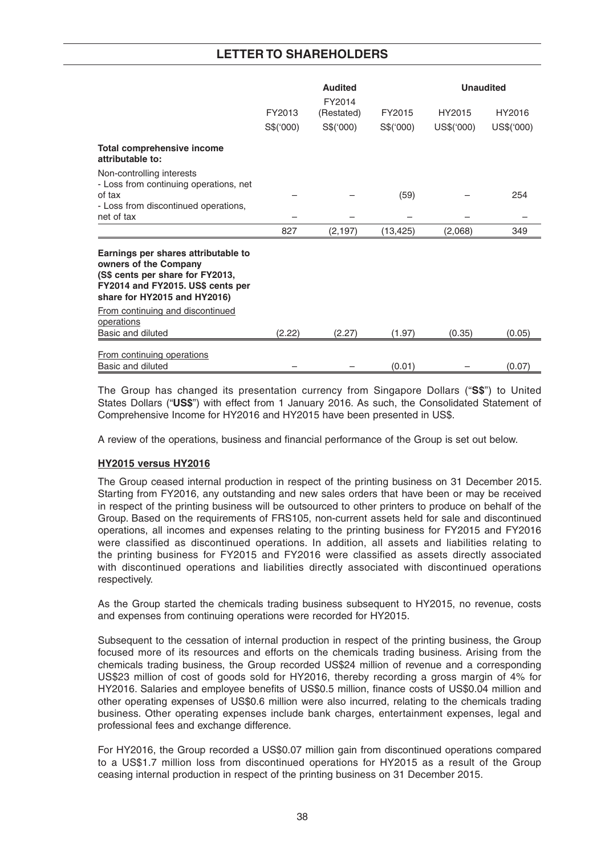|                                                                                                                                                                       |                     | <b>Audited</b>                   | <b>Unaudited</b>    |                      |                      |  |
|-----------------------------------------------------------------------------------------------------------------------------------------------------------------------|---------------------|----------------------------------|---------------------|----------------------|----------------------|--|
|                                                                                                                                                                       | FY2013<br>S\$('000) | FY2014<br>(Restated)<br>S\$(000) | FY2015<br>S\$('000) | HY2015<br>US\$('000) | HY2016<br>US\$('000) |  |
| Total comprehensive income<br>attributable to:                                                                                                                        |                     |                                  |                     |                      |                      |  |
| Non-controlling interests<br>- Loss from continuing operations, net<br>of tax<br>- Loss from discontinued operations,<br>net of tax                                   |                     |                                  | (59)                |                      | 254                  |  |
|                                                                                                                                                                       | 827                 | (2, 197)                         | (13, 425)           | (2,068)              | 349                  |  |
| Earnings per shares attributable to<br>owners of the Company<br>(S\$ cents per share for FY2013,<br>FY2014 and FY2015. US\$ cents per<br>share for HY2015 and HY2016) |                     |                                  |                     |                      |                      |  |
| From continuing and discontinued<br>operations<br>Basic and diluted                                                                                                   | (2.22)              | (2.27)                           | (1.97)              | (0.35)               | (0.05)               |  |
|                                                                                                                                                                       |                     |                                  |                     |                      |                      |  |
| From continuing operations<br>Basic and diluted                                                                                                                       |                     |                                  | (0.01)              |                      | (0.07)               |  |

 The Group has changed its presentation currency from Singapore Dollars ("**S\$**") to United States Dollars ("**US\$**") with effect from 1 January 2016. As such, the Consolidated Statement of Comprehensive Income for HY2016 and HY2015 have been presented in US\$.

A review of the operations, business and financial performance of the Group is set out below.

## **HY2015 versus HY2016**

 The Group ceased internal production in respect of the printing business on 31 December 2015. Starting from FY2016, any outstanding and new sales orders that have been or may be received in respect of the printing business will be outsourced to other printers to produce on behalf of the Group. Based on the requirements of FRS105, non-current assets held for sale and discontinued operations, all incomes and expenses relating to the printing business for FY2015 and FY2016 were classified as discontinued operations. In addition, all assets and liabilities relating to the printing business for FY2015 and FY2016 were classified as assets directly associated with discontinued operations and liabilities directly associated with discontinued operations respectively.

 As the Group started the chemicals trading business subsequent to HY2015, no revenue, costs and expenses from continuing operations were recorded for HY2015.

 Subsequent to the cessation of internal production in respect of the printing business, the Group focused more of its resources and efforts on the chemicals trading business. Arising from the chemicals trading business, the Group recorded US\$24 million of revenue and a corresponding US\$23 million of cost of goods sold for HY2016, thereby recording a gross margin of 4% for HY2016. Salaries and employee benefits of US\$0.5 million, finance costs of US\$0.04 million and other operating expenses of US\$0.6 million were also incurred, relating to the chemicals trading business. Other operating expenses include bank charges, entertainment expenses, legal and professional fees and exchange difference.

 For HY2016, the Group recorded a US\$0.07 million gain from discontinued operations compared to a US\$1.7 million loss from discontinued operations for HY2015 as a result of the Group ceasing internal production in respect of the printing business on 31 December 2015.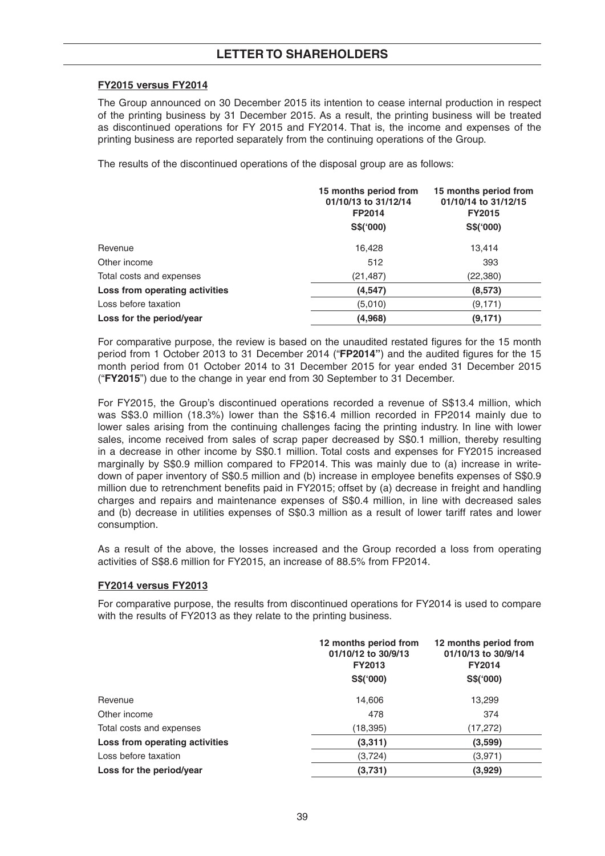## **FY2015 versus FY2014**

 The Group announced on 30 December 2015 its intention to cease internal production in respect of the printing business by 31 December 2015. As a result, the printing business will be treated as discontinued operations for FY 2015 and FY2014. That is, the income and expenses of the printing business are reported separately from the continuing operations of the Group.

The results of the discontinued operations of the disposal group are as follows:

|                                | 15 months period from<br>01/10/13 to 31/12/14<br>FP2014<br>S\$(000) | 15 months period from<br>01/10/14 to 31/12/15<br><b>FY2015</b><br>S\$(000) |
|--------------------------------|---------------------------------------------------------------------|----------------------------------------------------------------------------|
| Revenue                        | 16,428                                                              | 13,414                                                                     |
| Other income                   | 512                                                                 | 393                                                                        |
| Total costs and expenses       | (21, 487)                                                           | (22,380)                                                                   |
| Loss from operating activities | (4, 547)                                                            | (8,573)                                                                    |
| Loss before taxation           | (5,010)                                                             | (9,171)                                                                    |
| Loss for the period/year       | (4,968)                                                             | (9, 171)                                                                   |

For comparative purpose, the review is based on the unaudited restated figures for the 15 month period from 1 October 2013 to 31 December 2014 ("FP2014") and the audited figures for the 15 month period from 01 October 2014 to 31 December 2015 for year ended 31 December 2015 ("**FY2015**") due to the change in year end from 30 September to 31 December.

 For FY2015, the Group's discontinued operations recorded a revenue of S\$13.4 million, which was S\$3.0 million (18.3%) lower than the S\$16.4 million recorded in FP2014 mainly due to lower sales arising from the continuing challenges facing the printing industry. In line with lower sales, income received from sales of scrap paper decreased by S\$0.1 million, thereby resulting in a decrease in other income by S\$0.1 million. Total costs and expenses for FY2015 increased marginally by S\$0.9 million compared to FP2014. This was mainly due to (a) increase in writedown of paper inventory of S\$0.5 million and (b) increase in employee benefits expenses of S\$0.9 million due to retrenchment benefits paid in FY2015; offset by (a) decrease in freight and handling charges and repairs and maintenance expenses of S\$0.4 million, in line with decreased sales and (b) decrease in utilities expenses of S\$0.3 million as a result of lower tariff rates and lower consumption.

 As a result of the above, the losses increased and the Group recorded a loss from operating activities of S\$8.6 million for FY2015, an increase of 88.5% from FP2014.

# **FY2014 versus FY2013**

 For comparative purpose, the results from discontinued operations for FY2014 is used to compare with the results of FY2013 as they relate to the printing business.

|                                | 12 months period from<br>01/10/12 to 30/9/13<br><b>FY2013</b> | 12 months period from<br>01/10/13 to 30/9/14<br><b>FY2014</b> |
|--------------------------------|---------------------------------------------------------------|---------------------------------------------------------------|
|                                | S\$(000)                                                      | S\$(000)                                                      |
| Revenue                        | 14,606                                                        | 13,299                                                        |
| Other income                   | 478                                                           | 374                                                           |
| Total costs and expenses       | (18,395)                                                      | (17, 272)                                                     |
| Loss from operating activities | (3,311)                                                       | (3,599)                                                       |
| Loss before taxation           | (3, 724)                                                      | (3,971)                                                       |
| Loss for the period/year       | (3,731)                                                       | (3,929)                                                       |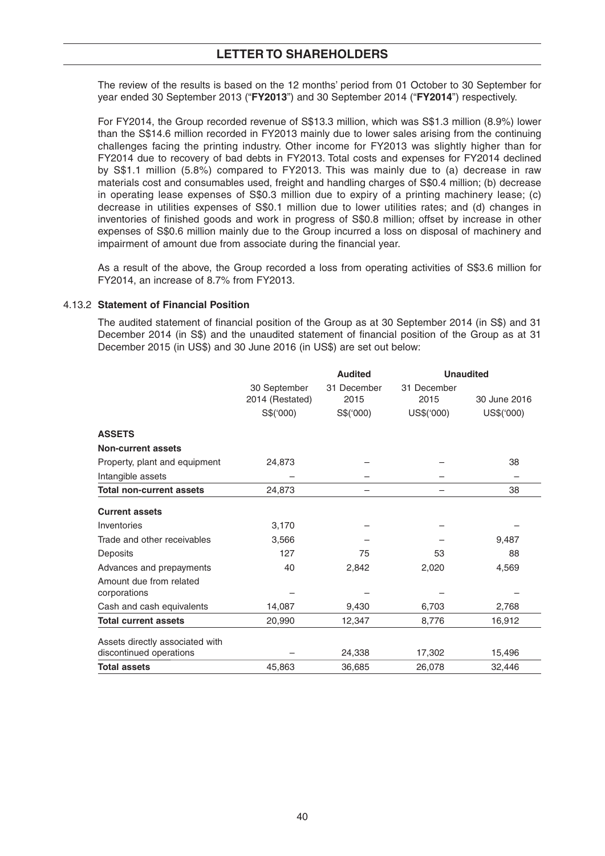The review of the results is based on the 12 months' period from 01 October to 30 September for year ended 30 September 2013 ("**FY2013**") and 30 September 2014 ("**FY2014**") respectively.

 For FY2014, the Group recorded revenue of S\$13.3 million, which was S\$1.3 million (8.9%) lower than the S\$14.6 million recorded in FY2013 mainly due to lower sales arising from the continuing challenges facing the printing industry. Other income for FY2013 was slightly higher than for FY2014 due to recovery of bad debts in FY2013. Total costs and expenses for FY2014 declined by S\$1.1 million (5.8%) compared to FY2013. This was mainly due to (a) decrease in raw materials cost and consumables used, freight and handling charges of S\$0.4 million; (b) decrease in operating lease expenses of S\$0.3 million due to expiry of a printing machinery lease; (c) decrease in utilities expenses of S\$0.1 million due to lower utilities rates; and (d) changes in inventories of finished goods and work in progress of S\$0.8 million; offset by increase in other expenses of S\$0.6 million mainly due to the Group incurred a loss on disposal of machinery and impairment of amount due from associate during the financial year.

 As a result of the above, the Group recorded a loss from operating activities of S\$3.6 million for FY2014, an increase of 8.7% from FY2013.

### 4.13.2 **Statement of Financial Position**

The audited statement of financial position of the Group as at 30 September 2014 (in S\$) and 31 December 2014 (in S\$) and the unaudited statement of financial position of the Group as at 31 December 2015 (in US\$) and 30 June 2016 (in US\$) are set out below:

|                                                            |                                 | <b>Audited</b>      | <b>Unaudited</b>    |              |
|------------------------------------------------------------|---------------------------------|---------------------|---------------------|--------------|
|                                                            | 30 September<br>2014 (Restated) | 31 December<br>2015 | 31 December<br>2015 | 30 June 2016 |
|                                                            | S\$('000)                       | S\$(000)            | US\$('000)          | US\$('000)   |
| <b>ASSETS</b>                                              |                                 |                     |                     |              |
| <b>Non-current assets</b>                                  |                                 |                     |                     |              |
| Property, plant and equipment                              | 24,873                          |                     |                     | 38           |
| Intangible assets                                          |                                 |                     |                     |              |
| <b>Total non-current assets</b>                            | 24,873                          |                     |                     | 38           |
| <b>Current assets</b>                                      |                                 |                     |                     |              |
| Inventories                                                | 3,170                           |                     |                     |              |
| Trade and other receivables                                | 3,566                           |                     |                     | 9,487        |
| Deposits                                                   | 127                             | 75                  | 53                  | 88           |
| Advances and prepayments                                   | 40                              | 2,842               | 2,020               | 4,569        |
| Amount due from related<br>corporations                    |                                 |                     |                     |              |
| Cash and cash equivalents                                  | 14,087                          | 9,430               | 6,703               | 2,768        |
| <b>Total current assets</b>                                | 20,990                          | 12,347              | 8,776               | 16,912       |
| Assets directly associated with<br>discontinued operations |                                 | 24,338              | 17,302              | 15,496       |
| <b>Total assets</b>                                        | 45,863                          | 36,685              | 26,078              | 32,446       |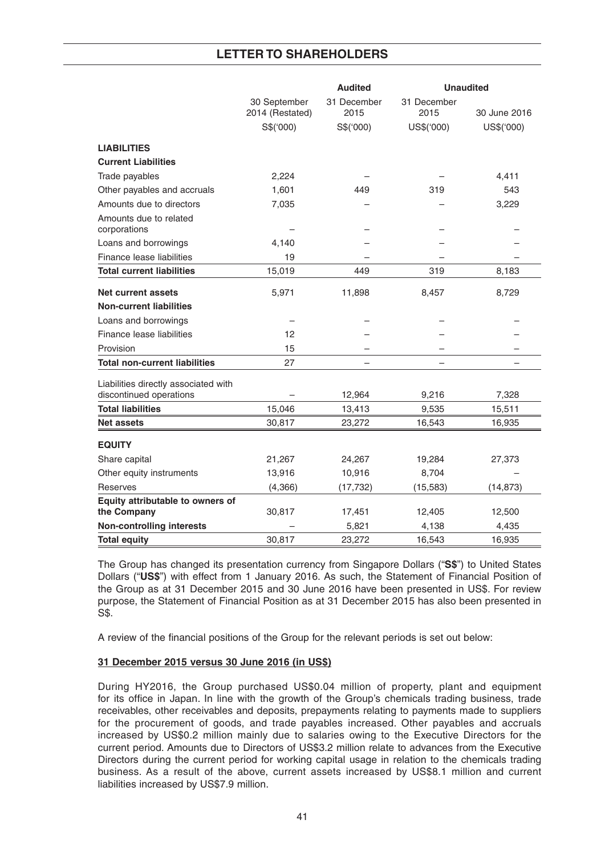|                                                                 |                                 | <b>Audited</b>      | <b>Unaudited</b>    |              |  |
|-----------------------------------------------------------------|---------------------------------|---------------------|---------------------|--------------|--|
|                                                                 | 30 September<br>2014 (Restated) | 31 December<br>2015 | 31 December<br>2015 | 30 June 2016 |  |
|                                                                 | S\$('000)                       | S\$('000)           | US\$('000)          | US\$('000)   |  |
| <b>LIABILITIES</b>                                              |                                 |                     |                     |              |  |
| <b>Current Liabilities</b>                                      |                                 |                     |                     |              |  |
| Trade payables                                                  | 2,224                           |                     |                     | 4,411        |  |
| Other payables and accruals                                     | 1,601                           | 449                 | 319                 | 543          |  |
| Amounts due to directors                                        | 7,035                           |                     |                     | 3,229        |  |
| Amounts due to related<br>corporations                          |                                 |                     |                     |              |  |
| Loans and borrowings                                            | 4,140                           |                     |                     |              |  |
| Finance lease liabilities                                       | 19                              |                     |                     |              |  |
| <b>Total current liabilities</b>                                | 15,019                          | 449                 | 319                 | 8,183        |  |
| <b>Net current assets</b>                                       | 5,971                           | 11,898              | 8,457               | 8,729        |  |
| <b>Non-current liabilities</b>                                  |                                 |                     |                     |              |  |
| Loans and borrowings                                            |                                 |                     |                     |              |  |
| Finance lease liabilities                                       | 12                              |                     |                     |              |  |
| Provision                                                       | 15                              |                     |                     |              |  |
| <b>Total non-current liabilities</b>                            | 27                              |                     |                     |              |  |
| Liabilities directly associated with<br>discontinued operations |                                 | 12,964              | 9,216               | 7,328        |  |
| <b>Total liabilities</b>                                        | 15,046                          | 13,413              | 9,535               | 15,511       |  |
| <b>Net assets</b>                                               | 30,817                          | 23,272              | 16,543              | 16,935       |  |
| <b>EQUITY</b>                                                   |                                 |                     |                     |              |  |
| Share capital                                                   | 21,267                          | 24,267              | 19,284              | 27,373       |  |
| Other equity instruments                                        | 13,916                          | 10,916              | 8,704               |              |  |
| Reserves                                                        | (4,366)                         | (17, 732)           | (15, 583)           | (14, 873)    |  |
| Equity attributable to owners of                                |                                 |                     |                     |              |  |
| the Company                                                     | 30,817                          | 17,451              | 12,405              | 12,500       |  |
| <b>Non-controlling interests</b>                                |                                 | 5,821               | 4,138               | 4,435        |  |
| <b>Total equity</b>                                             | 30,817                          | 23.272              | 16,543              | 16,935       |  |

 The Group has changed its presentation currency from Singapore Dollars ("**S\$**") to United States Dollars ("**US\$**") with effect from 1 January 2016. As such, the Statement of Financial Position of the Group as at 31 December 2015 and 30 June 2016 have been presented in US\$. For review purpose, the Statement of Financial Position as at 31 December 2015 has also been presented in S\$.

A review of the financial positions of the Group for the relevant periods is set out below:

## **31 December 2015 versus 30 June 2016 (in US\$)**

 During HY2016, the Group purchased US\$0.04 million of property, plant and equipment for its office in Japan. In line with the growth of the Group's chemicals trading business, trade receivables, other receivables and deposits, prepayments relating to payments made to suppliers for the procurement of goods, and trade payables increased. Other payables and accruals increased by US\$0.2 million mainly due to salaries owing to the Executive Directors for the current period. Amounts due to Directors of US\$3.2 million relate to advances from the Executive Directors during the current period for working capital usage in relation to the chemicals trading business. As a result of the above, current assets increased by US\$8.1 million and current liabilities increased by US\$7.9 million.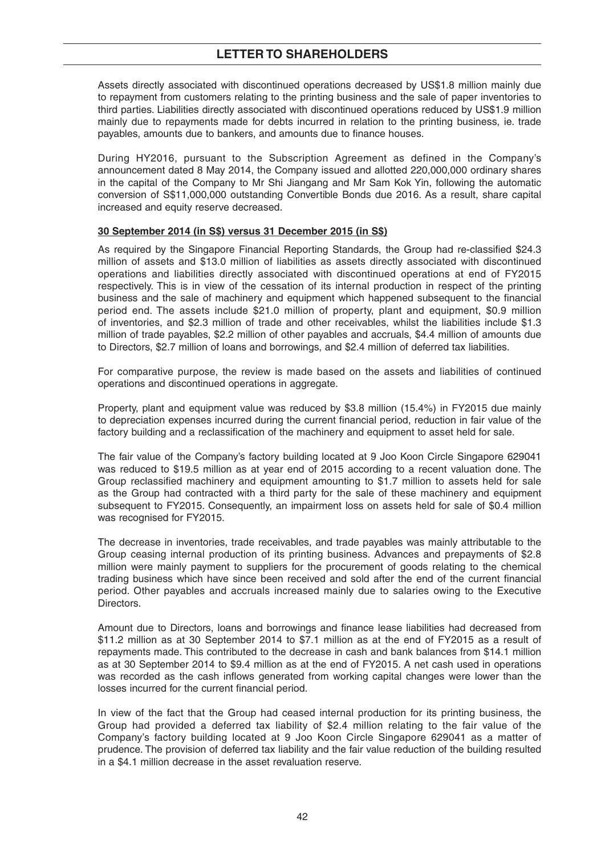Assets directly associated with discontinued operations decreased by US\$1.8 million mainly due to repayment from customers relating to the printing business and the sale of paper inventories to third parties. Liabilities directly associated with discontinued operations reduced by US\$1.9 million mainly due to repayments made for debts incurred in relation to the printing business, ie. trade payables, amounts due to bankers, and amounts due to finance houses.

 During HY2016, pursuant to the Subscription Agreement as defined in the Company's announcement dated 8 May 2014, the Company issued and allotted 220,000,000 ordinary shares in the capital of the Company to Mr Shi Jiangang and Mr Sam Kok Yin, following the automatic conversion of S\$11,000,000 outstanding Convertible Bonds due 2016. As a result, share capital increased and equity reserve decreased.

### **30 September 2014 (in S\$) versus 31 December 2015 (in S\$)**

As required by the Singapore Financial Reporting Standards, the Group had re-classified \$24.3 million of assets and \$13.0 million of liabilities as assets directly associated with discontinued operations and liabilities directly associated with discontinued operations at end of FY2015 respectively. This is in view of the cessation of its internal production in respect of the printing business and the sale of machinery and equipment which happened subsequent to the financial period end. The assets include \$21.0 million of property, plant and equipment, \$0.9 million of inventories, and \$2.3 million of trade and other receivables, whilst the liabilities include \$1.3 million of trade payables, \$2.2 million of other payables and accruals, \$4.4 million of amounts due to Directors, \$2.7 million of loans and borrowings, and \$2.4 million of deferred tax liabilities.

 For comparative purpose, the review is made based on the assets and liabilities of continued operations and discontinued operations in aggregate.

 Property, plant and equipment value was reduced by \$3.8 million (15.4%) in FY2015 due mainly to depreciation expenses incurred during the current financial period, reduction in fair value of the factory building and a reclassification of the machinery and equipment to asset held for sale.

 The fair value of the Company's factory building located at 9 Joo Koon Circle Singapore 629041 was reduced to \$19.5 million as at year end of 2015 according to a recent valuation done. The Group reclassified machinery and equipment amounting to  $$1.7$  million to assets held for sale as the Group had contracted with a third party for the sale of these machinery and equipment subsequent to FY2015. Consequently, an impairment loss on assets held for sale of \$0.4 million was recognised for FY2015.

 The decrease in inventories, trade receivables, and trade payables was mainly attributable to the Group ceasing internal production of its printing business. Advances and prepayments of \$2.8 million were mainly payment to suppliers for the procurement of goods relating to the chemical trading business which have since been received and sold after the end of the current financial period. Other payables and accruals increased mainly due to salaries owing to the Executive Directors.

Amount due to Directors, loans and borrowings and finance lease liabilities had decreased from \$11.2 million as at 30 September 2014 to \$7.1 million as at the end of FY2015 as a result of repayments made. This contributed to the decrease in cash and bank balances from \$14.1 million as at 30 September 2014 to \$9.4 million as at the end of FY2015. A net cash used in operations was recorded as the cash inflows generated from working capital changes were lower than the losses incurred for the current financial period.

 In view of the fact that the Group had ceased internal production for its printing business, the Group had provided a deferred tax liability of \$2.4 million relating to the fair value of the Company's factory building located at 9 Joo Koon Circle Singapore 629041 as a matter of prudence. The provision of deferred tax liability and the fair value reduction of the building resulted in a \$4.1 million decrease in the asset revaluation reserve.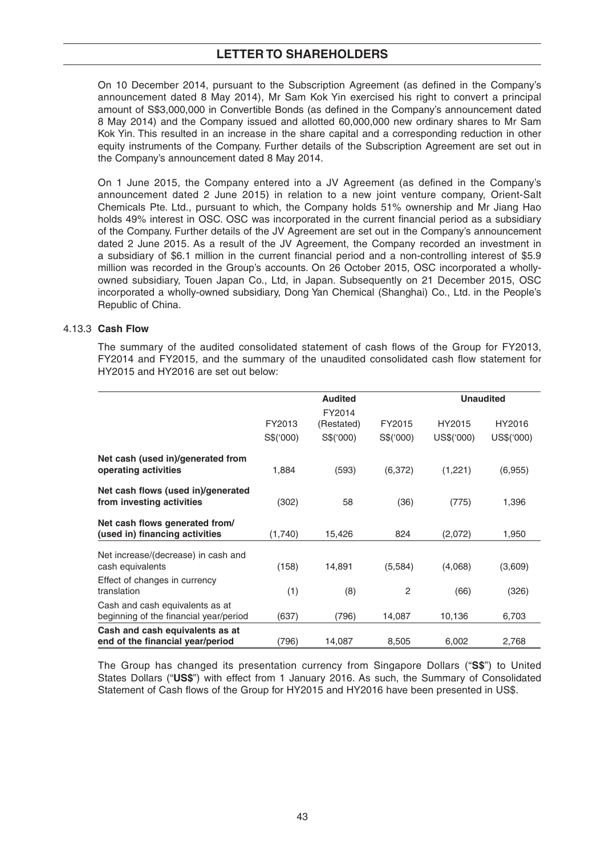On 10 December 2014, pursuant to the Subscription Agreement (as defined in the Company's announcement dated 8 May 2014), Mr Sam Kok Yin exercised his right to convert a principal amount of S\$3,000,000 in Convertible Bonds (as defined in the Company's announcement dated 8 May 2014) and the Company issued and allotted 60,000,000 new ordinary shares to Mr Sam Kok Yin. This resulted in an increase in the share capital and a corresponding reduction in other equity instruments of the Company. Further details of the Subscription Agreement are set out in the Company's announcement dated 8 May 2014.

On 1 June 2015, the Company entered into a JV Agreement (as defined in the Company's announcement dated 2 June 2015) in relation to a new joint venture company, Orient-Salt Chemicals Pte. Ltd., pursuant to which, the Company holds 51% ownership and Mr Jiang Hao holds 49% interest in OSC. OSC was incorporated in the current financial period as a subsidiary of the Company. Further details of the JV Agreement are set out in the Company's announcement dated 2 June 2015. As a result of the JV Agreement, the Company recorded an investment in a subsidiary of \$6.1 million in the current financial period and a non-controlling interest of \$5.9 million was recorded in the Group's accounts. On 26 October 2015, OSC incorporated a whollyowned subsidiary, Touen Japan Co., Ltd, in Japan. Subsequently on 21 December 2015, OSC incorporated a wholly-owned subsidiary, Dong Yan Chemical (Shanghai) Co., Ltd. in the People's Republic of China.

## 4.13.3 **Cash Flow**

The summary of the audited consolidated statement of cash flows of the Group for FY2013, FY2014 and FY2015, and the summary of the unaudited consolidated cash flow statement for HY2015 and HY2016 are set out below:

|                                                                           |          | <b>Audited</b> | <b>Unaudited</b> |            |            |
|---------------------------------------------------------------------------|----------|----------------|------------------|------------|------------|
|                                                                           |          | FY2014         |                  |            |            |
|                                                                           | FY2013   | (Restated)     | FY2015           | HY2015     | HY2016     |
|                                                                           | S\$(000) | S\$(000)       | S\$('000)        | US\$('000) | US\$('000) |
| Net cash (used in)/generated from<br>operating activities                 | 1,884    | (593)          | (6,372)          | (1,221)    | (6,955)    |
| Net cash flows (used in)/generated<br>from investing activities           | (302)    | 58             | (36)             | (775)      | 1,396      |
| Net cash flows generated from/<br>(used in) financing activities          | (1,740)  | 15,426         | 824              | (2,072)    | 1,950      |
| Net increase/(decrease) in cash and<br>cash equivalents                   | (158)    | 14,891         | (5,584)          | (4,068)    | (3,609)    |
| Effect of changes in currency<br>translation                              | (1)      | (8)            | $\overline{2}$   | (66)       | (326)      |
| Cash and cash equivalents as at<br>beginning of the financial year/period | (637)    | (796)          | 14,087           | 10,136     | 6,703      |
| Cash and cash equivalents as at<br>end of the financial year/period       | (796)    | 14,087         | 8,505            | 6,002      | 2,768      |

 The Group has changed its presentation currency from Singapore Dollars ("**S\$**") to United States Dollars ("**US\$**") with effect from 1 January 2016. As such, the Summary of Consolidated Statement of Cash flows of the Group for HY2015 and HY2016 have been presented in US\$.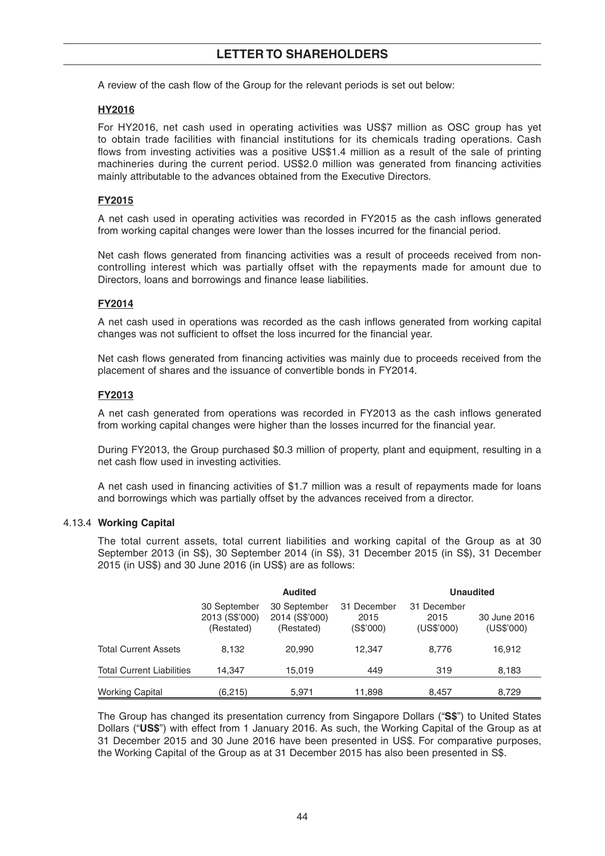A review of the cash flow of the Group for the relevant periods is set out below:

## **HY2016**

 For HY2016, net cash used in operating activities was US\$7 million as OSC group has yet to obtain trade facilities with financial institutions for its chemicals trading operations. Cash flows from investing activities was a positive US\$1.4 million as a result of the sale of printing machineries during the current period. US\$2.0 million was generated from financing activities mainly attributable to the advances obtained from the Executive Directors.

### **FY2015**

A net cash used in operating activities was recorded in FY2015 as the cash inflows generated from working capital changes were lower than the losses incurred for the financial period.

Net cash flows generated from financing activities was a result of proceeds received from noncontrolling interest which was partially offset with the repayments made for amount due to Directors, loans and borrowings and finance lease liabilities.

### **FY2014**

A net cash used in operations was recorded as the cash inflows generated from working capital changes was not sufficient to offset the loss incurred for the financial year.

Net cash flows generated from financing activities was mainly due to proceeds received from the placement of shares and the issuance of convertible bonds in FY2014.

### **FY2013**

A net cash generated from operations was recorded in FY2013 as the cash inflows generated from working capital changes were higher than the losses incurred for the financial year.

 During FY2013, the Group purchased \$0.3 million of property, plant and equipment, resulting in a net cash flow used in investing activities.

A net cash used in financing activities of \$1.7 million was a result of repayments made for loans and borrowings which was partially offset by the advances received from a director.

#### 4.13.4 **Working Capital**

 The total current assets, total current liabilities and working capital of the Group as at 30 September 2013 (in S\$), 30 September 2014 (in S\$), 31 December 2015 (in S\$), 31 December 2015 (in US\$) and 30 June 2016 (in US\$) are as follows:

|                                  |                                                                                              | <b>Audited</b> | <b>Unaudited</b>                 |                                   |                            |  |
|----------------------------------|----------------------------------------------------------------------------------------------|----------------|----------------------------------|-----------------------------------|----------------------------|--|
|                                  | 30 September<br>30 September<br>2013 (S\$'000)<br>2014 (S\$'000)<br>(Restated)<br>(Restated) |                | 31 December<br>2015<br>(S\$'000) | 31 December<br>2015<br>(US\$'000) | 30 June 2016<br>(US\$'000) |  |
| <b>Total Current Assets</b>      | 8.132                                                                                        | 20,990         | 12.347                           | 8.776                             | 16,912                     |  |
| <b>Total Current Liabilities</b> | 14.347                                                                                       | 15.019         | 449                              | 319                               | 8,183                      |  |
| <b>Working Capital</b>           | (6,215)                                                                                      | 5,971          | 11,898                           | 8,457                             | 8,729                      |  |

 The Group has changed its presentation currency from Singapore Dollars ("**S\$**") to United States Dollars ("**US\$**") with effect from 1 January 2016. As such, the Working Capital of the Group as at 31 December 2015 and 30 June 2016 have been presented in US\$. For comparative purposes, the Working Capital of the Group as at 31 December 2015 has also been presented in S\$.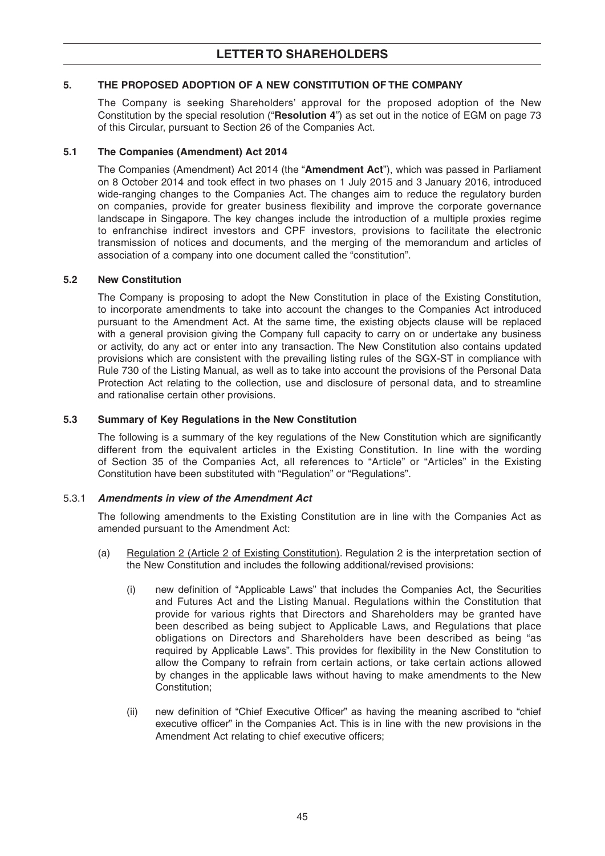# **5. THE PROPOSED ADOPTION OF A NEW CONSTITUTION OF THE COMPANY**

The Company is seeking Shareholders' approval for the proposed adoption of the New Constitution by the special resolution ("**Resolution 4**") as set out in the notice of EGM on page 73 of this Circular, pursuant to Section 26 of the Companies Act.

## **5.1 The Companies (Amendment) Act 2014**

The Companies (Amendment) Act 2014 (the "**Amendment Act**"), which was passed in Parliament on 8 October 2014 and took effect in two phases on 1 July 2015 and 3 January 2016, introduced wide-ranging changes to the Companies Act. The changes aim to reduce the regulatory burden on companies, provide for greater business flexibility and improve the corporate governance landscape in Singapore. The key changes include the introduction of a multiple proxies regime to enfranchise indirect investors and CPF investors, provisions to facilitate the electronic transmission of notices and documents, and the merging of the memorandum and articles of association of a company into one document called the "constitution".

### **5.2 New Constitution**

The Company is proposing to adopt the New Constitution in place of the Existing Constitution, to incorporate amendments to take into account the changes to the Companies Act introduced pursuant to the Amendment Act. At the same time, the existing objects clause will be replaced with a general provision giving the Company full capacity to carry on or undertake any business or activity, do any act or enter into any transaction. The New Constitution also contains updated provisions which are consistent with the prevailing listing rules of the SGX-ST in compliance with Rule 730 of the Listing Manual, as well as to take into account the provisions of the Personal Data Protection Act relating to the collection, use and disclosure of personal data, and to streamline and rationalise certain other provisions.

### **5.3 Summary of Key Regulations in the New Constitution**

The following is a summary of the key regulations of the New Constitution which are significantly different from the equivalent articles in the Existing Constitution. In line with the wording of Section 35 of the Companies Act, all references to "Article" or "Articles" in the Existing Constitution have been substituted with "Regulation" or "Regulations".

## 5.3.1 *Amendments in view of the Amendment Act*

The following amendments to the Existing Constitution are in line with the Companies Act as amended pursuant to the Amendment Act:

- (a) Regulation 2 (Article 2 of Existing Constitution). Regulation 2 is the interpretation section of the New Constitution and includes the following additional/revised provisions:
	- (i) new definition of "Applicable Laws" that includes the Companies Act, the Securities and Futures Act and the Listing Manual. Regulations within the Constitution that provide for various rights that Directors and Shareholders may be granted have been described as being subject to Applicable Laws, and Regulations that place obligations on Directors and Shareholders have been described as being "as required by Applicable Laws". This provides for flexibility in the New Constitution to allow the Company to refrain from certain actions, or take certain actions allowed by changes in the applicable laws without having to make amendments to the New Constitution;
	- (ii) new definition of "Chief Executive Officer" as having the meaning ascribed to "chief executive officer" in the Companies Act. This is in line with the new provisions in the Amendment Act relating to chief executive officers: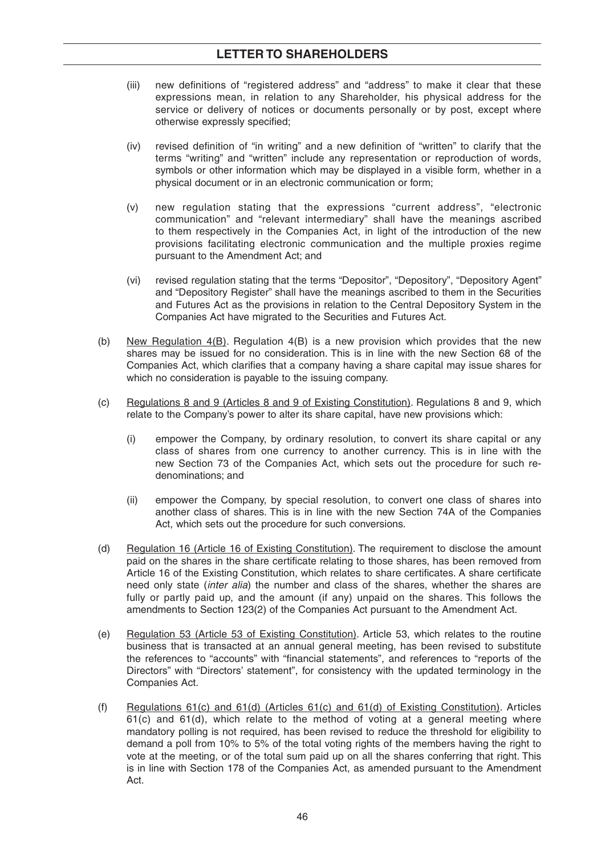- (iii) new definitions of "registered address" and "address" to make it clear that these expressions mean, in relation to any Shareholder, his physical address for the service or delivery of notices or documents personally or by post, except where otherwise expressly specified:
- $(iv)$  revised definition of "in writing" and a new definition of "written" to clarify that the terms "writing" and "written" include any representation or reproduction of words, symbols or other information which may be displayed in a visible form, whether in a physical document or in an electronic communication or form;
- (v) new regulation stating that the expressions "current address", "electronic communication" and "relevant intermediary" shall have the meanings ascribed to them respectively in the Companies Act, in light of the introduction of the new provisions facilitating electronic communication and the multiple proxies regime pursuant to the Amendment Act; and
- (vi) revised regulation stating that the terms "Depositor", "Depository", "Depository Agent" and "Depository Register" shall have the meanings ascribed to them in the Securities and Futures Act as the provisions in relation to the Central Depository System in the Companies Act have migrated to the Securities and Futures Act.
- (b) New Regulation 4(B). Regulation 4(B) is a new provision which provides that the new shares may be issued for no consideration. This is in line with the new Section 68 of the Companies Act, which clarifies that a company having a share capital may issue shares for which no consideration is payable to the issuing company.
- (c) Regulations 8 and 9 (Articles 8 and 9 of Existing Constitution). Regulations 8 and 9, which relate to the Company's power to alter its share capital, have new provisions which:
	- (i) empower the Company, by ordinary resolution, to convert its share capital or any class of shares from one currency to another currency. This is in line with the new Section 73 of the Companies Act, which sets out the procedure for such redenominations; and
	- (ii) empower the Company, by special resolution, to convert one class of shares into another class of shares. This is in line with the new Section 74A of the Companies Act, which sets out the procedure for such conversions.
- (d) Regulation 16 (Article 16 of Existing Constitution). The requirement to disclose the amount paid on the shares in the share certificate relating to those shares, has been removed from Article 16 of the Existing Constitution, which relates to share certificates. A share certificate need only state (*inter alia*) the number and class of the shares, whether the shares are fully or partly paid up, and the amount (if any) unpaid on the shares. This follows the amendments to Section 123(2) of the Companies Act pursuant to the Amendment Act.
- (e) Regulation 53 (Article 53 of Existing Constitution). Article 53, which relates to the routine business that is transacted at an annual general meeting, has been revised to substitute the references to "accounts" with "financial statements", and references to "reports of the Directors" with "Directors' statement", for consistency with the updated terminology in the Companies Act.
- (f) Regulations 61(c) and 61(d) (Articles 61(c) and 61(d) of Existing Constitution). Articles 61(c) and 61(d), which relate to the method of voting at a general meeting where mandatory polling is not required, has been revised to reduce the threshold for eligibility to demand a poll from 10% to 5% of the total voting rights of the members having the right to vote at the meeting, or of the total sum paid up on all the shares conferring that right. This is in line with Section 178 of the Companies Act, as amended pursuant to the Amendment Act.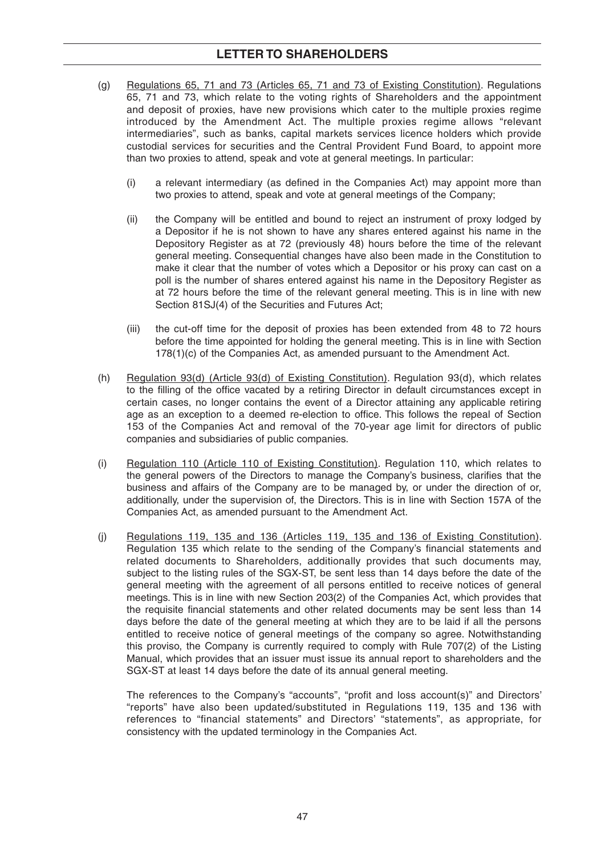- (g) Regulations 65, 71 and 73 (Articles 65, 71 and 73 of Existing Constitution). Regulations 65, 71 and 73, which relate to the voting rights of Shareholders and the appointment and deposit of proxies, have new provisions which cater to the multiple proxies regime introduced by the Amendment Act. The multiple proxies regime allows "relevant intermediaries", such as banks, capital markets services licence holders which provide custodial services for securities and the Central Provident Fund Board, to appoint more than two proxies to attend, speak and vote at general meetings. In particular:
	- $(i)$  a relevant intermediary (as defined in the Companies Act) may appoint more than two proxies to attend, speak and vote at general meetings of the Company;
	- (ii) the Company will be entitled and bound to reject an instrument of proxy lodged by a Depositor if he is not shown to have any shares entered against his name in the Depository Register as at 72 (previously 48) hours before the time of the relevant general meeting. Consequential changes have also been made in the Constitution to make it clear that the number of votes which a Depositor or his proxy can cast on a poll is the number of shares entered against his name in the Depository Register as at 72 hours before the time of the relevant general meeting. This is in line with new Section 81SJ(4) of the Securities and Futures Act;
	- (iii) the cut-off time for the deposit of proxies has been extended from 48 to 72 hours before the time appointed for holding the general meeting. This is in line with Section 178(1)(c) of the Companies Act, as amended pursuant to the Amendment Act.
- (h) Regulation 93(d) (Article 93(d) of Existing Constitution). Regulation 93(d), which relates to the filling of the office vacated by a retiring Director in default circumstances except in certain cases, no longer contains the event of a Director attaining any applicable retiring age as an exception to a deemed re-election to office. This follows the repeal of Section 153 of the Companies Act and removal of the 70-year age limit for directors of public companies and subsidiaries of public companies.
- (i) Regulation 110 (Article 110 of Existing Constitution). Regulation 110, which relates to the general powers of the Directors to manage the Company's business, clarifies that the business and affairs of the Company are to be managed by, or under the direction of or, additionally, under the supervision of, the Directors. This is in line with Section 157A of the Companies Act, as amended pursuant to the Amendment Act.
- (j) Regulations 119, 135 and 136 (Articles 119, 135 and 136 of Existing Constitution). Regulation 135 which relate to the sending of the Company's financial statements and related documents to Shareholders, additionally provides that such documents may, subject to the listing rules of the SGX-ST, be sent less than 14 days before the date of the general meeting with the agreement of all persons entitled to receive notices of general meetings. This is in line with new Section 203(2) of the Companies Act, which provides that the requisite financial statements and other related documents may be sent less than 14 days before the date of the general meeting at which they are to be laid if all the persons entitled to receive notice of general meetings of the company so agree. Notwithstanding this proviso, the Company is currently required to comply with Rule 707(2) of the Listing Manual, which provides that an issuer must issue its annual report to shareholders and the SGX-ST at least 14 days before the date of its annual general meeting.

The references to the Company's "accounts", "profit and loss account(s)" and Directors' "reports" have also been updated/substituted in Regulations 119, 135 and 136 with references to "financial statements" and Directors' "statements", as appropriate, for consistency with the updated terminology in the Companies Act.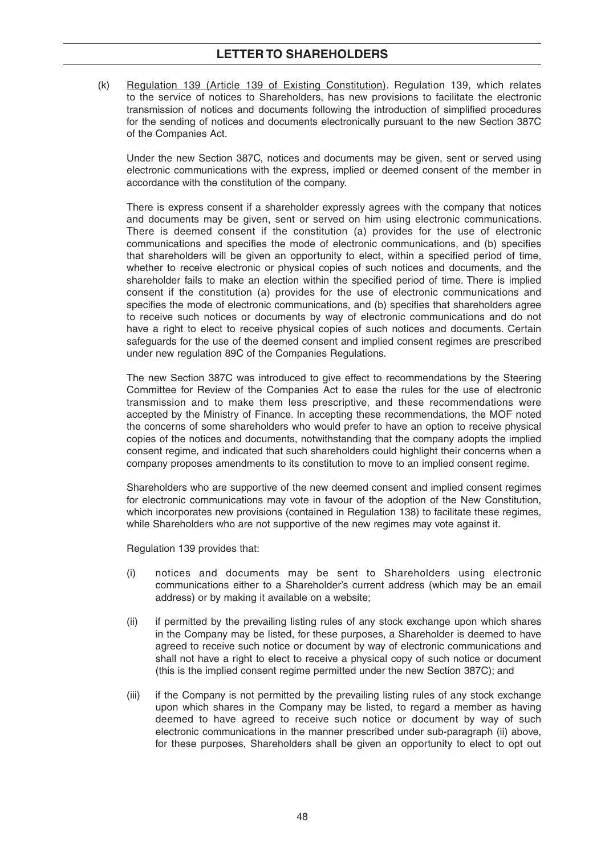(k) Regulation 139 (Article 139 of Existing Constitution). Regulation 139, which relates to the service of notices to Shareholders, has new provisions to facilitate the electronic transmission of notices and documents following the introduction of simplified procedures for the sending of notices and documents electronically pursuant to the new Section 387C of the Companies Act.

 Under the new Section 387C, notices and documents may be given, sent or served using electronic communications with the express, implied or deemed consent of the member in accordance with the constitution of the company.

 There is express consent if a shareholder expressly agrees with the company that notices and documents may be given, sent or served on him using electronic communications. There is deemed consent if the constitution (a) provides for the use of electronic communications and specifies the mode of electronic communications, and (b) specifies that shareholders will be given an opportunity to elect, within a specified period of time, whether to receive electronic or physical copies of such notices and documents, and the shareholder fails to make an election within the specified period of time. There is implied consent if the constitution (a) provides for the use of electronic communications and specifies the mode of electronic communications, and (b) specifies that shareholders agree to receive such notices or documents by way of electronic communications and do not have a right to elect to receive physical copies of such notices and documents. Certain safeguards for the use of the deemed consent and implied consent regimes are prescribed under new regulation 89C of the Companies Regulations.

 The new Section 387C was introduced to give effect to recommendations by the Steering Committee for Review of the Companies Act to ease the rules for the use of electronic transmission and to make them less prescriptive, and these recommendations were accepted by the Ministry of Finance. In accepting these recommendations, the MOF noted the concerns of some shareholders who would prefer to have an option to receive physical copies of the notices and documents, notwithstanding that the company adopts the implied consent regime, and indicated that such shareholders could highlight their concerns when a company proposes amendments to its constitution to move to an implied consent regime.

 Shareholders who are supportive of the new deemed consent and implied consent regimes for electronic communications may vote in favour of the adoption of the New Constitution, which incorporates new provisions (contained in Regulation 138) to facilitate these regimes, while Shareholders who are not supportive of the new regimes may vote against it.

Regulation 139 provides that:

- (i) notices and documents may be sent to Shareholders using electronic communications either to a Shareholder's current address (which may be an email address) or by making it available on a website;
- (ii) if permitted by the prevailing listing rules of any stock exchange upon which shares in the Company may be listed, for these purposes, a Shareholder is deemed to have agreed to receive such notice or document by way of electronic communications and shall not have a right to elect to receive a physical copy of such notice or document (this is the implied consent regime permitted under the new Section 387C); and
- (iii) if the Company is not permitted by the prevailing listing rules of any stock exchange upon which shares in the Company may be listed, to regard a member as having deemed to have agreed to receive such notice or document by way of such electronic communications in the manner prescribed under sub-paragraph (ii) above, for these purposes, Shareholders shall be given an opportunity to elect to opt out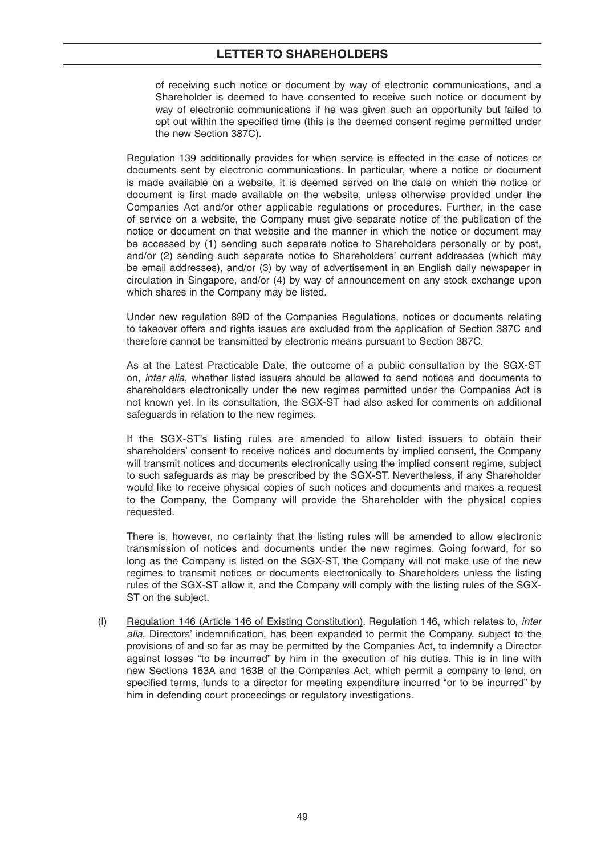of receiving such notice or document by way of electronic communications, and a Shareholder is deemed to have consented to receive such notice or document by way of electronic communications if he was given such an opportunity but failed to opt out within the specified time (this is the deemed consent regime permitted under the new Section 387C).

 Regulation 139 additionally provides for when service is effected in the case of notices or documents sent by electronic communications. In particular, where a notice or document is made available on a website, it is deemed served on the date on which the notice or document is first made available on the website, unless otherwise provided under the Companies Act and/or other applicable regulations or procedures. Further, in the case of service on a website, the Company must give separate notice of the publication of the notice or document on that website and the manner in which the notice or document may be accessed by (1) sending such separate notice to Shareholders personally or by post, and/or (2) sending such separate notice to Shareholders' current addresses (which may be email addresses), and/or (3) by way of advertisement in an English daily newspaper in circulation in Singapore, and/or (4) by way of announcement on any stock exchange upon which shares in the Company may be listed.

 Under new regulation 89D of the Companies Regulations, notices or documents relating to takeover offers and rights issues are excluded from the application of Section 387C and therefore cannot be transmitted by electronic means pursuant to Section 387C.

 As at the Latest Practicable Date, the outcome of a public consultation by the SGX-ST on, *inter alia*, whether listed issuers should be allowed to send notices and documents to shareholders electronically under the new regimes permitted under the Companies Act is not known yet. In its consultation, the SGX-ST had also asked for comments on additional safeguards in relation to the new regimes.

 If the SGX-ST's listing rules are amended to allow listed issuers to obtain their shareholders' consent to receive notices and documents by implied consent, the Company will transmit notices and documents electronically using the implied consent regime, subject to such safeguards as may be prescribed by the SGX-ST. Nevertheless, if any Shareholder would like to receive physical copies of such notices and documents and makes a request to the Company, the Company will provide the Shareholder with the physical copies requested.

 There is, however, no certainty that the listing rules will be amended to allow electronic transmission of notices and documents under the new regimes. Going forward, for so long as the Company is listed on the SGX-ST, the Company will not make use of the new regimes to transmit notices or documents electronically to Shareholders unless the listing rules of the SGX-ST allow it, and the Company will comply with the listing rules of the SGX-ST on the subject.

 (l) Regulation 146 (Article 146 of Existing Constitution). Regulation 146, which relates to, *inter alia*, Directors' indemnification, has been expanded to permit the Company, subject to the provisions of and so far as may be permitted by the Companies Act, to indemnify a Director against losses "to be incurred" by him in the execution of his duties. This is in line with new Sections 163A and 163B of the Companies Act, which permit a company to lend, on specified terms, funds to a director for meeting expenditure incurred "or to be incurred" by him in defending court proceedings or regulatory investigations.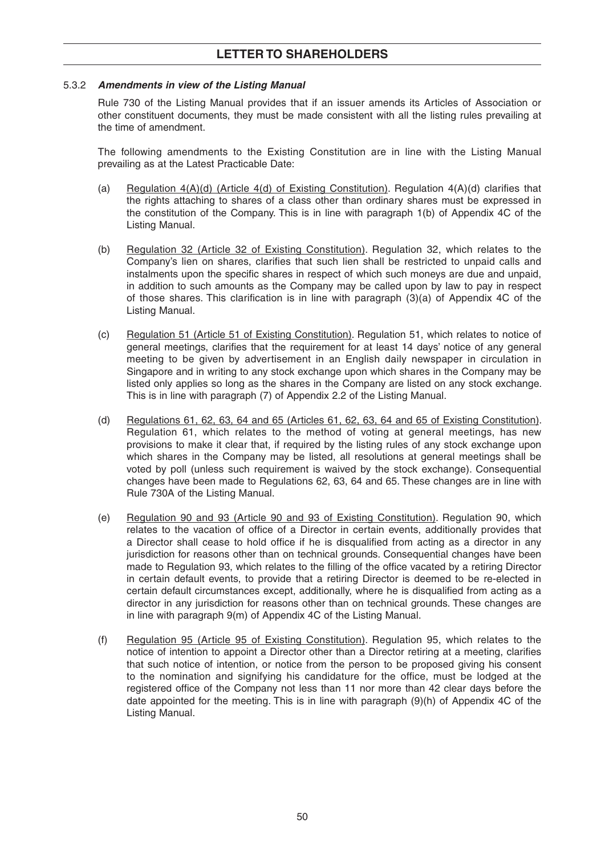### 5.3.2 *Amendments in view of the Listing Manual*

Rule 730 of the Listing Manual provides that if an issuer amends its Articles of Association or other constituent documents, they must be made consistent with all the listing rules prevailing at the time of amendment.

 The following amendments to the Existing Constitution are in line with the Listing Manual prevailing as at the Latest Practicable Date:

- (a) Regulation  $4(A)(d)$  (Article  $4(d)$  of Existing Constitution). Regulation  $4(A)(d)$  clarifies that the rights attaching to shares of a class other than ordinary shares must be expressed in the constitution of the Company. This is in line with paragraph 1(b) of Appendix 4C of the Listing Manual.
- (b) Regulation 32 (Article 32 of Existing Constitution). Regulation 32, which relates to the Company's lien on shares, clarifies that such lien shall be restricted to unpaid calls and instalments upon the specific shares in respect of which such moneys are due and unpaid, in addition to such amounts as the Company may be called upon by law to pay in respect of those shares. This clarification is in line with paragraph  $(3)(a)$  of Appendix 4C of the Listing Manual.
- (c) Regulation 51 (Article 51 of Existing Constitution). Regulation 51, which relates to notice of general meetings, clarifies that the requirement for at least 14 days' notice of any general meeting to be given by advertisement in an English daily newspaper in circulation in Singapore and in writing to any stock exchange upon which shares in the Company may be listed only applies so long as the shares in the Company are listed on any stock exchange. This is in line with paragraph (7) of Appendix 2.2 of the Listing Manual.
- (d) Regulations 61, 62, 63, 64 and 65 (Articles 61, 62, 63, 64 and 65 of Existing Constitution). Regulation 61, which relates to the method of voting at general meetings, has new provisions to make it clear that, if required by the listing rules of any stock exchange upon which shares in the Company may be listed, all resolutions at general meetings shall be voted by poll (unless such requirement is waived by the stock exchange). Consequential changes have been made to Regulations 62, 63, 64 and 65. These changes are in line with Rule 730A of the Listing Manual.
- (e) Regulation 90 and 93 (Article 90 and 93 of Existing Constitution). Regulation 90, which relates to the vacation of office of a Director in certain events, additionally provides that a Director shall cease to hold office if he is disqualified from acting as a director in any jurisdiction for reasons other than on technical grounds. Consequential changes have been made to Regulation 93, which relates to the filling of the office vacated by a retiring Director in certain default events, to provide that a retiring Director is deemed to be re-elected in certain default circumstances except, additionally, where he is disqualified from acting as a director in any jurisdiction for reasons other than on technical grounds. These changes are in line with paragraph 9(m) of Appendix 4C of the Listing Manual.
- (f) Regulation 95 (Article 95 of Existing Constitution). Regulation 95, which relates to the notice of intention to appoint a Director other than a Director retiring at a meeting, clarifies that such notice of intention, or notice from the person to be proposed giving his consent to the nomination and signifying his candidature for the office, must be lodged at the registered office of the Company not less than 11 nor more than 42 clear days before the date appointed for the meeting. This is in line with paragraph (9)(h) of Appendix 4C of the Listing Manual.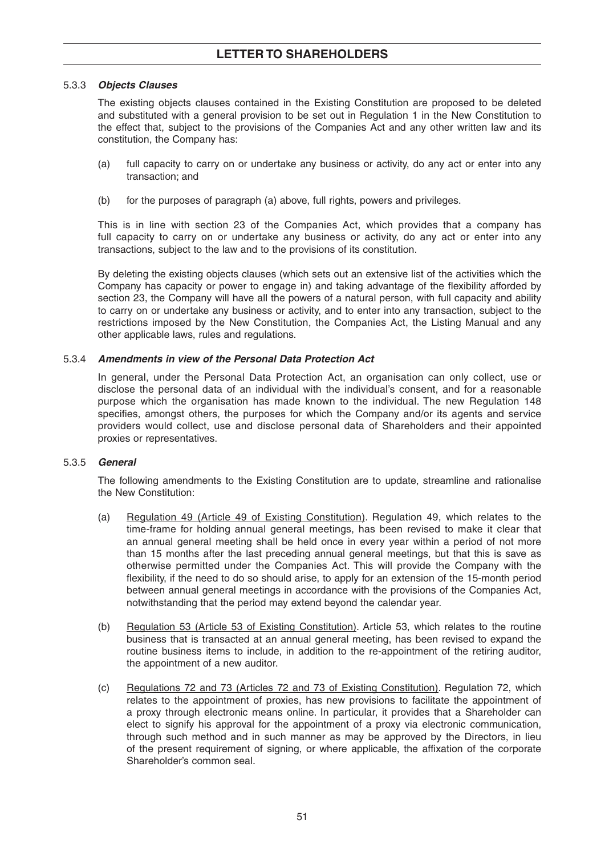### 5.3.3 *Objects Clauses*

The existing objects clauses contained in the Existing Constitution are proposed to be deleted and substituted with a general provision to be set out in Regulation 1 in the New Constitution to the effect that, subject to the provisions of the Companies Act and any other written law and its constitution, the Company has:

- (a) full capacity to carry on or undertake any business or activity, do any act or enter into any transaction; and
- (b) for the purposes of paragraph (a) above, full rights, powers and privileges.

 This is in line with section 23 of the Companies Act, which provides that a company has full capacity to carry on or undertake any business or activity, do any act or enter into any transactions, subject to the law and to the provisions of its constitution.

 By deleting the existing objects clauses (which sets out an extensive list of the activities which the Company has capacity or power to engage in) and taking advantage of the flexibility afforded by section 23, the Company will have all the powers of a natural person, with full capacity and ability to carry on or undertake any business or activity, and to enter into any transaction, subject to the restrictions imposed by the New Constitution, the Companies Act, the Listing Manual and any other applicable laws, rules and regulations.

### 5.3.4 *Amendments in view of the Personal Data Protection Act*

In general, under the Personal Data Protection Act, an organisation can only collect, use or disclose the personal data of an individual with the individual's consent, and for a reasonable purpose which the organisation has made known to the individual. The new Regulation 148 specifies, amongst others, the purposes for which the Company and/or its agents and service providers would collect, use and disclose personal data of Shareholders and their appointed proxies or representatives.

### 5.3.5 *General*

The following amendments to the Existing Constitution are to update, streamline and rationalise the New Constitution:

- (a) Regulation 49 (Article 49 of Existing Constitution). Regulation 49, which relates to the time-frame for holding annual general meetings, has been revised to make it clear that an annual general meeting shall be held once in every year within a period of not more than 15 months after the last preceding annual general meetings, but that this is save as otherwise permitted under the Companies Act. This will provide the Company with the flexibility, if the need to do so should arise, to apply for an extension of the 15-month period between annual general meetings in accordance with the provisions of the Companies Act, notwithstanding that the period may extend beyond the calendar year.
- (b) Regulation 53 (Article 53 of Existing Constitution). Article 53, which relates to the routine business that is transacted at an annual general meeting, has been revised to expand the routine business items to include, in addition to the re-appointment of the retiring auditor, the appointment of a new auditor.
- (c) Regulations 72 and 73 (Articles 72 and 73 of Existing Constitution). Regulation 72, which relates to the appointment of proxies, has new provisions to facilitate the appointment of a proxy through electronic means online. In particular, it provides that a Shareholder can elect to signify his approval for the appointment of a proxy via electronic communication, through such method and in such manner as may be approved by the Directors, in lieu of the present requirement of signing, or where applicable, the affixation of the corporate Shareholder's common seal.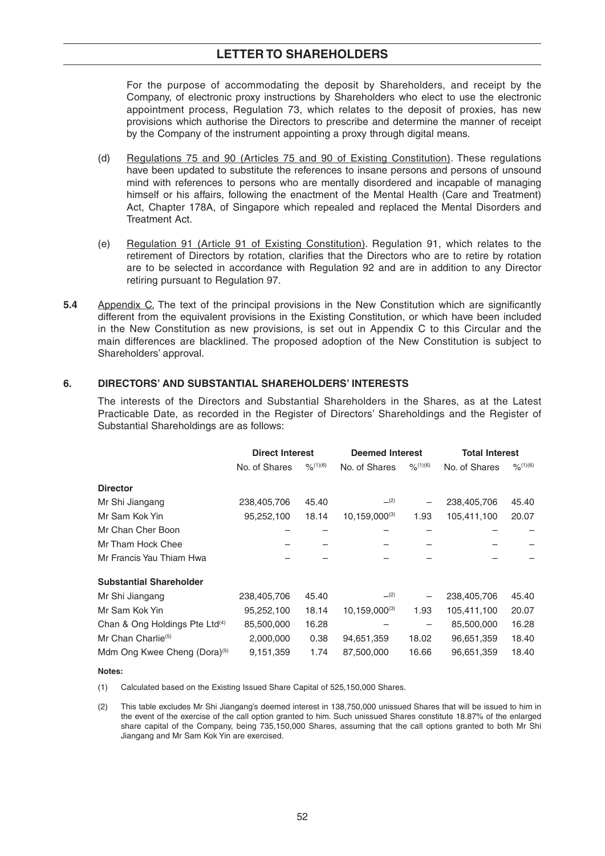For the purpose of accommodating the deposit by Shareholders, and receipt by the Company, of electronic proxy instructions by Shareholders who elect to use the electronic appointment process, Regulation 73, which relates to the deposit of proxies, has new provisions which authorise the Directors to prescribe and determine the manner of receipt by the Company of the instrument appointing a proxy through digital means.

- (d) Regulations 75 and 90 (Articles 75 and 90 of Existing Constitution). These regulations have been updated to substitute the references to insane persons and persons of unsound mind with references to persons who are mentally disordered and incapable of managing himself or his affairs, following the enactment of the Mental Health (Care and Treatment) Act, Chapter 178A, of Singapore which repealed and replaced the Mental Disorders and Treatment Act.
- (e) Regulation 91 (Article 91 of Existing Constitution). Regulation 91, which relates to the retirement of Directors by rotation, clarifies that the Directors who are to retire by rotation are to be selected in accordance with Regulation 92 and are in addition to any Director retiring pursuant to Regulation 97.
- **5.4** Appendix C. The text of the principal provisions in the New Constitution which are significantly different from the equivalent provisions in the Existing Constitution, or which have been included in the New Constitution as new provisions, is set out in Appendix C to this Circular and the main differences are blacklined. The proposed adoption of the New Constitution is subject to Shareholders' approval.

## **6. DIRECTORS' AND SUBSTANTIAL SHAREHOLDERS' INTERESTS**

The interests of the Directors and Substantial Shareholders in the Shares, as at the Latest Practicable Date, as recorded in the Register of Directors' Shareholdings and the Register of Substantial Shareholdings are as follows:

|                                            | <b>Direct Interest</b> |           | <b>Deemed Interest</b> |                          | <b>Total Interest</b> |         |
|--------------------------------------------|------------------------|-----------|------------------------|--------------------------|-----------------------|---------|
|                                            | No. of Shares          | 9/6(1)(6) | No. of Shares          | $9/6^{(1)(6)}$           | No. of Shares         | O(1)(6) |
| <b>Director</b>                            |                        |           |                        |                          |                       |         |
| Mr Shi Jiangang                            | 238,405,706            | 45.40     | (2)                    | —                        | 238,405,706           | 45.40   |
| Mr Sam Kok Yin                             | 95,252,100             | 18.14     | $10, 159, 000^{(3)}$   | 1.93                     | 105,411,100           | 20.07   |
| Mr Chan Cher Boon                          |                        |           |                        |                          |                       |         |
| Mr Tham Hock Chee                          |                        |           |                        |                          |                       |         |
| Mr Francis Yau Thiam Hwa                   |                        |           |                        |                          |                       |         |
| <b>Substantial Shareholder</b>             |                        |           |                        |                          |                       |         |
| Mr Shi Jiangang                            | 238,405,706            | 45.40     | (2)                    |                          | 238,405,706           | 45.40   |
| Mr Sam Kok Yin                             | 95,252,100             | 18.14     | $10, 159, 000^{(3)}$   | 1.93                     | 105,411,100           | 20.07   |
| Chan & Ong Holdings Pte Ltd <sup>(4)</sup> | 85,500,000             | 16.28     |                        | $\overline{\phantom{m}}$ | 85,500,000            | 16.28   |
| Mr Chan Charlie <sup>(5)</sup>             | 2,000,000              | 0.38      | 94,651,359             | 18.02                    | 96,651,359            | 18.40   |
| Mdm Ong Kwee Cheng (Dora) <sup>(5)</sup>   | 9,151,359              | 1.74      | 87,500,000             | 16.66                    | 96,651,359            | 18.40   |

#### **Notes:**

(1) Calculated based on the Existing Issued Share Capital of 525,150,000 Shares.

 (2) This table excludes Mr Shi Jiangang's deemed interest in 138,750,000 unissued Shares that will be issued to him in the event of the exercise of the call option granted to him. Such unissued Shares constitute 18.87% of the enlarged share capital of the Company, being 735,150,000 Shares, assuming that the call options granted to both Mr Shi Jiangang and Mr Sam Kok Yin are exercised.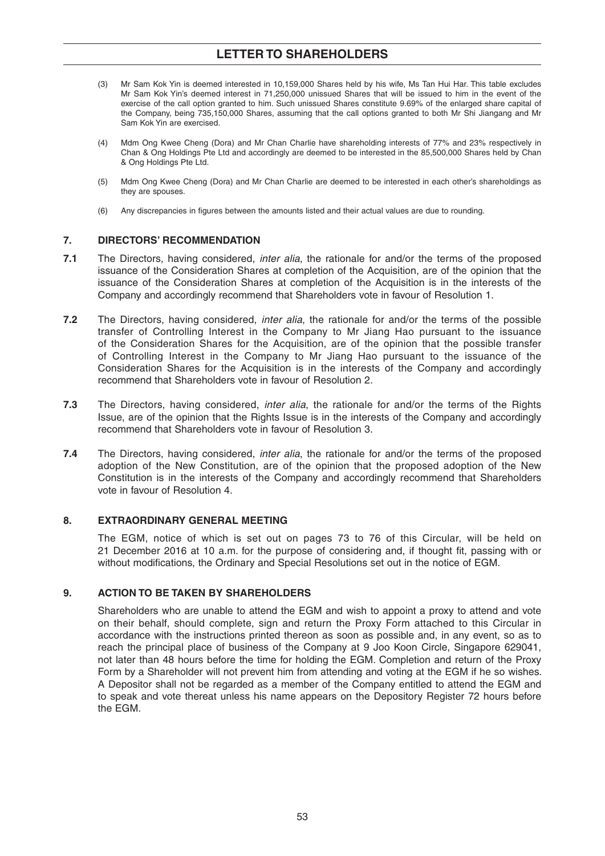- (3) Mr Sam Kok Yin is deemed interested in 10,159,000 Shares held by his wife, Ms Tan Hui Har. This table excludes Mr Sam Kok Yin's deemed interest in 71,250,000 unissued Shares that will be issued to him in the event of the exercise of the call option granted to him. Such unissued Shares constitute 9.69% of the enlarged share capital of the Company, being 735,150,000 Shares, assuming that the call options granted to both Mr Shi Jiangang and Mr Sam Kok Yin are exercised.
- (4) Mdm Ong Kwee Cheng (Dora) and Mr Chan Charlie have shareholding interests of 77% and 23% respectively in Chan & Ong Holdings Pte Ltd and accordingly are deemed to be interested in the 85,500,000 Shares held by Chan & Ong Holdings Pte Ltd.
- (5) Mdm Ong Kwee Cheng (Dora) and Mr Chan Charlie are deemed to be interested in each other's shareholdings as they are spouses.
- (6) Any discrepancies in figures between the amounts listed and their actual values are due to rounding.

## **7. DIRECTORS' RECOMMENDATION**

- **7.1** The Directors, having considered, *inter alia*, the rationale for and/or the terms of the proposed issuance of the Consideration Shares at completion of the Acquisition, are of the opinion that the issuance of the Consideration Shares at completion of the Acquisition is in the interests of the Company and accordingly recommend that Shareholders vote in favour of Resolution 1.
- **7.2** The Directors, having considered, *inter alia*, the rationale for and/or the terms of the possible transfer of Controlling Interest in the Company to Mr Jiang Hao pursuant to the issuance of the Consideration Shares for the Acquisition, are of the opinion that the possible transfer of Controlling Interest in the Company to Mr Jiang Hao pursuant to the issuance of the Consideration Shares for the Acquisition is in the interests of the Company and accordingly recommend that Shareholders vote in favour of Resolution 2.
- **7.3** The Directors, having considered, *inter alia*, the rationale for and/or the terms of the Rights Issue, are of the opinion that the Rights Issue is in the interests of the Company and accordingly recommend that Shareholders vote in favour of Resolution 3.
- **7.4** The Directors, having considered, *inter alia*, the rationale for and/or the terms of the proposed adoption of the New Constitution, are of the opinion that the proposed adoption of the New Constitution is in the interests of the Company and accordingly recommend that Shareholders vote in favour of Resolution 4.

## **8. EXTRAORDINARY GENERAL MEETING**

The EGM, notice of which is set out on pages 73 to 76 of this Circular, will be held on 21 December 2016 at 10 a.m. for the purpose of considering and, if thought fit, passing with or without modifications, the Ordinary and Special Resolutions set out in the notice of EGM.

## **9. ACTION TO BE TAKEN BY SHAREHOLDERS**

 Shareholders who are unable to attend the EGM and wish to appoint a proxy to attend and vote on their behalf, should complete, sign and return the Proxy Form attached to this Circular in accordance with the instructions printed thereon as soon as possible and, in any event, so as to reach the principal place of business of the Company at 9 Joo Koon Circle, Singapore 629041, not later than 48 hours before the time for holding the EGM. Completion and return of the Proxy Form by a Shareholder will not prevent him from attending and voting at the EGM if he so wishes. A Depositor shall not be regarded as a member of the Company entitled to attend the EGM and to speak and vote thereat unless his name appears on the Depository Register 72 hours before the EGM.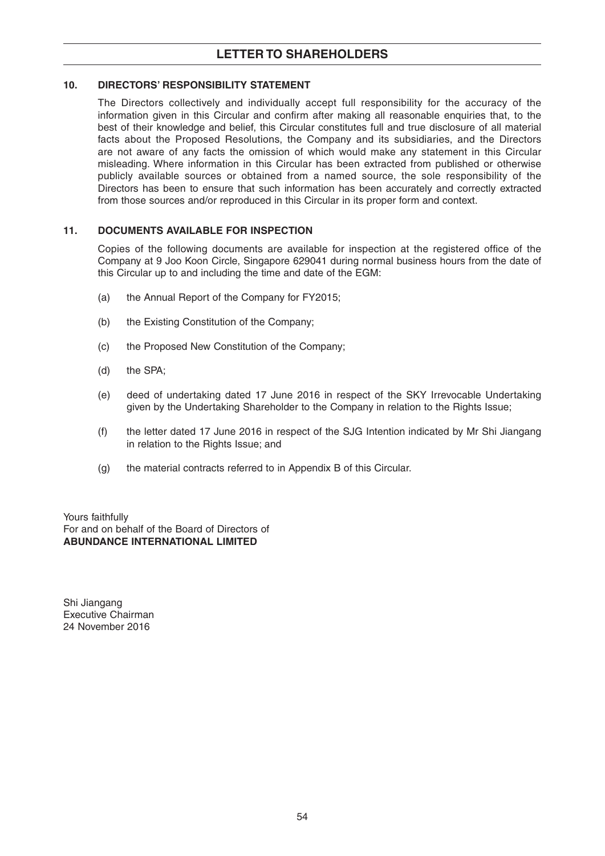## **10. DIRECTORS' RESPONSIBILITY STATEMENT**

The Directors collectively and individually accept full responsibility for the accuracy of the information given in this Circular and confirm after making all reasonable enquiries that, to the best of their knowledge and belief, this Circular constitutes full and true disclosure of all material facts about the Proposed Resolutions, the Company and its subsidiaries, and the Directors are not aware of any facts the omission of which would make any statement in this Circular misleading. Where information in this Circular has been extracted from published or otherwise publicly available sources or obtained from a named source, the sole responsibility of the Directors has been to ensure that such information has been accurately and correctly extracted from those sources and/or reproduced in this Circular in its proper form and context.

## **11. DOCUMENTS AVAILABLE FOR INSPECTION**

Copies of the following documents are available for inspection at the registered office of the Company at 9 Joo Koon Circle, Singapore 629041 during normal business hours from the date of this Circular up to and including the time and date of the EGM:

- (a) the Annual Report of the Company for FY2015;
- (b) the Existing Constitution of the Company;
- (c) the Proposed New Constitution of the Company;
- (d) the SPA;
- (e) deed of undertaking dated 17 June 2016 in respect of the SKY Irrevocable Undertaking given by the Undertaking Shareholder to the Company in relation to the Rights Issue;
- (f) the letter dated 17 June 2016 in respect of the SJG Intention indicated by Mr Shi Jiangang in relation to the Rights Issue; and
- (g) the material contracts referred to in Appendix B of this Circular.

Yours faithfully For and on behalf of the Board of Directors of **ABUNDANCE INTERNATIONAL LIMITED**

Shi Jiangang Executive Chairman 24 November 2016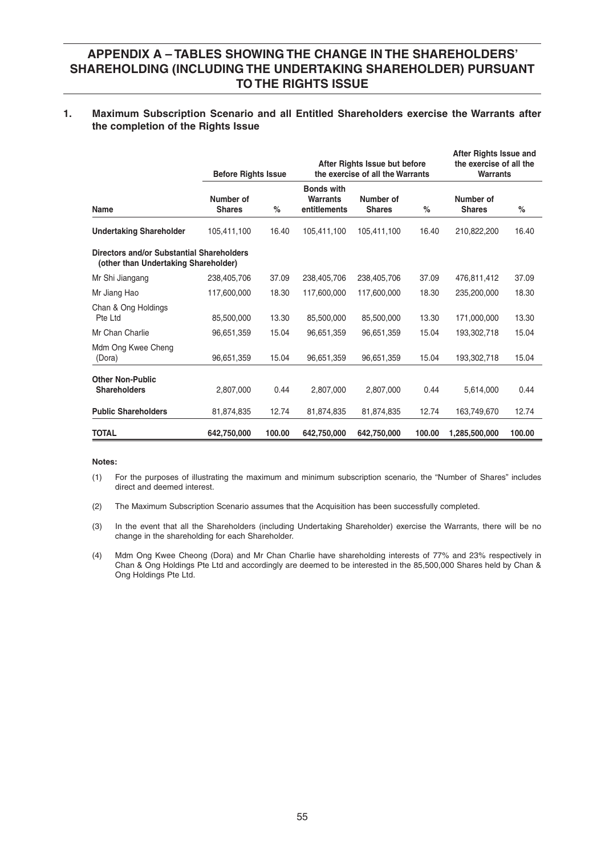# **APPENDIX A – TABLES SHOWING THE CHANGE IN THE SHAREHOLDERS' SHAREHOLDING (INCLUDING THE UNDERTAKING SHAREHOLDER) PURSUANT TO THE RIGHTS ISSUE**

### **1. Maximum Subscription Scenario and all Entitled Shareholders exercise the Warrants after the completion of the Rights Issue**

|                                                                                   | <b>Before Rights Issue</b> |        |                                                      | After Rights Issue but before<br>the exercise of all the Warrants | After Rights Issue and<br>the exercise of all the<br><b>Warrants</b> |                            |        |
|-----------------------------------------------------------------------------------|----------------------------|--------|------------------------------------------------------|-------------------------------------------------------------------|----------------------------------------------------------------------|----------------------------|--------|
| Name                                                                              | Number of<br><b>Shares</b> | %      | <b>Bonds with</b><br><b>Warrants</b><br>entitlements | Number of<br><b>Shares</b>                                        | $\%$                                                                 | Number of<br><b>Shares</b> | $\%$   |
| <b>Undertaking Shareholder</b>                                                    | 105,411,100                | 16.40  | 105,411,100                                          | 105,411,100                                                       | 16.40                                                                | 210,822,200                | 16.40  |
| Directors and/or Substantial Shareholders<br>(other than Undertaking Shareholder) |                            |        |                                                      |                                                                   |                                                                      |                            |        |
| Mr Shi Jiangang                                                                   | 238,405,706                | 37.09  | 238,405,706                                          | 238,405,706                                                       | 37.09                                                                | 476,811,412                | 37.09  |
| Mr Jiang Hao                                                                      | 117,600,000                | 18.30  | 117,600,000                                          | 117,600,000                                                       | 18.30                                                                | 235,200,000                | 18.30  |
| Chan & Ong Holdings<br>Pte Ltd                                                    | 85,500,000                 | 13.30  | 85,500,000                                           | 85,500,000                                                        | 13.30                                                                | 171,000,000                | 13.30  |
| Mr Chan Charlie                                                                   | 96,651,359                 | 15.04  | 96,651,359                                           | 96,651,359                                                        | 15.04                                                                | 193,302,718                | 15.04  |
| Mdm Ong Kwee Cheng<br>(Dora)                                                      | 96,651,359                 | 15.04  | 96,651,359                                           | 96,651,359                                                        | 15.04                                                                | 193,302,718                | 15.04  |
| <b>Other Non-Public</b><br><b>Shareholders</b>                                    | 2,807,000                  | 0.44   | 2,807,000                                            | 2.807.000                                                         | 0.44                                                                 | 5,614,000                  | 0.44   |
| <b>Public Shareholders</b>                                                        | 81,874,835                 | 12.74  | 81,874,835                                           | 81,874,835                                                        | 12.74                                                                | 163,749,670                | 12.74  |
| <b>TOTAL</b>                                                                      | 642,750,000                | 100.00 | 642,750,000                                          | 642,750,000                                                       | 100.00                                                               | 1,285,500,000              | 100.00 |

#### **Notes:**

- (1) For the purposes of illustrating the maximum and minimum subscription scenario, the "Number of Shares" includes direct and deemed interest.
- (2) The Maximum Subscription Scenario assumes that the Acquisition has been successfully completed.
- (3) In the event that all the Shareholders (including Undertaking Shareholder) exercise the Warrants, there will be no change in the shareholding for each Shareholder.
- (4) Mdm Ong Kwee Cheong (Dora) and Mr Chan Charlie have shareholding interests of 77% and 23% respectively in Chan & Ong Holdings Pte Ltd and accordingly are deemed to be interested in the 85,500,000 Shares held by Chan & Ong Holdings Pte Ltd.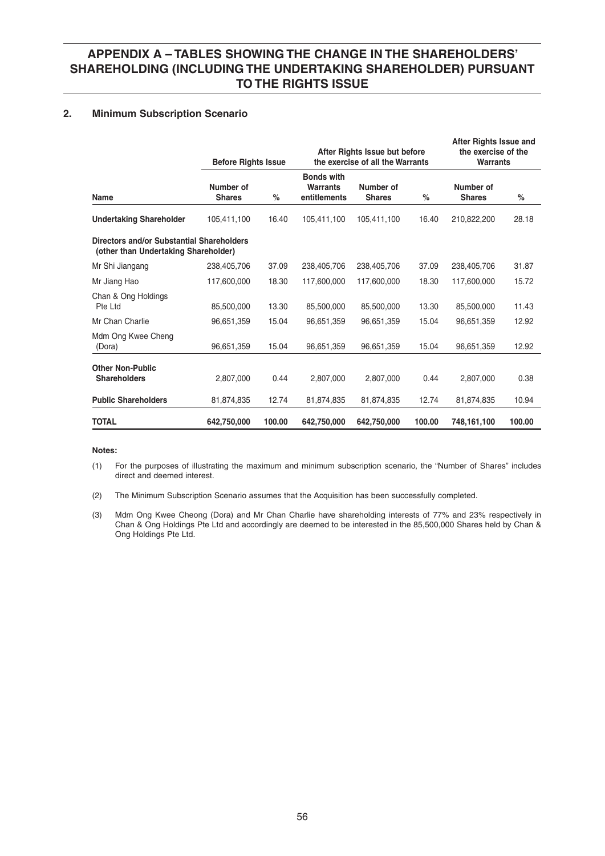# **APPENDIX A – TABLES SHOWING THE CHANGE IN THE SHAREHOLDERS' SHAREHOLDING (INCLUDING THE UNDERTAKING SHAREHOLDER) PURSUANT TO THE RIGHTS ISSUE**

## **2. Minimum Subscription Scenario**

|                                                                                   | <b>Before Rights Issue</b> |        |                                                      | After Rights Issue but before<br>the exercise of all the Warrants | After Rights Issue and<br>the exercise of the<br><b>Warrants</b> |                            |        |
|-----------------------------------------------------------------------------------|----------------------------|--------|------------------------------------------------------|-------------------------------------------------------------------|------------------------------------------------------------------|----------------------------|--------|
| Name                                                                              | Number of<br><b>Shares</b> | %      | <b>Bonds with</b><br><b>Warrants</b><br>entitlements | Number of<br><b>Shares</b>                                        | $\%$                                                             | Number of<br><b>Shares</b> | %      |
| <b>Undertaking Shareholder</b>                                                    | 105,411,100                | 16.40  | 105,411,100                                          | 105,411,100                                                       | 16.40                                                            | 210,822,200                | 28.18  |
| Directors and/or Substantial Shareholders<br>(other than Undertaking Shareholder) |                            |        |                                                      |                                                                   |                                                                  |                            |        |
| Mr Shi Jiangang                                                                   | 238,405,706                | 37.09  | 238,405,706                                          | 238,405,706                                                       | 37.09                                                            | 238,405,706                | 31.87  |
| Mr Jiang Hao                                                                      | 117,600,000                | 18.30  | 117,600,000                                          | 117,600,000                                                       | 18.30                                                            | 117,600,000                | 15.72  |
| Chan & Ong Holdings<br>Pte Ltd                                                    | 85.500.000                 | 13.30  | 85,500,000                                           | 85,500,000                                                        | 13.30                                                            | 85,500,000                 | 11.43  |
| Mr Chan Charlie                                                                   | 96,651,359                 | 15.04  | 96,651,359                                           | 96,651,359                                                        | 15.04                                                            | 96,651,359                 | 12.92  |
| Mdm Ong Kwee Cheng<br>(Dora)                                                      | 96,651,359                 | 15.04  | 96,651,359                                           | 96,651,359                                                        | 15.04                                                            | 96,651,359                 | 12.92  |
| <b>Other Non-Public</b><br><b>Shareholders</b>                                    | 2,807,000                  | 0.44   | 2,807,000                                            | 2,807,000                                                         | 0.44                                                             | 2,807,000                  | 0.38   |
| <b>Public Shareholders</b>                                                        | 81,874,835                 | 12.74  | 81,874,835                                           | 81,874,835                                                        | 12.74                                                            | 81,874,835                 | 10.94  |
| <b>TOTAL</b>                                                                      | 642,750,000                | 100.00 | 642.750.000                                          | 642,750,000                                                       | 100.00                                                           | 748,161,100                | 100.00 |

#### **Notes:**

 (1) For the purposes of illustrating the maximum and minimum subscription scenario, the "Number of Shares" includes direct and deemed interest.

(2) The Minimum Subscription Scenario assumes that the Acquisition has been successfully completed.

 (3) Mdm Ong Kwee Cheong (Dora) and Mr Chan Charlie have shareholding interests of 77% and 23% respectively in Chan & Ong Holdings Pte Ltd and accordingly are deemed to be interested in the 85,500,000 Shares held by Chan & Ong Holdings Pte Ltd.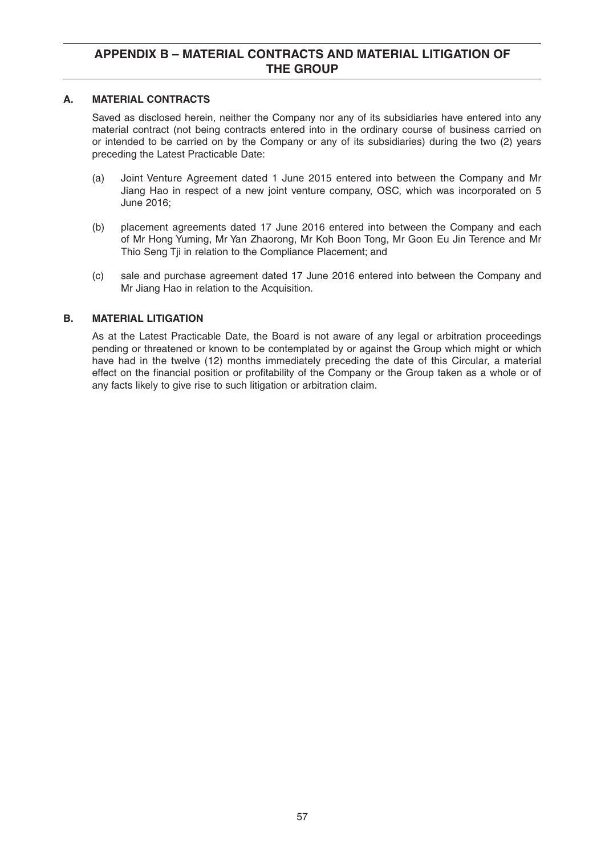## **A. MATERIAL CONTRACTS**

 Saved as disclosed herein, neither the Company nor any of its subsidiaries have entered into any material contract (not being contracts entered into in the ordinary course of business carried on or intended to be carried on by the Company or any of its subsidiaries) during the two (2) years preceding the Latest Practicable Date:

- (a) Joint Venture Agreement dated 1 June 2015 entered into between the Company and Mr Jiang Hao in respect of a new joint venture company, OSC, which was incorporated on 5 June 2016;
- (b) placement agreements dated 17 June 2016 entered into between the Company and each of Mr Hong Yuming, Mr Yan Zhaorong, Mr Koh Boon Tong, Mr Goon Eu Jin Terence and Mr Thio Seng Tji in relation to the Compliance Placement; and
- (c) sale and purchase agreement dated 17 June 2016 entered into between the Company and Mr Jiang Hao in relation to the Acquisition.

# **B. MATERIAL LITIGATION**

 As at the Latest Practicable Date, the Board is not aware of any legal or arbitration proceedings pending or threatened or known to be contemplated by or against the Group which might or which have had in the twelve (12) months immediately preceding the date of this Circular, a material effect on the financial position or profitability of the Company or the Group taken as a whole or of any facts likely to give rise to such litigation or arbitration claim.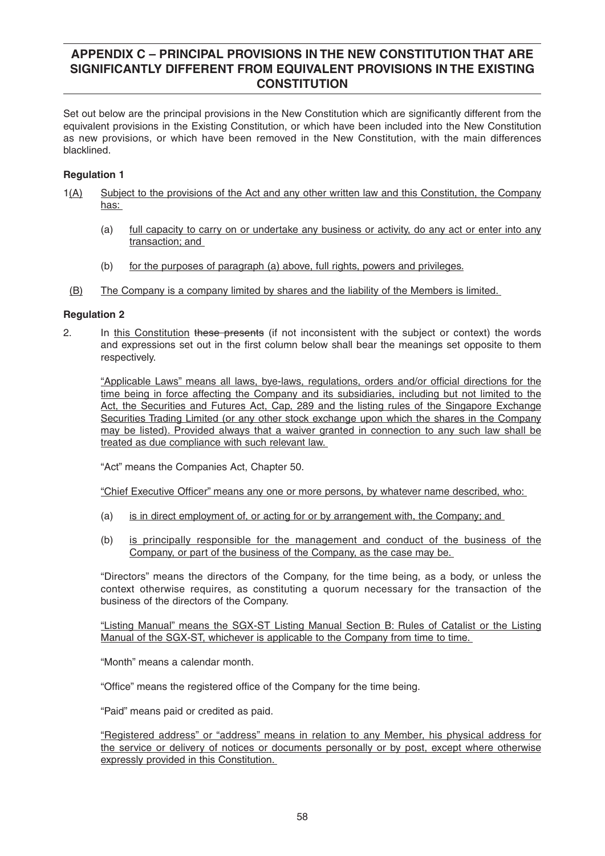Set out below are the principal provisions in the New Constitution which are significantly different from the equivalent provisions in the Existing Constitution, or which have been included into the New Constitution as new provisions, or which have been removed in the New Constitution, with the main differences blacklined.

# **Regulation 1**

- 1(A) Subject to the provisions of the Act and any other written law and this Constitution, the Company has:
	- (a) full capacity to carry on or undertake any business or activity, do any act or enter into any transaction; and
	- (b) for the purposes of paragraph (a) above, full rights, powers and privileges.
- (B) The Company is a company limited by shares and the liability of the Members is limited.

### **Regulation 2**

2. In this Constitution these presents (if not inconsistent with the subject or context) the words and expressions set out in the first column below shall bear the meanings set opposite to them respectively.

"Applicable Laws" means all laws, bye-laws, regulations, orders and/or official directions for the time being in force affecting the Company and its subsidiaries, including but not limited to the Act, the Securities and Futures Act, Cap, 289 and the listing rules of the Singapore Exchange Securities Trading Limited (or any other stock exchange upon which the shares in the Company may be listed). Provided always that a waiver granted in connection to any such law shall be treated as due compliance with such relevant law.

"Act" means the Companies Act, Chapter 50.

"Chief Executive Officer" means any one or more persons, by whatever name described, who:

- (a) is in direct employment of, or acting for or by arrangement with, the Company; and
- (b) is principally responsible for the management and conduct of the business of the Company, or part of the business of the Company, as the case may be.

 "Directors" means the directors of the Company, for the time being, as a body, or unless the context otherwise requires, as constituting a quorum necessary for the transaction of the business of the directors of the Company.

 "Listing Manual" means the SGX-ST Listing Manual Section B: Rules of Catalist or the Listing Manual of the SGX-ST, whichever is applicable to the Company from time to time.

"Month" means a calendar month.

"Office" means the registered office of the Company for the time being.

"Paid" means paid or credited as paid.

 "Registered address" or "address" means in relation to any Member, his physical address for the service or delivery of notices or documents personally or by post, except where otherwise expressly provided in this Constitution.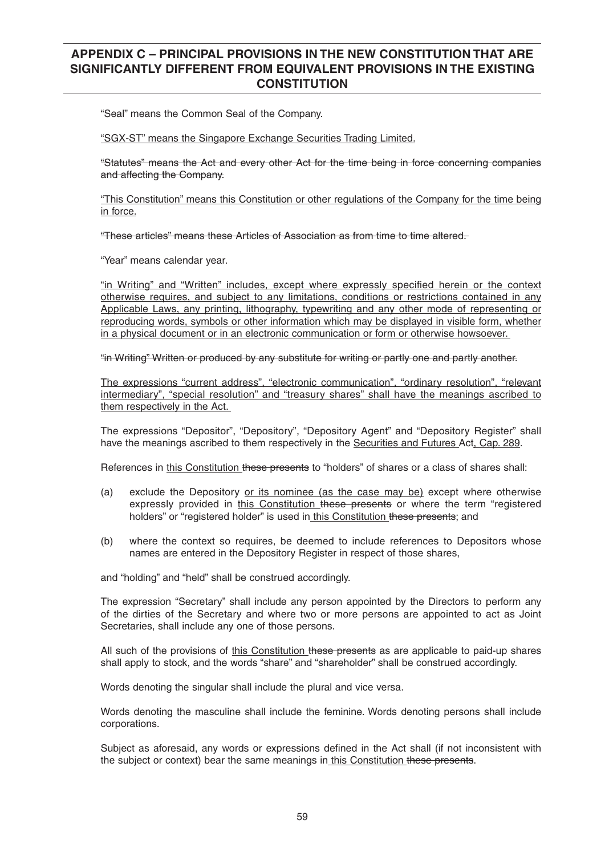"Seal" means the Common Seal of the Company.

"SGX-ST" means the Singapore Exchange Securities Trading Limited.

 "Statutes" means the Act and every other Act for the time being in force concerning companies and affecting the Company.

 "This Constitution" means this Constitution or other regulations of the Company for the time being in force.

"These articles" means these Articles of Association as from time to time altered.

"Year" means calendar year.

"in Writing" and "Written" includes, except where expressly specified herein or the context otherwise requires, and subject to any limitations, conditions or restrictions contained in any Applicable Laws, any printing, lithography, typewriting and any other mode of representing or reproducing words, symbols or other information which may be displayed in visible form, whether in a physical document or in an electronic communication or form or otherwise howsoever.

"in Writing" Written or produced by any substitute for writing or partly one and partly another.

 The expressions "current address", "electronic communication", "ordinary resolution", "relevant intermediary", "special resolution" and "treasury shares" shall have the meanings ascribed to them respectively in the Act.

 The expressions "Depositor", "Depository", "Depository Agent" and "Depository Register" shall have the meanings ascribed to them respectively in the Securities and Futures Act, Cap. 289.

References in this Constitution these presents to "holders" of shares or a class of shares shall:

- (a) exclude the Depository or its nominee (as the case may be) except where otherwise expressly provided in this Constitution these presents or where the term "registered holders" or "registered holder" is used in this Constitution these presents; and
- (b) where the context so requires, be deemed to include references to Depositors whose names are entered in the Depository Register in respect of those shares,

and "holding" and "held" shall be construed accordingly.

 The expression "Secretary" shall include any person appointed by the Directors to perform any of the dirties of the Secretary and where two or more persons are appointed to act as Joint Secretaries, shall include any one of those persons.

All such of the provisions of this Constitution these presents as are applicable to paid-up shares shall apply to stock, and the words "share" and "shareholder" shall be construed accordingly.

Words denoting the singular shall include the plural and vice versa.

 Words denoting the masculine shall include the feminine. Words denoting persons shall include corporations.

Subiect as aforesaid, any words or expressions defined in the Act shall (if not inconsistent with the subject or context) bear the same meanings in this Constitution these presents.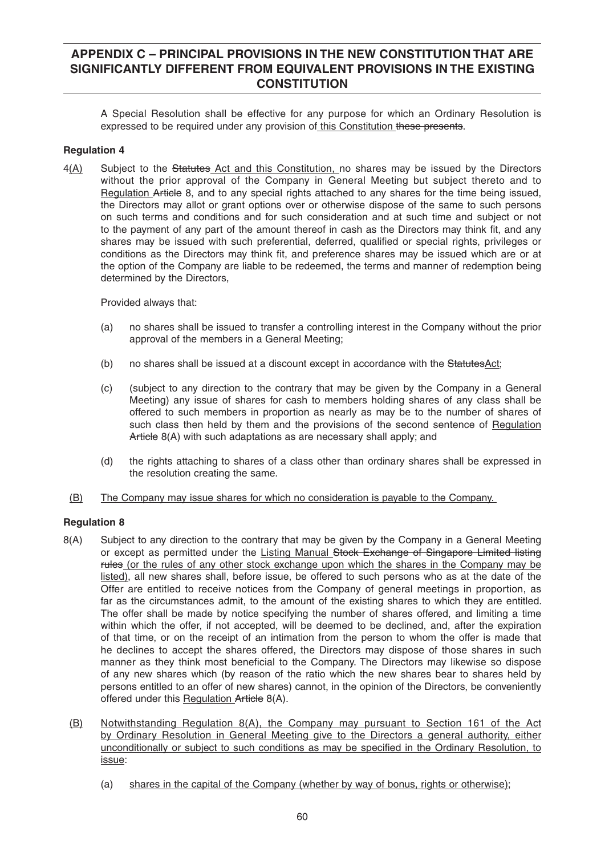A Special Resolution shall be effective for any purpose for which an Ordinary Resolution is expressed to be required under any provision of this Constitution these presents.

# **Regulation 4**

4(A) Subject to the Statutes Act and this Constitution, no shares may be issued by the Directors without the prior approval of the Company in General Meeting but subject thereto and to Regulation Article 8, and to any special rights attached to any shares for the time being issued, the Directors may allot or grant options over or otherwise dispose of the same to such persons on such terms and conditions and for such consideration and at such time and subject or not to the payment of any part of the amount thereof in cash as the Directors may think fit, and any shares may be issued with such preferential, deferred, qualified or special rights, privileges or conditions as the Directors may think fit, and preference shares may be issued which are or at the option of the Company are liable to be redeemed, the terms and manner of redemption being determined by the Directors,

Provided always that:

- (a) no shares shall be issued to transfer a controlling interest in the Company without the prior approval of the members in a General Meeting;
- (b) no shares shall be issued at a discount except in accordance with the StatutesAct;
- (c) (subject to any direction to the contrary that may be given by the Company in a General Meeting) any issue of shares for cash to members holding shares of any class shall be offered to such members in proportion as nearly as may be to the number of shares of such class then held by them and the provisions of the second sentence of Regulation Article 8(A) with such adaptations as are necessary shall apply; and
- (d) the rights attaching to shares of a class other than ordinary shares shall be expressed in the resolution creating the same.
- (B) The Company may issue shares for which no consideration is payable to the Company.

- 8(A) Subject to any direction to the contrary that may be given by the Company in a General Meeting or except as permitted under the Listing Manual Stock Exchange of Singapore Limited listing rules (or the rules of any other stock exchange upon which the shares in the Company may be listed), all new shares shall, before issue, be offered to such persons who as at the date of the Offer are entitled to receive notices from the Company of general meetings in proportion, as far as the circumstances admit, to the amount of the existing shares to which they are entitled. The offer shall be made by notice specifying the number of shares offered, and limiting a time within which the offer, if not accepted, will be deemed to be declined, and, after the expiration of that time, or on the receipt of an intimation from the person to whom the offer is made that he declines to accept the shares offered, the Directors may dispose of those shares in such manner as they think most beneficial to the Company. The Directors may likewise so dispose of any new shares which (by reason of the ratio which the new shares bear to shares held by persons entitled to an offer of new shares) cannot, in the opinion of the Directors, be conveniently offered under this Regulation Article 8(A).
- (B) Notwithstanding Regulation 8(A), the Company may pursuant to Section 161 of the Act by Ordinary Resolution in General Meeting give to the Directors a general authority, either unconditionally or subject to such conditions as may be specified in the Ordinary Resolution, to issue:
	- (a) shares in the capital of the Company (whether by way of bonus, rights or otherwise);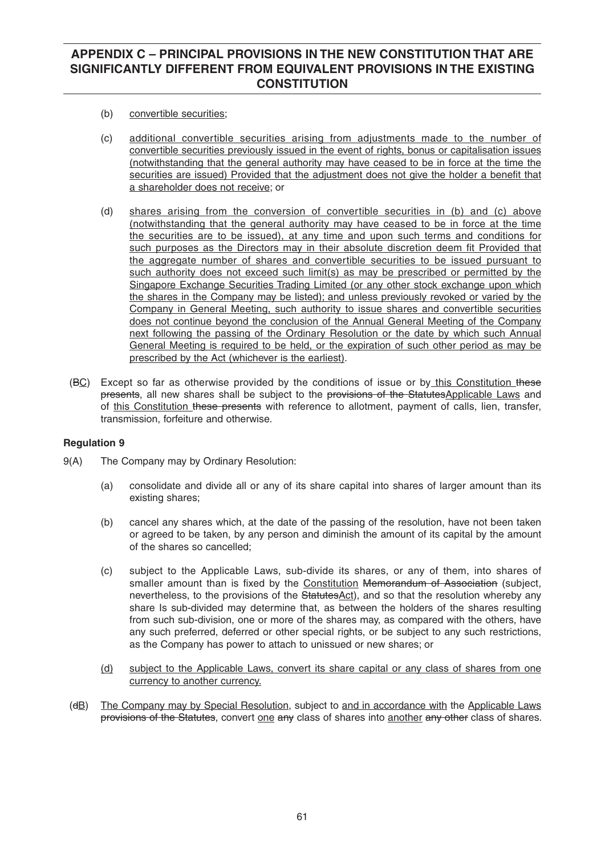- (b) convertible securities;
- (c) additional convertible securities arising from adjustments made to the number of convertible securities previously issued in the event of rights, bonus or capitalisation issues (notwithstanding that the general authority may have ceased to be in force at the time the securities are issued) Provided that the adjustment does not give the holder a benefit that a shareholder does not receive; or
- (d) shares arising from the conversion of convertible securities in (b) and (c) above (notwithstanding that the general authority may have ceased to be in force at the time the securities are to be issued), at any time and upon such terms and conditions for such purposes as the Directors may in their absolute discretion deem fit Provided that the aggregate number of shares and convertible securities to be issued pursuant to such authority does not exceed such limit(s) as may be prescribed or permitted by the Singapore Exchange Securities Trading Limited (or any other stock exchange upon which the shares in the Company may be listed); and unless previously revoked or varied by the Company in General Meeting, such authority to issue shares and convertible securities does not continue beyond the conclusion of the Annual General Meeting of the Company next following the passing of the Ordinary Resolution or the date by which such Annual General Meeting is required to be held, or the expiration of such other period as may be prescribed by the Act (whichever is the earliest).
- (BC) Except so far as otherwise provided by the conditions of issue or by this Constitution these presents, all new shares shall be subject to the provisions of the Statutes Applicable Laws and of this Constitution these presents with reference to allotment, payment of calls, lien, transfer, transmission, forfeiture and otherwise.

- 9(A) The Company may by Ordinary Resolution:
	- (a) consolidate and divide all or any of its share capital into shares of larger amount than its existing shares;
	- (b) cancel any shares which, at the date of the passing of the resolution, have not been taken or agreed to be taken, by any person and diminish the amount of its capital by the amount of the shares so cancelled;
	- (c) subject to the Applicable Laws, sub-divide its shares, or any of them, into shares of smaller amount than is fixed by the Constitution Memorandum of Association (subject, nevertheless, to the provisions of the StatutesAct), and so that the resolution whereby any share Is sub-divided may determine that, as between the holders of the shares resulting from such sub-division, one or more of the shares may, as compared with the others, have any such preferred, deferred or other special rights, or be subject to any such restrictions, as the Company has power to attach to unissued or new shares; or
	- (d) subject to the Applicable Laws, convert its share capital or any class of shares from one currency to another currency.
	- (dB) The Company may by Special Resolution, subject to and in accordance with the Applicable Laws provisions of the Statutes, convert one any class of shares into another any other class of shares.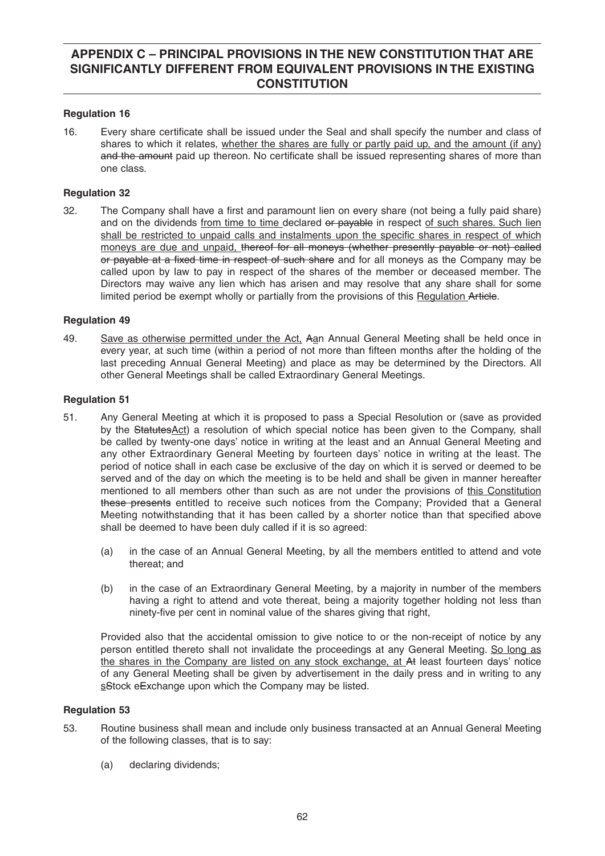## **Regulation 16**

16. Every share certificate shall be issued under the Seal and shall specify the number and class of shares to which it relates, whether the shares are fully or partly paid up, and the amount (if any) and the amount paid up thereon. No certificate shall be issued representing shares of more than one class.

## **Regulation 32**

32. The Company shall have a first and paramount lien on every share (not being a fully paid share) and on the dividends from time to time declared or payable in respect of such shares. Such lien shall be restricted to unpaid calls and instalments upon the specific shares in respect of which moneys are due and unpaid, thereof for all moneys (whether presently payable or not) called or payable at a fixed time in respect of such share and for all moneys as the Company may be called upon by law to pay in respect of the shares of the member or deceased member. The Directors may waive any lien which has arisen and may resolve that any share shall for some limited period be exempt wholly or partially from the provisions of this Regulation Article.

## **Regulation 49**

49. Save as otherwise permitted under the Act, Aan Annual General Meeting shall be held once in every year, at such time (within a period of not more than fifteen months after the holding of the last preceding Annual General Meeting) and place as may be determined by the Directors. All other General Meetings shall be called Extraordinary General Meetings.

## **Regulation 51**

- 51. Any General Meeting at which it is proposed to pass a Special Resolution or (save as provided by the StatutesAct) a resolution of which special notice has been given to the Company, shall be called by twenty-one days' notice in writing at the least and an Annual General Meeting and any other Extraordinary General Meeting by fourteen days' notice in writing at the least. The period of notice shall in each case be exclusive of the day on which it is served or deemed to be served and of the day on which the meeting is to be held and shall be given in manner hereafter mentioned to all members other than such as are not under the provisions of this Constitution these presents entitled to receive such notices from the Company; Provided that a General Meeting notwithstanding that it has been called by a shorter notice than that specified above shall be deemed to have been duly called if it is so agreed:
	- (a) in the case of an Annual General Meeting, by all the members entitled to attend and vote thereat; and
	- (b) in the case of an Extraordinary General Meeting, by a majority in number of the members having a right to attend and vote thereat, being a majority together holding not less than ninety-five per cent in nominal value of the shares giving that right,

 Provided also that the accidental omission to give notice to or the non-receipt of notice by any person entitled thereto shall not invalidate the proceedings at any General Meeting. So long as the shares in the Company are listed on any stock exchange, at At least fourteen days' notice of any General Meeting shall be given by advertisement in the daily press and in writing to any sStock eExchange upon which the Company may be listed.

- 53. Routine business shall mean and include only business transacted at an Annual General Meeting of the following classes, that is to say:
	- (a) declaring dividends;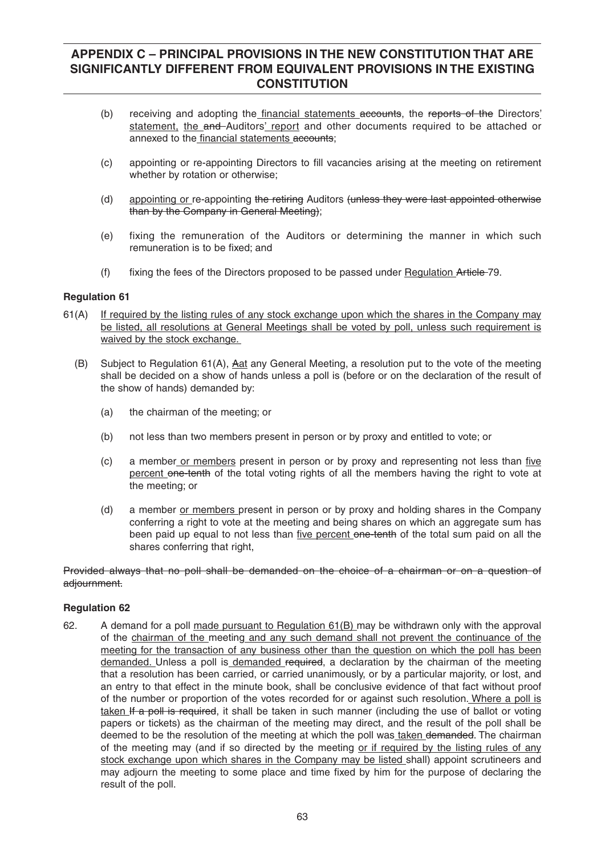- (b) receiving and adopting the financial statements accounts, the reports of the Directors' statement, the and Auditors' report and other documents required to be attached or annexed to the financial statements accounts;
- (c) appointing or re-appointing Directors to fill vacancies arising at the meeting on retirement whether by rotation or otherwise;
- (d) appointing or re-appointing the retiring Auditors (unless they were last appointed otherwise than by the Company in General Meeting);
- (e) fixing the remuneration of the Auditors or determining the manner in which such remuneration is to be fixed; and
- (f) fixing the fees of the Directors proposed to be passed under Regulation Article-79.

### **Regulation 61**

- 61(A) If required by the listing rules of any stock exchange upon which the shares in the Company may be listed, all resolutions at General Meetings shall be voted by poll, unless such requirement is waived by the stock exchange.
	- (B) Subject to Regulation  $61(A)$ , Aat any General Meeting, a resolution put to the vote of the meeting shall be decided on a show of hands unless a poll is (before or on the declaration of the result of the show of hands) demanded by:
		- (a) the chairman of the meeting; or
		- (b) not less than two members present in person or by proxy and entitled to vote; or
		- $(c)$  a member or members present in person or by proxy and representing not less than five percent one-tenth of the total voting rights of all the members having the right to vote at the meeting; or
		- (d) a member or members present in person or by proxy and holding shares in the Company conferring a right to vote at the meeting and being shares on which an aggregate sum has been paid up equal to not less than five percent one-tenth of the total sum paid on all the shares conferring that right,

## Provided alwavs that no poll shall be demanded on the choice of a chairman or on a question of adjournment.

#### **Regulation 62**

62. A demand for a poll made pursuant to Regulation 61(B) may be withdrawn only with the approval of the chairman of the meeting and any such demand shall not prevent the continuance of the meeting for the transaction of any business other than the question on which the poll has been demanded. Unless a poll is demanded required, a declaration by the chairman of the meeting that a resolution has been carried, or carried unanimously, or by a particular majority, or lost, and an entry to that effect in the minute book, shall be conclusive evidence of that fact without proof of the number or proportion of the votes recorded for or against such resolution. Where a poll is taken If a poll is required, it shall be taken in such manner (including the use of ballot or voting papers or tickets) as the chairman of the meeting may direct, and the result of the poll shall be deemed to be the resolution of the meeting at which the poll was taken demanded. The chairman of the meeting may (and if so directed by the meeting or if required by the listing rules of any stock exchange upon which shares in the Company may be listed shall) appoint scrutineers and may adjourn the meeting to some place and time fixed by him for the purpose of declaring the result of the poll.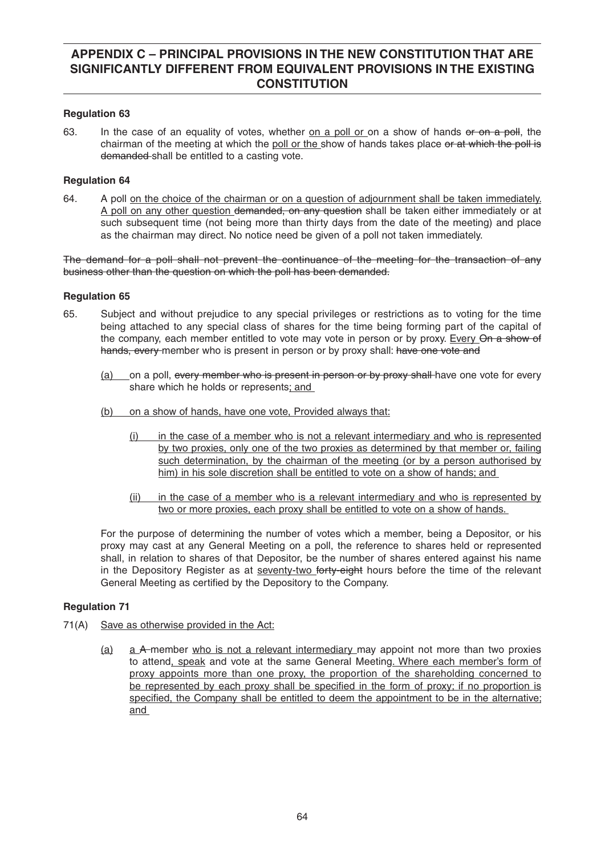## **Regulation 63**

63. In the case of an equality of votes, whether on a poll or on a show of hands or on a poll, the chairman of the meeting at which the poll or the show of hands takes place or at which the poll is demanded shall be entitled to a casting vote.

## **Regulation 64**

64. A poll on the choice of the chairman or on a question of adjournment shall be taken immediately. A poll on any other question demanded, on any question shall be taken either immediately or at such subsequent time (not being more than thirty days from the date of the meeting) and place as the chairman may direct. No notice need be given of a poll not taken immediately.

The demand for a poll shall not prevent the continuance of the meeting for the transaction of any business other than the question on which the poll has been demanded.

### **Regulation 65**

- 65. Subject and without prejudice to any special privileges or restrictions as to voting for the time being attached to any special class of shares for the time being forming part of the capital of the company, each member entitled to vote may vote in person or by proxy. Every On a show of hands, every member who is present in person or by proxy shall: have one vote and
	- (a) on a poll, every member who is present in person or by proxy shall have one vote for every share which he holds or represents; and
	- (b) on a show of hands, have one vote, Provided always that:
		- (i) in the case of a member who is not a relevant intermediary and who is represented by two proxies, only one of the two proxies as determined by that member or, failing such determination, by the chairman of the meeting (or by a person authorised by him) in his sole discretion shall be entitled to vote on a show of hands; and
		- (ii) in the case of a member who is a relevant intermediary and who is represented by two or more proxies, each proxy shall be entitled to vote on a show of hands.

 For the purpose of determining the number of votes which a member, being a Depositor, or his proxy may cast at any General Meeting on a poll, the reference to shares held or represented shall, in relation to shares of that Depositor, be the number of shares entered against his name in the Depository Register as at seventy-two forty-eight hours before the time of the relevant General Meeting as certified by the Depository to the Company.

- 71(A) Save as otherwise provided in the Act:
	- (a) a A member who is not a relevant intermediary may appoint not more than two proxies to attend, speak and vote at the same General Meeting. Where each member's form of proxy appoints more than one proxy, the proportion of the shareholding concerned to be represented by each proxy shall be specified in the form of proxy; if no proportion is specified, the Company shall be entitled to deem the appointment to be in the alternative; and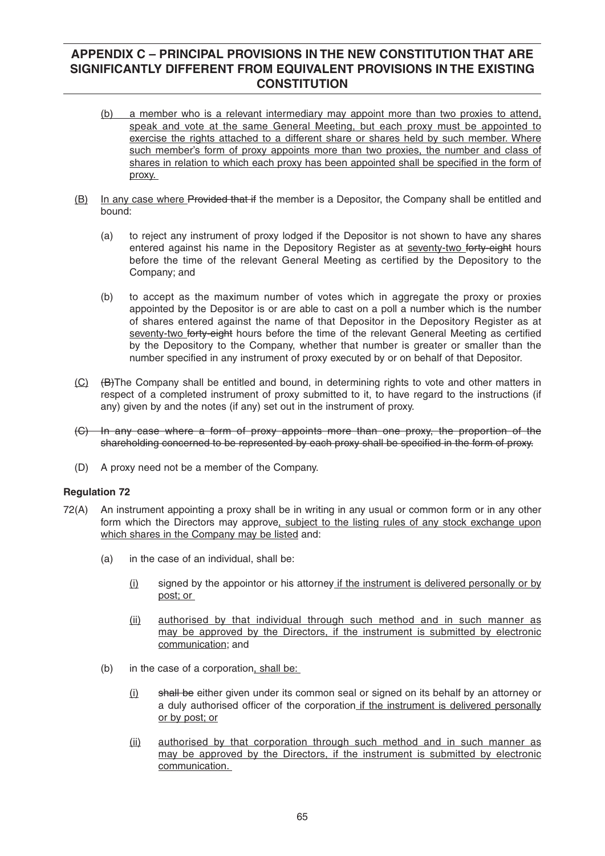- (b) a member who is a relevant intermediary may appoint more than two proxies to attend, speak and vote at the same General Meeting, but each proxy must be appointed to exercise the rights attached to a different share or shares held by such member. Where such member's form of proxy appoints more than two proxies, the number and class of shares in relation to which each proxy has been appointed shall be specified in the form of proxy.
- (B) In any case where Provided that if the member is a Depositor, the Company shall be entitled and bound:
	- (a) to reject any instrument of proxy lodged if the Depositor is not shown to have any shares entered against his name in the Depository Register as at seventy-two forty-eight hours before the time of the relevant General Meeting as certified by the Depository to the Company; and
	- (b) to accept as the maximum number of votes which in aggregate the proxy or proxies appointed by the Depositor is or are able to cast on a poll a number which is the number of shares entered against the name of that Depositor in the Depository Register as at seventy-two forty-eight hours before the time of the relevant General Meeting as certified by the Depository to the Company, whether that number is greater or smaller than the number specified in any instrument of proxy executed by or on behalf of that Depositor.
- (C) (B)The Company shall be entitled and bound, in determining rights to vote and other matters in respect of a completed instrument of proxy submitted to it, to have regard to the instructions (if any) given by and the notes (if any) set out in the instrument of proxy.
- (C) In any case where a form of proxy appoints more than one proxy, the proportion of the shareholding concerned to be represented by each proxy shall be specified in the form of proxy.
- (D) A proxy need not be a member of the Company.

- 72(A) An instrument appointing a proxy shall be in writing in any usual or common form or in any other form which the Directors may approve, subject to the listing rules of any stock exchange upon which shares in the Company may be listed and:
	- (a) in the case of an individual, shall be:
		- (i) signed by the appointor or his attorney if the instrument is delivered personally or by post; or
		- (ii) authorised by that individual through such method and in such manner as may be approved by the Directors, if the instrument is submitted by electronic communication; and
	- (b) in the case of a corporation, shall be:
		- $(i)$  shall be either given under its common seal or signed on its behalf by an attorney or a duly authorised officer of the corporation if the instrument is delivered personally or by post; or
		- (ii) authorised by that corporation through such method and in such manner as may be approved by the Directors, if the instrument is submitted by electronic communication.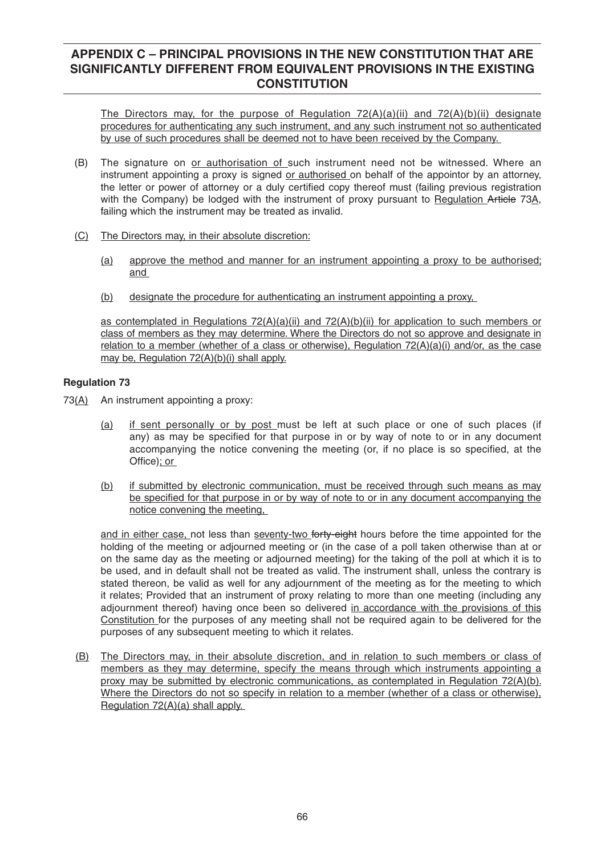The Directors may, for the purpose of Regulation  $72(A)(a)(ii)$  and  $72(A)(b)(ii)$  designate procedures for authenticating any such instrument, and any such instrument not so authenticated by use of such procedures shall be deemed not to have been received by the Company.

- (B) The signature on or authorisation of such instrument need not be witnessed. Where an instrument appointing a proxy is signed or authorised on behalf of the appointor by an attorney, the letter or power of attorney or a duly certified copy thereof must (failing previous registration with the Company) be lodged with the instrument of proxy pursuant to Regulation Article 73A, failing which the instrument may be treated as invalid.
- (C) The Directors may, in their absolute discretion:
	- (a) approve the method and manner for an instrument appointing a proxy to be authorised; and
	- (b) designate the procedure for authenticating an instrument appointing a proxy,

as contemplated in Regulations  $72(A)(a)(ii)$  and  $72(A)(b)(ii)$  for application to such members or class of members as they may determine. Where the Directors do not so approve and designate in relation to a member (whether of a class or otherwise), Regulation 72(A)(a)(i) and/or, as the case may be, Regulation 72(A)(b)(i) shall apply.

## **Regulation 73**

- 73 $(A)$  An instrument appointing a proxy:
	- (a) if sent personally or by post must be left at such place or one of such places (if any) as may be specified for that purpose in or by way of note to or in any document accompanying the notice convening the meeting (or, if no place is so specified, at the Office); or
	- (b) if submitted by electronic communication, must be received through such means as may be specified for that purpose in or by way of note to or in any document accompanying the notice convening the meeting,

and in either case, not less than seventy-two forty-eight hours before the time appointed for the holding of the meeting or adjourned meeting or (in the case of a poll taken otherwise than at or on the same day as the meeting or adjourned meeting) for the taking of the poll at which it is to be used, and in default shall not be treated as valid. The instrument shall, unless the contrary is stated thereon, be valid as well for any adjournment of the meeting as for the meeting to which it relates; Provided that an instrument of proxy relating to more than one meeting (including any adiournment thereof) having once been so delivered in accordance with the provisions of this Constitution for the purposes of any meeting shall not be required again to be delivered for the purposes of any subsequent meeting to which it relates.

 (B) The Directors may, in their absolute discretion, and in relation to such members or class of members as they may determine, specify the means through which instruments appointing a proxy may be submitted by electronic communications, as contemplated in Regulation 72(A)(b). Where the Directors do not so specify in relation to a member (whether of a class or otherwise), Regulation 72(A)(a) shall apply.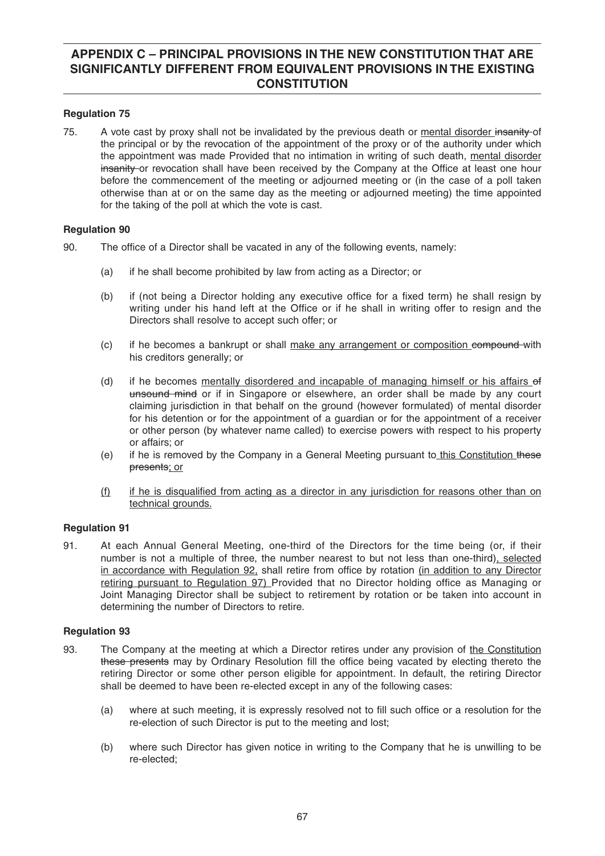## **Regulation 75**

75. A vote cast by proxy shall not be invalidated by the previous death or mental disorder insanity-of the principal or by the revocation of the appointment of the proxy or of the authority under which the appointment was made Provided that no intimation in writing of such death, mental disorder insanity or revocation shall have been received by the Company at the Office at least one hour before the commencement of the meeting or adjourned meeting or (in the case of a poll taken otherwise than at or on the same day as the meeting or adjourned meeting) the time appointed for the taking of the poll at which the vote is cast.

## **Regulation 90**

- 90. The office of a Director shall be vacated in any of the following events, namely:
	- (a) if he shall become prohibited by law from acting as a Director; or
	- (b) if (not being a Director holding any executive office for a fixed term) he shall resign by writing under his hand left at the Office or if he shall in writing offer to resign and the Directors shall resolve to accept such offer; or
	- (c) if he becomes a bankrupt or shall make any arrangement or composition compound with his creditors generally; or
	- (d) if he becomes mentally disordered and incapable of managing himself or his affairs of unsound mind or if in Singapore or elsewhere, an order shall be made by any court claiming jurisdiction in that behalf on the ground (however formulated) of mental disorder for his detention or for the appointment of a guardian or for the appointment of a receiver or other person (by whatever name called) to exercise powers with respect to his property or affairs; or
	- (e) if he is removed by the Company in a General Meeting pursuant to this Constitution these presents; or
	- $(f)$  if he is disqualified from acting as a director in any jurisdiction for reasons other than on technical grounds.

## **Regulation 91**

91. At each Annual General Meeting, one-third of the Directors for the time being (or, if their number is not a multiple of three, the number nearest to but not less than one-third), selected in accordance with Regulation 92, shall retire from office by rotation (in addition to any Director retiring pursuant to Regulation 97) Provided that no Director holding office as Managing or Joint Managing Director shall be subject to retirement by rotation or be taken into account in determining the number of Directors to retire.

- 93. The Company at the meeting at which a Director retires under any provision of the Constitution these presents may by Ordinary Resolution fill the office being vacated by electing thereto the retiring Director or some other person eligible for appointment. In default, the retiring Director shall be deemed to have been re-elected except in any of the following cases:
	- (a) where at such meeting, it is expressly resolved not to fill such office or a resolution for the re-election of such Director is put to the meeting and lost;
	- (b) where such Director has given notice in writing to the Company that he is unwilling to be re-elected;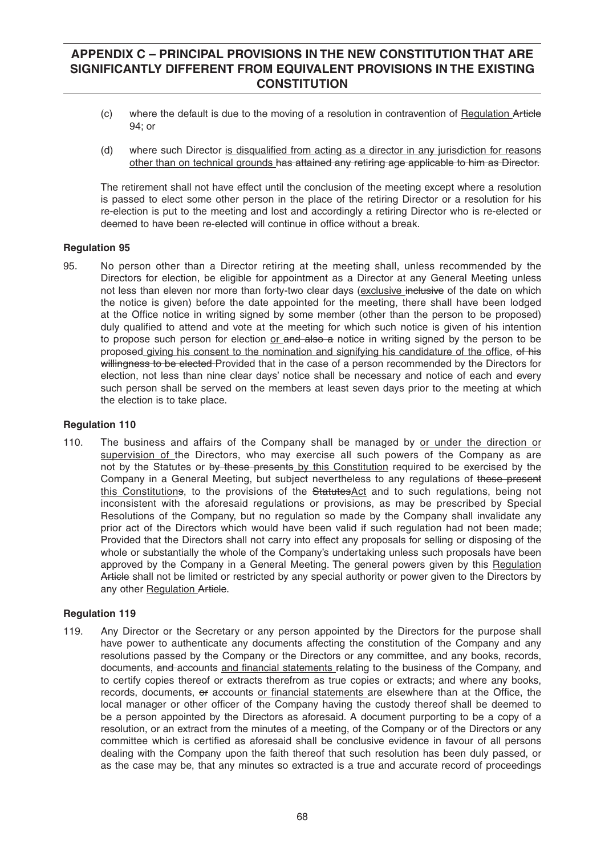- (c) where the default is due to the moving of a resolution in contravention of Regulation Article 94; or
- (d) where such Director is disqualified from acting as a director in any jurisdiction for reasons other than on technical grounds has attained any retiring age applicable to him as Director.

 The retirement shall not have effect until the conclusion of the meeting except where a resolution is passed to elect some other person in the place of the retiring Director or a resolution for his re-election is put to the meeting and lost and accordingly a retiring Director who is re-elected or deemed to have been re-elected will continue in office without a break.

## **Regulation 95**

95. No person other than a Director retiring at the meeting shall, unless recommended by the Directors for election, be eligible for appointment as a Director at any General Meeting unless not less than eleven nor more than forty-two clear days (exclusive inclusive of the date on which the notice is given) before the date appointed for the meeting, there shall have been lodged at the Office notice in writing signed by some member (other than the person to be proposed) duly qualified to attend and vote at the meeting for which such notice is given of his intention to propose such person for election or and also a notice in writing signed by the person to be proposed giving his consent to the nomination and signifying his candidature of the office, of his willingness to be elected Provided that in the case of a person recommended by the Directors for election, not less than nine clear days' notice shall be necessary and notice of each and every such person shall be served on the members at least seven days prior to the meeting at which the election is to take place.

#### **Regulation 110**

110. The business and affairs of the Company shall be managed by or under the direction or supervision of the Directors, who may exercise all such powers of the Company as are not by the Statutes or by these presents by this Constitution required to be exercised by the Company in a General Meeting, but subject nevertheless to any regulations of these present this Constitutions, to the provisions of the StatutesAct and to such regulations, being not inconsistent with the aforesaid regulations or provisions, as may be prescribed by Special Resolutions of the Company, but no regulation so made by the Company shall invalidate any prior act of the Directors which would have been valid if such regulation had not been made; Provided that the Directors shall not carry into effect any proposals for selling or disposing of the whole or substantially the whole of the Company's undertaking unless such proposals have been approved by the Company in a General Meeting. The general powers given by this Regulation Article shall not be limited or restricted by any special authority or power given to the Directors by any other Regulation Article.

#### **Regulation 119**

119. Any Director or the Secretary or any person appointed by the Directors for the purpose shall have power to authenticate any documents affecting the constitution of the Company and any resolutions passed by the Company or the Directors or any committee, and any books, records, documents, and accounts and financial statements relating to the business of the Company, and to certify copies thereof or extracts therefrom as true copies or extracts; and where any books, records, documents, or accounts or financial statements are elsewhere than at the Office, the local manager or other officer of the Company having the custody thereof shall be deemed to be a person appointed by the Directors as aforesaid. A document purporting to be a copy of a resolution, or an extract from the minutes of a meeting, of the Company or of the Directors or any committee which is certified as aforesaid shall be conclusive evidence in favour of all persons dealing with the Company upon the faith thereof that such resolution has been duly passed, or as the case may be, that any minutes so extracted is a true and accurate record of proceedings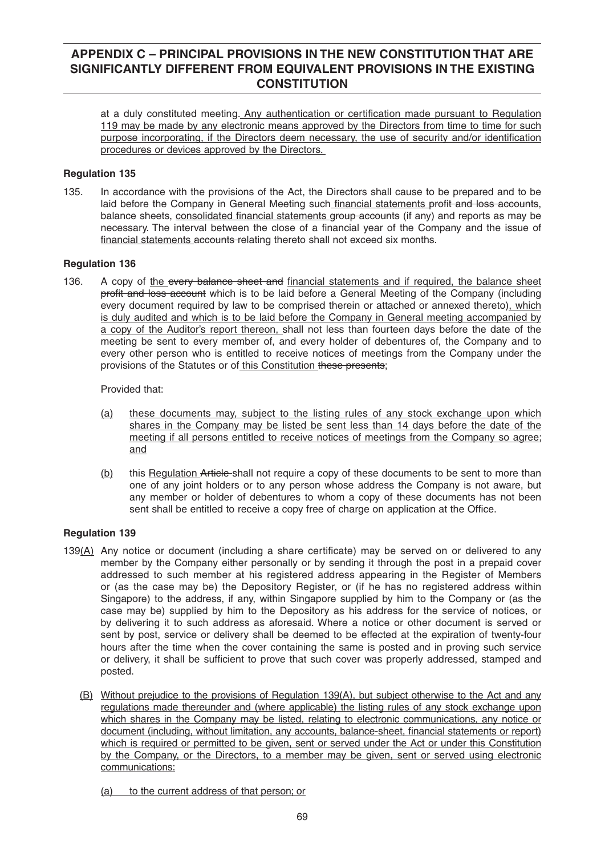at a duly constituted meeting. Any authentication or certification made pursuant to Regulation 119 may be made by any electronic means approved by the Directors from time to time for such purpose incorporating, if the Directors deem necessary, the use of security and/or identification procedures or devices approved by the Directors.

## **Regulation 135**

135. In accordance with the provisions of the Act, the Directors shall cause to be prepared and to be laid before the Company in General Meeting such financial statements profit and loss accounts, balance sheets, consolidated financial statements group accounts (if any) and reports as may be necessary. The interval between the close of a financial year of the Company and the issue of financial statements accounts-relating thereto shall not exceed six months.

# **Regulation 136**

136. A copy of the every balance sheet and financial statements and if required, the balance sheet profit and loss account which is to be laid before a General Meeting of the Company (including every document required by law to be comprised therein or attached or annexed thereto), which is duly audited and which is to be laid before the Company in General meeting accompanied by a copy of the Auditor's report thereon, shall not less than fourteen days before the date of the meeting be sent to every member of, and every holder of debentures of, the Company and to every other person who is entitled to receive notices of meetings from the Company under the provisions of the Statutes or of this Constitution these presents;

Provided that:

- (a) these documents may, subject to the listing rules of any stock exchange upon which shares in the Company may be listed be sent less than 14 days before the date of the meeting if all persons entitled to receive notices of meetings from the Company so agree; and
- (b) this Regulation Article-shall not require a copy of these documents to be sent to more than one of any joint holders or to any person whose address the Company is not aware, but any member or holder of debentures to whom a copy of these documents has not been sent shall be entitled to receive a copy free of charge on application at the Office.

- 139(A) Any notice or document (including a share certificate) may be served on or delivered to any member by the Company either personally or by sending it through the post in a prepaid cover addressed to such member at his registered address appearing in the Register of Members or (as the case may be) the Depository Register, or (if he has no registered address within Singapore) to the address, if any, within Singapore supplied by him to the Company or (as the case may be) supplied by him to the Depository as his address for the service of notices, or by delivering it to such address as aforesaid. Where a notice or other document is served or sent by post, service or delivery shall be deemed to be effected at the expiration of twenty-four hours after the time when the cover containing the same is posted and in proving such service or delivery, it shall be sufficient to prove that such cover was properly addressed, stamped and posted.
	- (B) Without prejudice to the provisions of Regulation 139(A), but subject otherwise to the Act and any regulations made thereunder and (where applicable) the listing rules of any stock exchange upon which shares in the Company may be listed, relating to electronic communications, any notice or document (including, without limitation, any accounts, balance-sheet, financial statements or report) which is required or permitted to be given, sent or served under the Act or under this Constitution by the Company, or the Directors, to a member may be given, sent or served using electronic communications:
		- (a) to the current address of that person; or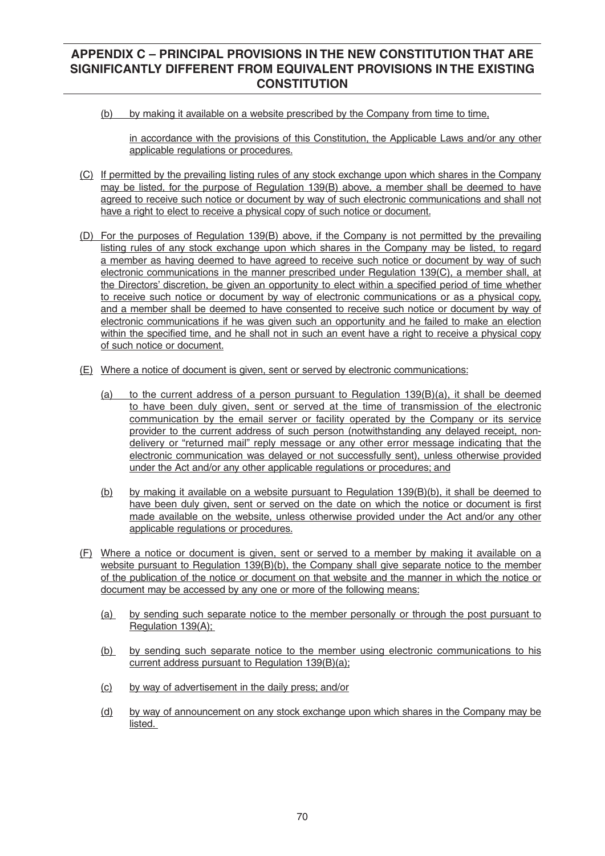(b) by making it available on a website prescribed by the Company from time to time,

 in accordance with the provisions of this Constitution, the Applicable Laws and/or any other applicable regulations or procedures.

- (C) If permitted by the prevailing listing rules of any stock exchange upon which shares in the Company may be listed, for the purpose of Regulation 139(B) above, a member shall be deemed to have agreed to receive such notice or document by way of such electronic communications and shall not have a right to elect to receive a physical copy of such notice or document.
- (D) For the purposes of Regulation 139(B) above, if the Company is not permitted by the prevailing listing rules of any stock exchange upon which shares in the Company may be listed, to regard a member as having deemed to have agreed to receive such notice or document by way of such electronic communications in the manner prescribed under Regulation 139(C), a member shall, at the Directors' discretion, be given an opportunity to elect within a specified period of time whether to receive such notice or document by way of electronic communications or as a physical copy, and a member shall be deemed to have consented to receive such notice or document by way of electronic communications if he was given such an opportunity and he failed to make an election within the specified time, and he shall not in such an event have a right to receive a physical copy of such notice or document.
- (E) Where a notice of document is given, sent or served by electronic communications:
	- (a) to the current address of a person pursuant to Regulation  $139(B)(a)$ , it shall be deemed to have been duly given, sent or served at the time of transmission of the electronic communication by the email server or facility operated by the Company or its service provider to the current address of such person (notwithstanding any delayed receipt, nondelivery or "returned mail" reply message or any other error message indicating that the electronic communication was delayed or not successfully sent), unless otherwise provided under the Act and/or any other applicable regulations or procedures; and
	- (b) by making it available on a website pursuant to Regulation 139(B)(b), it shall be deemed to have been duly given, sent or served on the date on which the notice or document is first made available on the website, unless otherwise provided under the Act and/or any other applicable regulations or procedures.
- (F) Where a notice or document is given, sent or served to a member by making it available on a website pursuant to Regulation 139(B)(b), the Company shall give separate notice to the member of the publication of the notice or document on that website and the manner in which the notice or document may be accessed by any one or more of the following means:
	- (a) by sending such separate notice to the member personally or through the post pursuant to Regulation 139(A):
	- (b) by sending such separate notice to the member using electronic communications to his current address pursuant to Regulation 139(B)(a);
	- (c) by way of advertisement in the daily press; and/or
	- (d) by way of announcement on any stock exchange upon which shares in the Company may be listed.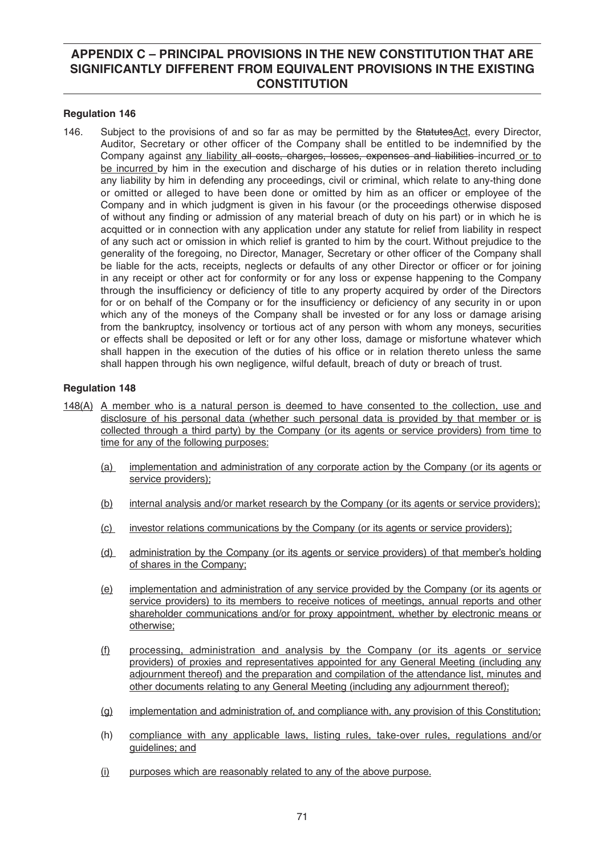### **Regulation 146**

146. Subject to the provisions of and so far as may be permitted by the StatutesAct, every Director, Auditor, Secretary or other officer of the Company shall be entitled to be indemnified by the Company against any liability all costs, charges, losses, expenses and liabilities incurred or to be incurred by him in the execution and discharge of his duties or in relation thereto including any liability by him in defending any proceedings, civil or criminal, which relate to any-thing done or omitted or alleged to have been done or omitted by him as an officer or employee of the Company and in which judgment is given in his favour (or the proceedings otherwise disposed of without any finding or admission of any material breach of duty on his part) or in which he is acquitted or in connection with any application under any statute for relief from liability in respect of any such act or omission in which relief is granted to him by the court. Without prejudice to the generality of the foregoing, no Director, Manager, Secretary or other officer of the Company shall be liable for the acts, receipts, neglects or defaults of any other Director or officer or for joining in any receipt or other act for conformity or for any loss or expense happening to the Company through the insufficiency or deficiency of title to any property acquired by order of the Directors for or on behalf of the Company or for the insufficiency or deficiency of any security in or upon which any of the moneys of the Company shall be invested or for any loss or damage arising from the bankruptcy, insolvency or tortious act of any person with whom any moneys, securities or effects shall be deposited or left or for any other loss, damage or misfortune whatever which shall happen in the execution of the duties of his office or in relation thereto unless the same shall happen through his own negligence, wilful default, breach of duty or breach of trust.

- 148(A) A member who is a natural person is deemed to have consented to the collection, use and disclosure of his personal data (whether such personal data is provided by that member or is collected through a third party) by the Company (or its agents or service providers) from time to time for any of the following purposes:
	- (a) implementation and administration of any corporate action by the Company (or its agents or service providers):
	- (b) internal analysis and/or market research by the Company (or its agents or service providers);
	- (c) investor relations communications by the Company (or its agents or service providers);
	- (d) administration by the Company (or its agents or service providers) of that member's holding of shares in the Company;
	- (e) implementation and administration of any service provided by the Company (or its agents or service providers) to its members to receive notices of meetings, annual reports and other shareholder communications and/or for proxy appointment, whether by electronic means or otherwise;
	- (f) processing, administration and analysis by the Company (or its agents or service providers) of proxies and representatives appointed for any General Meeting (including any adjournment thereof) and the preparation and compilation of the attendance list, minutes and other documents relating to any General Meeting (including any adjournment thereof);
	- (g) implementation and administration of, and compliance with, any provision of this Constitution;
	- (h) compliance with any applicable laws, listing rules, take-over rules, regulations and/or guidelines; and
	- (i) purposes which are reasonably related to any of the above purpose.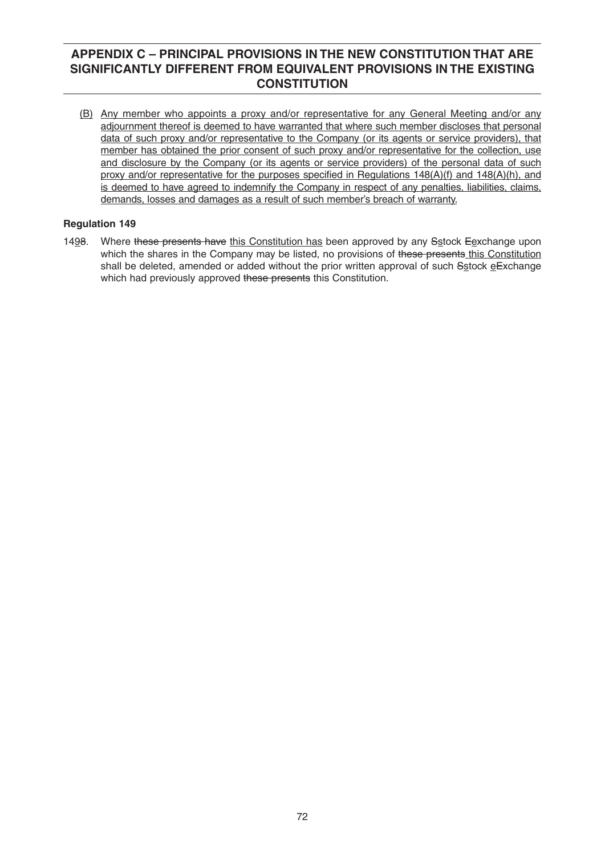(B) Any member who appoints a proxy and/or representative for any General Meeting and/or any adjournment thereof is deemed to have warranted that where such member discloses that personal data of such proxy and/or representative to the Company (or its agents or service providers), that member has obtained the prior consent of such proxy and/or representative for the collection, use and disclosure by the Company (or its agents or service providers) of the personal data of such proxy and/or representative for the purposes specified in Regulations  $148(A)(f)$  and  $148(A)(h)$ , and is deemed to have agreed to indemnify the Company in respect of any penalties, liabilities, claims, demands, losses and damages as a result of such member's breach of warranty.

# **Regulation 149**

1498. Where these presents have this Constitution has been approved by any Sstock Eexchange upon which the shares in the Company may be listed, no provisions of these presents this Constitution shall be deleted, amended or added without the prior written approval of such Sstock eExchange which had previously approved these presents this Constitution.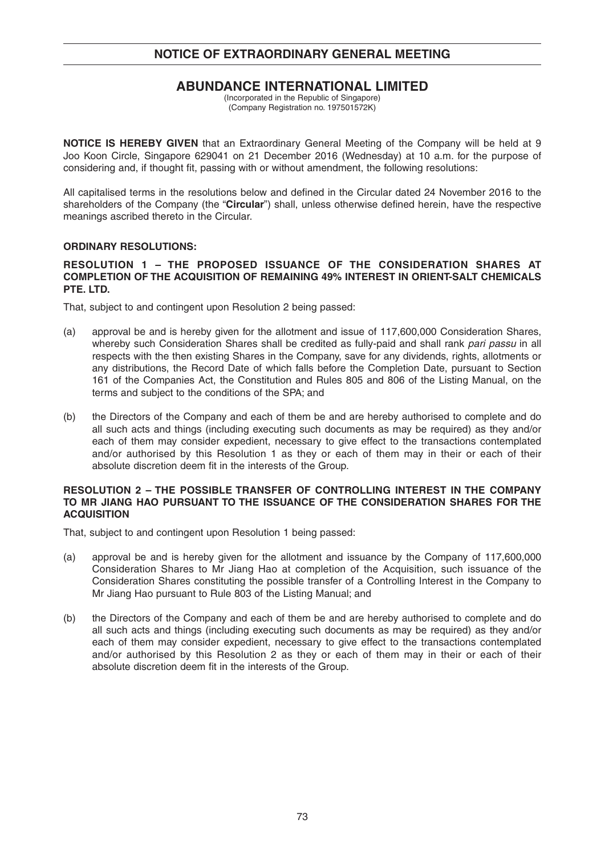# **NOTICE OF EXTRAORDINARY GENERAL MEETING**

## **ABUNDANCE INTERNATIONAL LIMITED**

(Incorporated in the Republic of Singapore) (Company Registration no. 197501572K)

**NOTICE IS HEREBY GIVEN** that an Extraordinary General Meeting of the Company will be held at 9 Joo Koon Circle, Singapore 629041 on 21 December 2016 (Wednesday) at 10 a.m. for the purpose of considering and, if thought fit, passing with or without amendment, the following resolutions:

All capitalised terms in the resolutions below and defined in the Circular dated 24 November 2016 to the shareholders of the Company (the "Circular") shall, unless otherwise defined herein, have the respective meanings ascribed thereto in the Circular.

### **ORDINARY RESOLUTIONS:**

#### **RESOLUTION 1 – THE PROPOSED ISSUANCE OF THE CONSIDERATION SHARES AT COMPLETION OF THE ACQUISITION OF REMAINING 49% INTEREST IN ORIENT-SALT CHEMICALS PTE. LTD.**

That, subject to and contingent upon Resolution 2 being passed:

- (a) approval be and is hereby given for the allotment and issue of 117,600,000 Consideration Shares, whereby such Consideration Shares shall be credited as fully-paid and shall rank *pari passu* in all respects with the then existing Shares in the Company, save for any dividends, rights, allotments or any distributions, the Record Date of which falls before the Completion Date, pursuant to Section 161 of the Companies Act, the Constitution and Rules 805 and 806 of the Listing Manual, on the terms and subject to the conditions of the SPA; and
- (b) the Directors of the Company and each of them be and are hereby authorised to complete and do all such acts and things (including executing such documents as may be required) as they and/or each of them may consider expedient, necessary to give effect to the transactions contemplated and/or authorised by this Resolution 1 as they or each of them may in their or each of their absolute discretion deem fit in the interests of the Group.

#### **RESOLUTION 2 – THE POSSIBLE TRANSFER OF CONTROLLING INTEREST IN THE COMPANY TO MR JIANG HAO PURSUANT TO THE ISSUANCE OF THE CONSIDERATION SHARES FOR THE ACQUISITION**

That, subject to and contingent upon Resolution 1 being passed:

- (a) approval be and is hereby given for the allotment and issuance by the Company of 117,600,000 Consideration Shares to Mr Jiang Hao at completion of the Acquisition, such issuance of the Consideration Shares constituting the possible transfer of a Controlling Interest in the Company to Mr Jiang Hao pursuant to Rule 803 of the Listing Manual; and
- (b) the Directors of the Company and each of them be and are hereby authorised to complete and do all such acts and things (including executing such documents as may be required) as they and/or each of them may consider expedient, necessary to give effect to the transactions contemplated and/or authorised by this Resolution 2 as they or each of them may in their or each of their absolute discretion deem fit in the interests of the Group.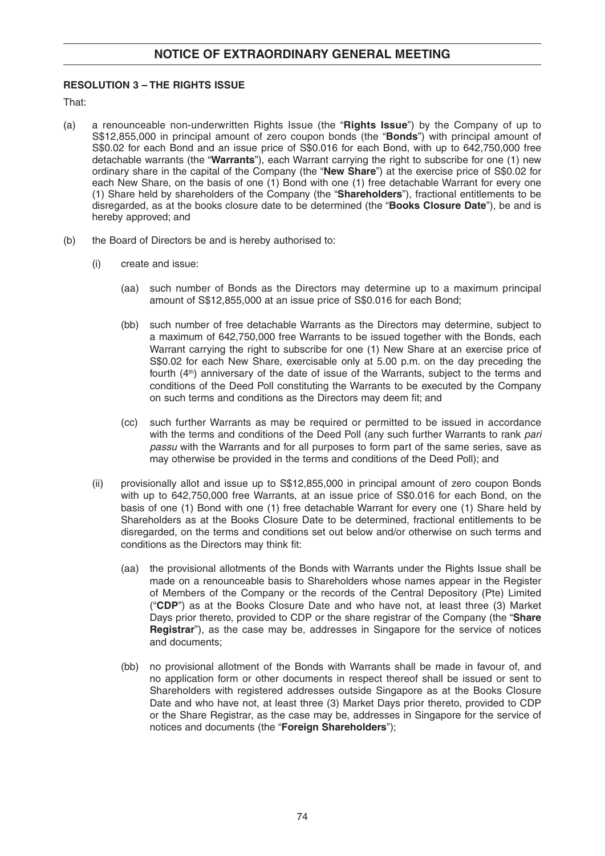### **RESOLUTION 3 – THE RIGHTS ISSUE**

That:

- (a) a renounceable non-underwritten Rights Issue (the "**Rights Issue**") by the Company of up to S\$12,855,000 in principal amount of zero coupon bonds (the "**Bonds**") with principal amount of S\$0.02 for each Bond and an issue price of S\$0.016 for each Bond, with up to 642,750,000 free detachable warrants (the "**Warrants**"), each Warrant carrying the right to subscribe for one (1) new ordinary share in the capital of the Company (the "**New Share**") at the exercise price of S\$0.02 for each New Share, on the basis of one (1) Bond with one (1) free detachable Warrant for every one (1) Share held by shareholders of the Company (the "**Shareholders**"), fractional entitlements to be disregarded, as at the books closure date to be determined (the "**Books Closure Date**"), be and is hereby approved; and
- (b) the Board of Directors be and is hereby authorised to:
	- (i) create and issue:
		- (aa) such number of Bonds as the Directors may determine up to a maximum principal amount of S\$12,855,000 at an issue price of S\$0.016 for each Bond;
		- (bb) such number of free detachable Warrants as the Directors may determine, subject to a maximum of 642,750,000 free Warrants to be issued together with the Bonds, each Warrant carrying the right to subscribe for one (1) New Share at an exercise price of S\$0.02 for each New Share, exercisable only at 5.00 p.m. on the day preceding the fourth (4<sup>th</sup>) anniversary of the date of issue of the Warrants, subject to the terms and conditions of the Deed Poll constituting the Warrants to be executed by the Company on such terms and conditions as the Directors may deem fit; and
		- (cc) such further Warrants as may be required or permitted to be issued in accordance with the terms and conditions of the Deed Poll (any such further Warrants to rank *pari passu* with the Warrants and for all purposes to form part of the same series, save as may otherwise be provided in the terms and conditions of the Deed Poll); and
	- (ii) provisionally allot and issue up to S\$12,855,000 in principal amount of zero coupon Bonds with up to 642,750,000 free Warrants, at an issue price of S\$0.016 for each Bond, on the basis of one (1) Bond with one (1) free detachable Warrant for every one (1) Share held by Shareholders as at the Books Closure Date to be determined, fractional entitlements to be disregarded, on the terms and conditions set out below and/or otherwise on such terms and conditions as the Directors may think fit:
		- (aa) the provisional allotments of the Bonds with Warrants under the Rights Issue shall be made on a renounceable basis to Shareholders whose names appear in the Register of Members of the Company or the records of the Central Depository (Pte) Limited ("**CDP**") as at the Books Closure Date and who have not, at least three (3) Market Days prior thereto, provided to CDP or the share registrar of the Company (the "**Share Registrar**"), as the case may be, addresses in Singapore for the service of notices and documents;
		- (bb) no provisional allotment of the Bonds with Warrants shall be made in favour of, and no application form or other documents in respect thereof shall be issued or sent to Shareholders with registered addresses outside Singapore as at the Books Closure Date and who have not, at least three (3) Market Days prior thereto, provided to CDP or the Share Registrar, as the case may be, addresses in Singapore for the service of notices and documents (the "**Foreign Shareholders**");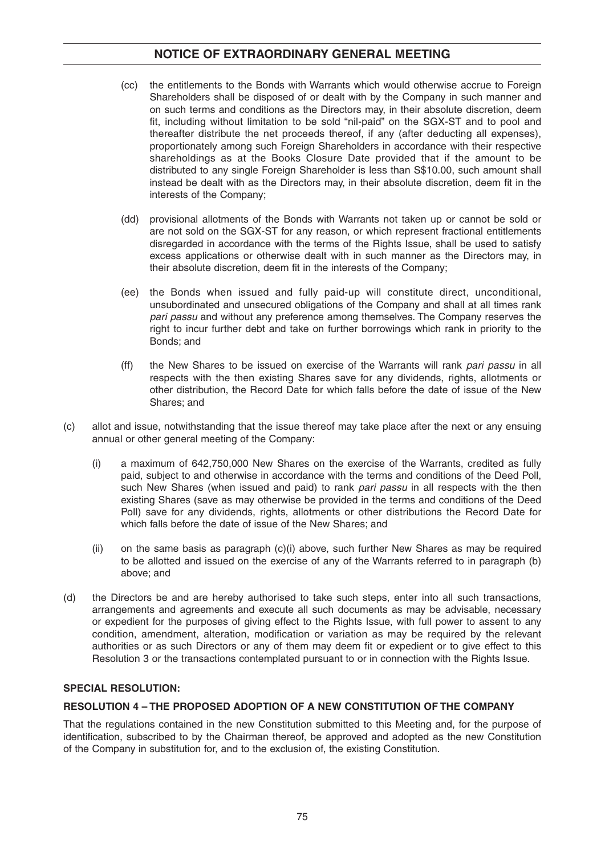# **NOTICE OF EXTRAORDINARY GENERAL MEETING**

- (cc) the entitlements to the Bonds with Warrants which would otherwise accrue to Foreign Shareholders shall be disposed of or dealt with by the Company in such manner and on such terms and conditions as the Directors may, in their absolute discretion, deem fit, including without limitation to be sold "nil-paid" on the SGX-ST and to pool and thereafter distribute the net proceeds thereof, if any (after deducting all expenses), proportionately among such Foreign Shareholders in accordance with their respective shareholdings as at the Books Closure Date provided that if the amount to be distributed to any single Foreign Shareholder is less than S\$10.00, such amount shall instead be dealt with as the Directors may, in their absolute discretion, deem fit in the interests of the Company;
- (dd) provisional allotments of the Bonds with Warrants not taken up or cannot be sold or are not sold on the SGX-ST for any reason, or which represent fractional entitlements disregarded in accordance with the terms of the Rights Issue, shall be used to satisfy excess applications or otherwise dealt with in such manner as the Directors may, in their absolute discretion, deem fit in the interests of the Company:
- (ee) the Bonds when issued and fully paid-up will constitute direct, unconditional, unsubordinated and unsecured obligations of the Company and shall at all times rank *pari passu* and without any preference among themselves. The Company reserves the right to incur further debt and take on further borrowings which rank in priority to the Bonds; and
- (ff) the New Shares to be issued on exercise of the Warrants will rank *pari passu* in all respects with the then existing Shares save for any dividends, rights, allotments or other distribution, the Record Date for which falls before the date of issue of the New Shares; and
- (c) allot and issue, notwithstanding that the issue thereof may take place after the next or any ensuing annual or other general meeting of the Company:
	- (i) a maximum of 642,750,000 New Shares on the exercise of the Warrants, credited as fully paid, subject to and otherwise in accordance with the terms and conditions of the Deed Poll, such New Shares (when issued and paid) to rank *pari passu* in all respects with the then existing Shares (save as may otherwise be provided in the terms and conditions of the Deed Poll) save for any dividends, rights, allotments or other distributions the Record Date for which falls before the date of issue of the New Shares; and
	- (ii) on the same basis as paragraph (c)(i) above, such further New Shares as may be required to be allotted and issued on the exercise of any of the Warrants referred to in paragraph (b) above; and
- (d) the Directors be and are hereby authorised to take such steps, enter into all such transactions, arrangements and agreements and execute all such documents as may be advisable, necessary or expedient for the purposes of giving effect to the Rights Issue, with full power to assent to any condition, amendment, alteration, modification or variation as may be required by the relevant authorities or as such Directors or any of them may deem fit or expedient or to give effect to this Resolution 3 or the transactions contemplated pursuant to or in connection with the Rights Issue.

### **SPECIAL RESOLUTION:**

#### **RESOLUTION 4 – THE PROPOSED ADOPTION OF A NEW CONSTITUTION OF THE COMPANY**

That the regulations contained in the new Constitution submitted to this Meeting and, for the purpose of identification, subscribed to by the Chairman thereof, be approved and adopted as the new Constitution of the Company in substitution for, and to the exclusion of, the existing Constitution.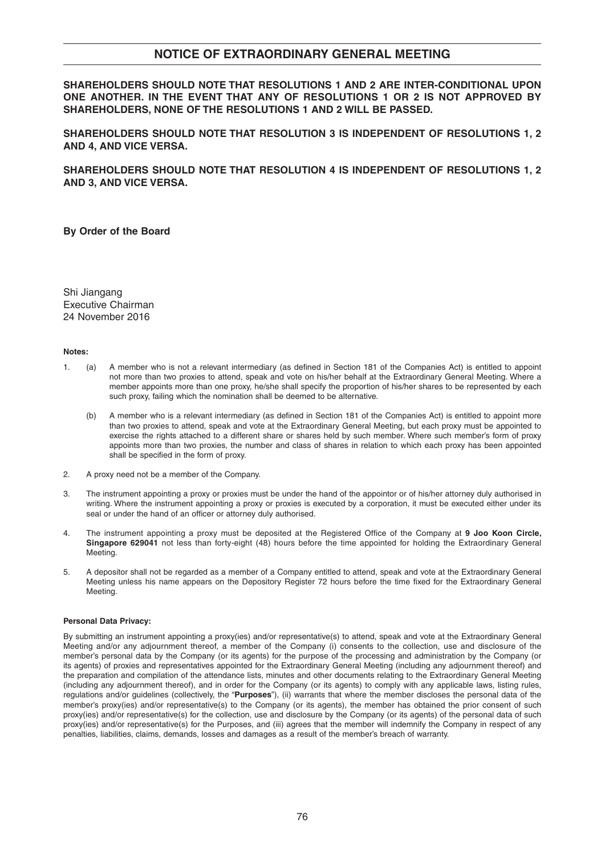### **NOTICE OF EXTRAORDINARY GENERAL MEETING**

**SHAREHOLDERS SHOULD NOTE THAT RESOLUTIONS 1 AND 2 ARE INTER-CONDITIONAL UPON ONE ANOTHER. IN THE EVENT THAT ANY OF RESOLUTIONS 1 OR 2 IS NOT APPROVED BY SHAREHOLDERS, NONE OF THE RESOLUTIONS 1 AND 2 WILL BE PASSED.** 

**SHAREHOLDERS SHOULD NOTE THAT RESOLUTION 3 IS INDEPENDENT OF RESOLUTIONS 1, 2 AND 4, AND VICE VERSA.** 

**SHAREHOLDERS SHOULD NOTE THAT RESOLUTION 4 IS INDEPENDENT OF RESOLUTIONS 1, 2 AND 3, AND VICE VERSA.**

**By Order of the Board**

Shi Jiangang Executive Chairman 24 November 2016

#### **Notes:**

- 1. (a) A member who is not a relevant intermediary (as defined in Section 181 of the Companies Act) is entitled to appoint not more than two proxies to attend, speak and vote on his/her behalf at the Extraordinary General Meeting. Where a member appoints more than one proxy, he/she shall specify the proportion of his/her shares to be represented by each such proxy, failing which the nomination shall be deemed to be alternative.
	- (b) A member who is a relevant intermediary (as defined in Section 181 of the Companies Act) is entitled to appoint more than two proxies to attend, speak and vote at the Extraordinary General Meeting, but each proxy must be appointed to exercise the rights attached to a different share or shares held by such member. Where such member's form of proxy appoints more than two proxies, the number and class of shares in relation to which each proxy has been appointed shall be specified in the form of proxy.
- 2. A proxy need not be a member of the Company.
- 3. The instrument appointing a proxy or proxies must be under the hand of the appointor or of his/her attorney duly authorised in writing. Where the instrument appointing a proxy or proxies is executed by a corporation, it must be executed either under its seal or under the hand of an officer or attorney duly authorised.
- 4. The instrument appointing a proxy must be deposited at the Registered Office of the Company at 9 Joo Koon Circle, **Singapore 629041** not less than forty-eight (48) hours before the time appointed for holding the Extraordinary General Meeting.
- 5. A depositor shall not be regarded as a member of a Company entitled to attend, speak and vote at the Extraordinary General Meeting unless his name appears on the Depository Register 72 hours before the time fixed for the Extraordinary General Meeting.

#### **Personal Data Privacy:**

By submitting an instrument appointing a proxy(ies) and/or representative(s) to attend, speak and vote at the Extraordinary General Meeting and/or any adjournment thereof, a member of the Company (i) consents to the collection, use and disclosure of the member's personal data by the Company (or its agents) for the purpose of the processing and administration by the Company (or its agents) of proxies and representatives appointed for the Extraordinary General Meeting (including any adjournment thereof) and the preparation and compilation of the attendance lists, minutes and other documents relating to the Extraordinary General Meeting (including any adjournment thereof), and in order for the Company (or its agents) to comply with any applicable laws, listing rules, regulations and/or guidelines (collectively, the "**Purposes**"), (ii) warrants that where the member discloses the personal data of the member's proxy(ies) and/or representative(s) to the Company (or its agents), the member has obtained the prior consent of such proxy(ies) and/or representative(s) for the collection, use and disclosure by the Company (or its agents) of the personal data of such proxy(ies) and/or representative(s) for the Purposes, and (iii) agrees that the member will indemnify the Company in respect of any penalties, liabilities, claims, demands, losses and damages as a result of the member's breach of warranty.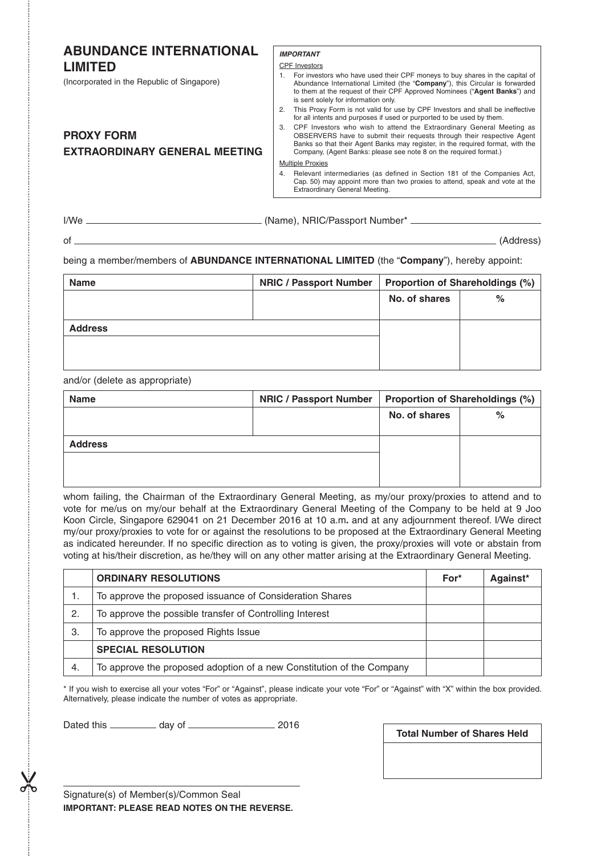| <b>ABUNDANCE INTERNATIONAL</b><br><b>LIMITED</b><br>(Incorporated in the Republic of Singapore) | <b>IMPORTANT</b><br><b>CPF</b> Investors<br>1. For investors who have used their CPF moneys to buy shares in the capital of<br>Abundance International Limited (the "Company"), this Circular is forwarded<br>to them at the request of their CPF Approved Nominees ("Agent Banks") and<br>is sent solely for information only.                                                                                                                                                                          |
|-------------------------------------------------------------------------------------------------|----------------------------------------------------------------------------------------------------------------------------------------------------------------------------------------------------------------------------------------------------------------------------------------------------------------------------------------------------------------------------------------------------------------------------------------------------------------------------------------------------------|
| <b>PROXY FORM</b><br><b>EXTRAORDINARY GENERAL MEETING</b>                                       | This Proxy Form is not valid for use by CPF Investors and shall be ineffective<br>2.<br>for all intents and purposes if used or purported to be used by them.<br>CPF Investors who wish to attend the Extraordinary General Meeting as<br>3.<br>OBSERVERS have to submit their requests through their respective Agent<br>Banks so that their Agent Banks may register, in the required format, with the<br>Company, (Agent Banks: please see note 8 on the required format.)<br><b>Multiple Proxies</b> |
|                                                                                                 | Relevant intermediaries (as defined in Section 181 of the Companies Act,<br>4.<br>Cap. 50) may appoint more than two proxies to attend, speak and vote at the<br>Extraordinary General Meeting.                                                                                                                                                                                                                                                                                                          |
| $I/We$ $-$                                                                                      | (Name), NRIC/Passport Number* ________<br>(Address)                                                                                                                                                                                                                                                                                                                                                                                                                                                      |

being a member/members of **ABUNDANCE INTERNATIONAL LIMITED** (the "**Company**"), hereby appoint:

| <b>Name</b>    | <b>NRIC / Passport Number</b> | <b>Proportion of Shareholdings (%)</b> |      |  |
|----------------|-------------------------------|----------------------------------------|------|--|
|                |                               | No. of shares                          | $\%$ |  |
|                |                               |                                        |      |  |
| <b>Address</b> |                               |                                        |      |  |
|                |                               |                                        |      |  |
|                |                               |                                        |      |  |
|                |                               |                                        |      |  |

and/or (delete as appropriate)

| <b>Name</b>    | <b>NRIC / Passport Number</b> | <b>Proportion of Shareholdings (%)</b> |      |  |
|----------------|-------------------------------|----------------------------------------|------|--|
|                |                               | No. of shares                          | $\%$ |  |
|                |                               |                                        |      |  |
| <b>Address</b> |                               |                                        |      |  |
|                |                               |                                        |      |  |
|                |                               |                                        |      |  |

whom failing, the Chairman of the Extraordinary General Meeting, as my/our proxy/proxies to attend and to vote for me/us on my/our behalf at the Extraordinary General Meeting of the Company to be held at 9 Joo Koon Circle, Singapore 629041 on 21 December 2016 at 10 a.m**.** and at any adjournment thereof. I/We direct my/our proxy/proxies to vote for or against the resolutions to be proposed at the Extraordinary General Meeting as indicated hereunder. If no specific direction as to voting is given, the proxy/proxies will vote or abstain from voting at his/their discretion, as he/they will on any other matter arising at the Extraordinary General Meeting.

|     | <b>ORDINARY RESOLUTIONS</b>                                           | For* | Against* |
|-----|-----------------------------------------------------------------------|------|----------|
|     | To approve the proposed issuance of Consideration Shares              |      |          |
| 2.  | To approve the possible transfer of Controlling Interest              |      |          |
| З.  | To approve the proposed Rights Issue                                  |      |          |
|     | <b>SPECIAL RESOLUTION</b>                                             |      |          |
| -4. | To approve the proposed adoption of a new Constitution of the Company |      |          |

\* If you wish to exercise all your votes "For" or "Against", please indicate your vote "For" or "Against" with "X" within the box provided. Alternatively, please indicate the number of votes as appropriate.

Dated this  $\frac{1}{2016}$  day of  $\frac{2016}{2016}$ 

**Total Number of Shares Held**

Signature(s) of Member(s)/Common Seal **IMPORTANT: PLEASE READ NOTES ON THE REVERSE.**

 $\chi$